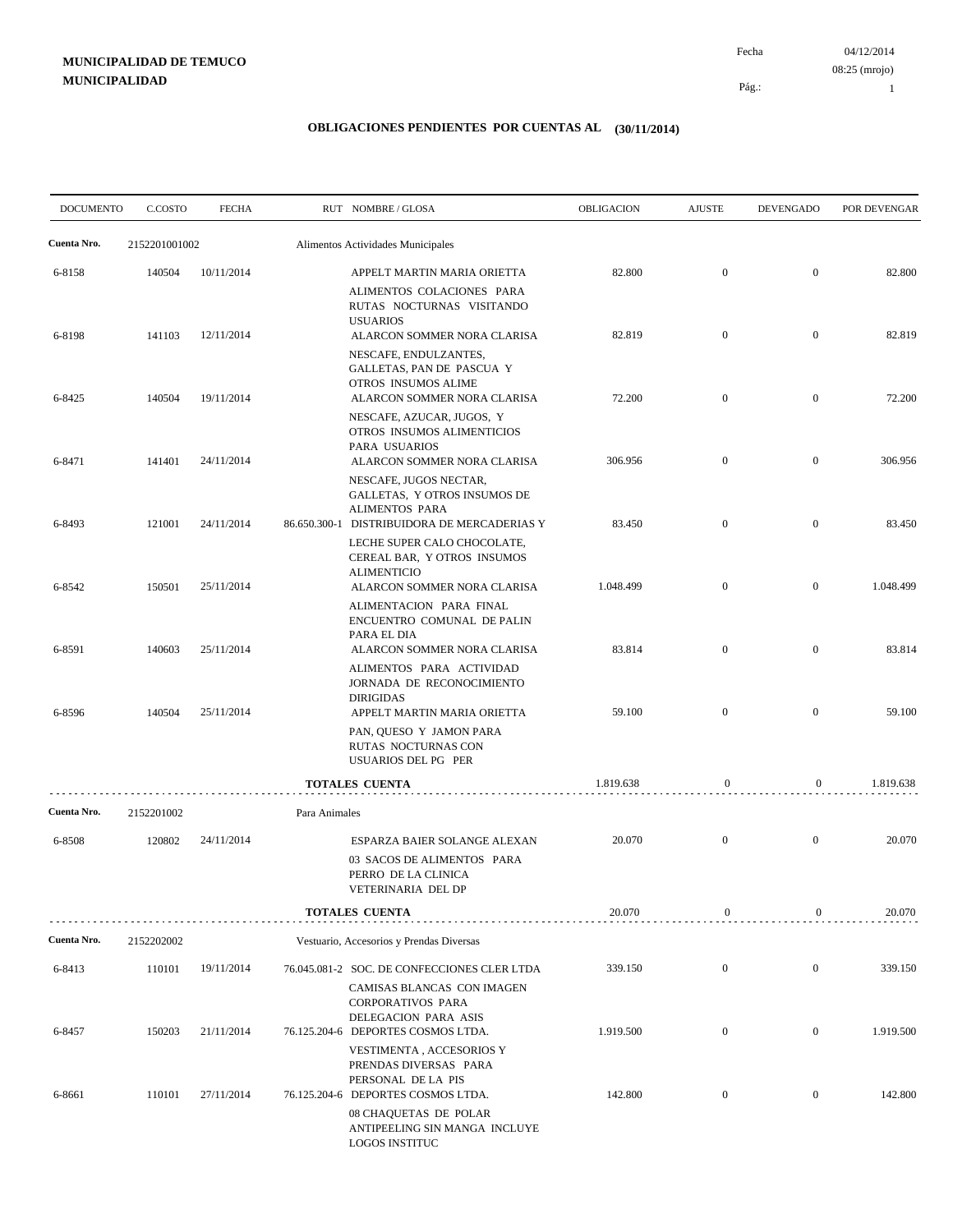04/12/2014 08:25 (mrojo)

Pág.:

Fecha

1

| <b>DOCUMENTO</b> | C.COSTO       | <b>FECHA</b> |               | RUT NOMBRE/GLOSA                                                                                                                    | <b>OBLIGACION</b> | <b>AJUSTE</b>    | <b>DEVENGADO</b> | POR DEVENGAR |
|------------------|---------------|--------------|---------------|-------------------------------------------------------------------------------------------------------------------------------------|-------------------|------------------|------------------|--------------|
| Cuenta Nro.      | 2152201001002 |              |               | Alimentos Actividades Municipales                                                                                                   |                   |                  |                  |              |
| 6-8158           | 140504        | 10/11/2014   |               | APPELT MARTIN MARIA ORIETTA<br>ALIMENTOS COLACIONES PARA                                                                            | 82.800            | $\boldsymbol{0}$ | $\overline{0}$   | 82.800       |
| 6-8198           | 141103        | 12/11/2014   |               | RUTAS NOCTURNAS VISITANDO<br><b>USUARIOS</b><br>ALARCON SOMMER NORA CLARISA<br>NESCAFE, ENDULZANTES,<br>GALLETAS, PAN DE PASCUA Y   | 82.819            | $\boldsymbol{0}$ | $\overline{0}$   | 82.819       |
| 6-8425           | 140504        | 19/11/2014   |               | OTROS INSUMOS ALIME<br>ALARCON SOMMER NORA CLARISA<br>NESCAFE, AZUCAR, JUGOS, Y                                                     | 72.200            | $\boldsymbol{0}$ | $\mathbf{0}$     | 72.200       |
| 6-8471           | 141401        | 24/11/2014   |               | OTROS INSUMOS ALIMENTICIOS<br>PARA USUARIOS<br>ALARCON SOMMER NORA CLARISA<br>NESCAFE, JUGOS NECTAR,                                | 306.956           | $\boldsymbol{0}$ | $\mathbf{0}$     | 306.956      |
| 6-8493           | 121001        | 24/11/2014   |               | GALLETAS, Y OTROS INSUMOS DE<br><b>ALIMENTOS PARA</b><br>86.650.300-1 DISTRIBUIDORA DE MERCADERIAS Y<br>LECHE SUPER CALO CHOCOLATE, | 83.450            | $\boldsymbol{0}$ | $\boldsymbol{0}$ | 83.450       |
| 6-8542           | 150501        | 25/11/2014   |               | CEREAL BAR, Y OTROS INSUMOS<br><b>ALIMENTICIO</b><br>ALARCON SOMMER NORA CLARISA                                                    | 1.048.499         | $\boldsymbol{0}$ | $\mathbf{0}$     | 1.048.499    |
| 6-8591           | 140603        | 25/11/2014   |               | ALIMENTACION PARA FINAL<br>ENCUENTRO COMUNAL DE PALIN<br>PARA EL DIA<br>ALARCON SOMMER NORA CLARISA                                 | 83.814            | $\boldsymbol{0}$ | $\mathbf{0}$     | 83.814       |
| 6-8596           | 140504        | 25/11/2014   |               | ALIMENTOS PARA ACTIVIDAD<br>JORNADA DE RECONOCIMIENTO<br><b>DIRIGIDAS</b><br>APPELT MARTIN MARIA ORIETTA                            | 59.100            | $\boldsymbol{0}$ | $\mathbf{0}$     | 59.100       |
|                  |               |              |               | PAN, QUESO Y JAMON PARA<br>RUTAS NOCTURNAS CON<br>USUARIOS DEL PG PER                                                               |                   |                  |                  |              |
|                  | .             |              |               | TOTALES CUENTA                                                                                                                      | 1.819.638         | $\boldsymbol{0}$ | $\mathbf{0}$     | 1.819.638    |
| Cuenta Nro.      | 2152201002    |              | Para Animales |                                                                                                                                     |                   |                  |                  |              |
| 6-8508           | 120802        | 24/11/2014   |               | ESPARZA BAIER SOLANGE ALEXAN<br>03 SACOS DE ALIMENTOS PARA<br>PERRO DE LA CLINICA<br>VETERINARIA DEL DP                             | 20.070            | $\boldsymbol{0}$ | $\mathbf{0}$     | 20.070       |
|                  |               |              |               | <b>TOTALES CUENTA</b>                                                                                                               | 20.070            | $\mathbf{0}$     | 0                | 20.070       |
| Cuenta Nro.      | 2152202002    |              |               | Vestuario, Accesorios y Prendas Diversas                                                                                            |                   |                  |                  |              |
| 6-8413           | 110101        | 19/11/2014   |               | 76.045.081-2 SOC. DE CONFECCIONES CLER LTDA<br>CAMISAS BLANCAS CON IMAGEN                                                           | 339.150           | $\boldsymbol{0}$ | $\mathbf{0}$     | 339.150      |
| 6-8457           | 150203        | 21/11/2014   |               | <b>CORPORATIVOS PARA</b><br>DELEGACION PARA ASIS<br>76.125.204-6 DEPORTES COSMOS LTDA.                                              | 1.919.500         | $\boldsymbol{0}$ | $\mathbf{0}$     | 1.919.500    |
| 6-8661           | 110101        | 27/11/2014   |               | VESTIMENTA , ACCESORIOS Y<br>PRENDAS DIVERSAS PARA<br>PERSONAL DE LA PIS<br>76.125.204-6 DEPORTES COSMOS LTDA.                      | 142.800           | $\boldsymbol{0}$ | $\mathbf{0}$     | 142.800      |
|                  |               |              |               | 08 CHAQUETAS DE POLAR<br>ANTIPEELING SIN MANGA INCLUYE<br>LOGOS INSTITUC                                                            |                   |                  |                  |              |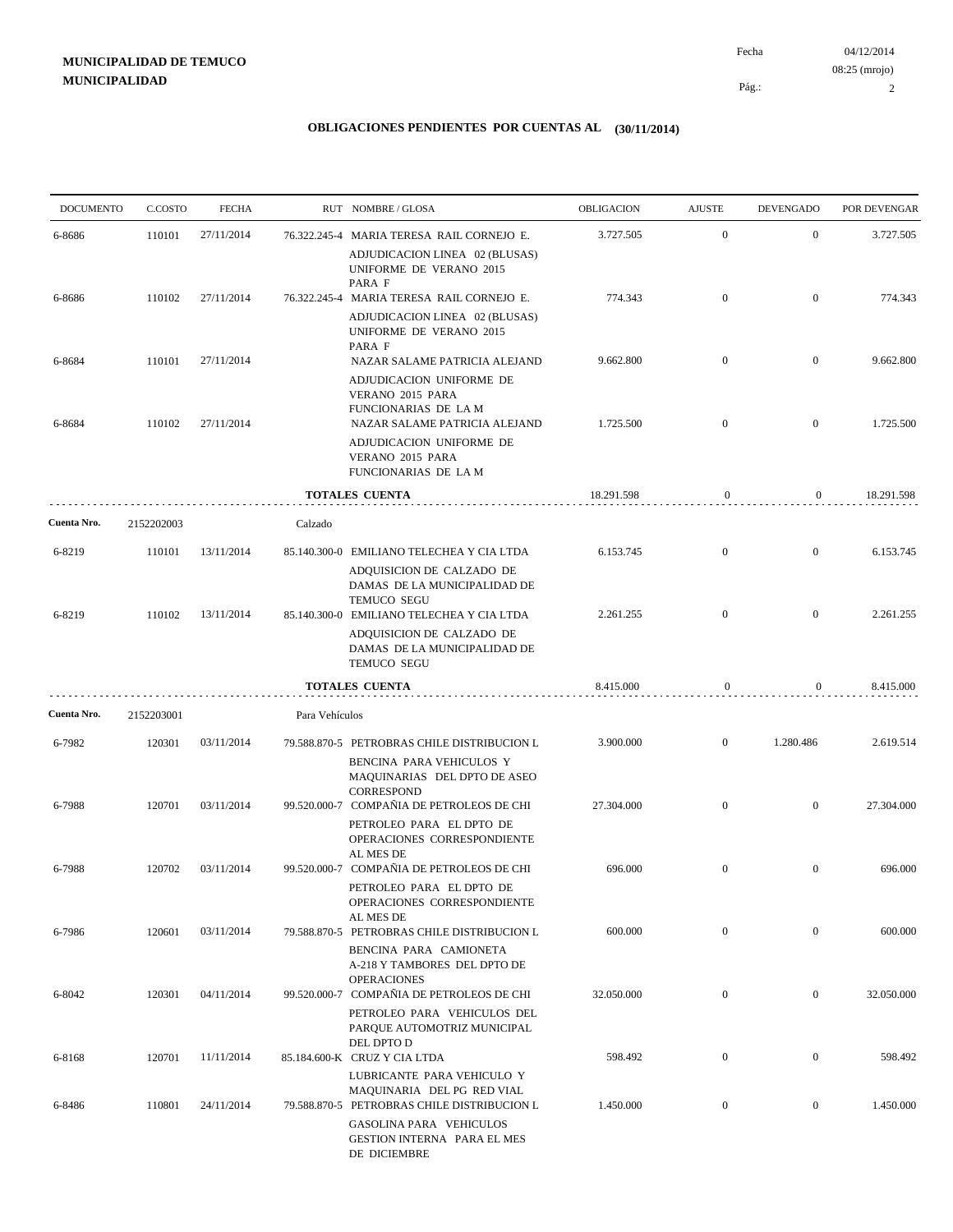04/12/2014 2 Pág.: Fecha 08:25 (mrojo)

| <b>DOCUMENTO</b> | C.COSTO    | <b>FECHA</b> |                | RUT NOMBRE/GLOSA                                                                                                      | OBLIGACION | <b>AJUSTE</b>    | <b>DEVENGADO</b> | POR DEVENGAR |
|------------------|------------|--------------|----------------|-----------------------------------------------------------------------------------------------------------------------|------------|------------------|------------------|--------------|
| 6-8686           | 110101     | 27/11/2014   |                | 76.322.245-4 MARIA TERESA RAIL CORNEJO E.                                                                             | 3.727.505  | $\mathbf{0}$     | $\mathbf{0}$     | 3.727.505    |
|                  |            |              |                | ADJUDICACION LINEA 02 (BLUSAS)<br>UNIFORME DE VERANO 2015<br>PARA F                                                   |            |                  |                  |              |
| 6-8686           | 110102     | 27/11/2014   |                | 76.322.245-4 MARIA TERESA RAIL CORNEJO E.                                                                             | 774.343    | $\mathbf{0}$     | $\overline{0}$   | 774.343      |
|                  |            |              |                | ADJUDICACION LINEA 02 (BLUSAS)<br>UNIFORME DE VERANO 2015<br>PARA F                                                   |            |                  |                  |              |
| 6-8684           | 110101     | 27/11/2014   |                | NAZAR SALAME PATRICIA ALEJAND<br>ADJUDICACION UNIFORME DE<br>VERANO 2015 PARA<br>FUNCIONARIAS DE LA M                 | 9.662.800  | $\overline{0}$   | $\mathbf{0}$     | 9.662.800    |
| 6-8684           | 110102     | 27/11/2014   |                | NAZAR SALAME PATRICIA ALEJAND<br>ADJUDICACION UNIFORME DE<br>VERANO 2015 PARA<br>FUNCIONARIAS DE LA M                 | 1.725.500  | $\overline{0}$   | $\mathbf{0}$     | 1.725.500    |
|                  |            |              |                | <b>TOTALES CUENTA</b>                                                                                                 | 18.291.598 | $\boldsymbol{0}$ | $\overline{0}$   | 18.291.598   |
| Cuenta Nro.      | 2152202003 |              | Calzado        |                                                                                                                       |            |                  |                  |              |
| 6-8219           | 110101     | 13/11/2014   |                | 85.140.300-0 EMILIANO TELECHEA Y CIA LTDA                                                                             | 6.153.745  | $\mathbf{0}$     | $\mathbf{0}$     | 6.153.745    |
|                  |            |              |                | ADQUISICION DE CALZADO DE<br>DAMAS DE LA MUNICIPALIDAD DE<br>TEMUCO SEGU                                              |            |                  |                  |              |
| 6-8219           | 110102     | 13/11/2014   |                | 85.140.300-0 EMILIANO TELECHEA Y CIA LTDA<br>ADQUISICION DE CALZADO DE<br>DAMAS DE LA MUNICIPALIDAD DE<br>TEMUCO SEGU | 2.261.255  | $\overline{0}$   | $\mathbf{0}$     | 2.261.255    |
|                  |            |              |                | <b>TOTALES CUENTA</b>                                                                                                 | 8.415.000  | $\mathbf{0}$     | $\overline{0}$   | 8.415.000    |
| Cuenta Nro.      | 2152203001 |              | Para Vehículos |                                                                                                                       |            |                  |                  |              |
| 6-7982           | 120301     | 03/11/2014   |                | 79.588.870-5 PETROBRAS CHILE DISTRIBUCION L<br>BENCINA PARA VEHICULOS Y<br>MAQUINARIAS DEL DPTO DE ASEO               | 3.900.000  | $\mathbf{0}$     | 1.280.486        | 2.619.514    |
| 6-7988           | 120701     | 03/11/2014   |                | CORRESPOND<br>99.520.000-7 COMPAÑIA DE PETROLEOS DE CHI<br>PETROLEO PARA EL DPTO DE                                   | 27.304.000 | $\overline{0}$   | $\overline{0}$   | 27.304.000   |
|                  |            |              |                | OPERACIONES CORRESPONDIENTE<br>AL MES DE                                                                              |            |                  |                  |              |
| 6-7988           | 120702     | 03/11/2014   |                | 99.520.000-7 COMPAÑIA DE PETROLEOS DE CHI<br>PETROLEO PARA EL DPTO DE<br>OPERACIONES CORRESPONDIENTE                  | 696.000    | $\mathbf{0}$     | $\mathbf{0}$     | 696.000      |
| 6-7986           | 120601     | 03/11/2014   |                | AL MES DE<br>79.588.870-5 PETROBRAS CHILE DISTRIBUCION L<br>BENCINA PARA CAMIONETA                                    | 600.000    | $\boldsymbol{0}$ | $\overline{0}$   | 600.000      |
| 6-8042           | 120301     | 04/11/2014   |                | A-218 Y TAMBORES DEL DPTO DE<br><b>OPERACIONES</b><br>99.520.000-7 COMPAÑIA DE PETROLEOS DE CHI                       | 32.050.000 | $\mathbf{0}$     | $\mathbf{0}$     | 32.050.000   |
|                  |            |              |                | PETROLEO PARA VEHICULOS DEL<br>PARQUE AUTOMOTRIZ MUNICIPAL                                                            |            |                  |                  |              |
| 6-8168           | 120701     | 11/11/2014   |                | DEL DPTO D<br>85.184.600-K CRUZ Y CIA LTDA                                                                            | 598.492    | $\boldsymbol{0}$ | $\boldsymbol{0}$ | 598.492      |
| 6-8486           | 110801     | 24/11/2014   |                | LUBRICANTE PARA VEHICULO Y<br>MAQUINARIA DEL PG RED VIAL<br>79.588.870-5 PETROBRAS CHILE DISTRIBUCION L               | 1.450.000  | $\mathbf{0}$     | $\mathbf{0}$     | 1.450.000    |
|                  |            |              |                | GASOLINA PARA VEHICULOS<br><b>GESTION INTERNA PARA EL MES</b><br>DE DICIEMBRE                                         |            |                  |                  |              |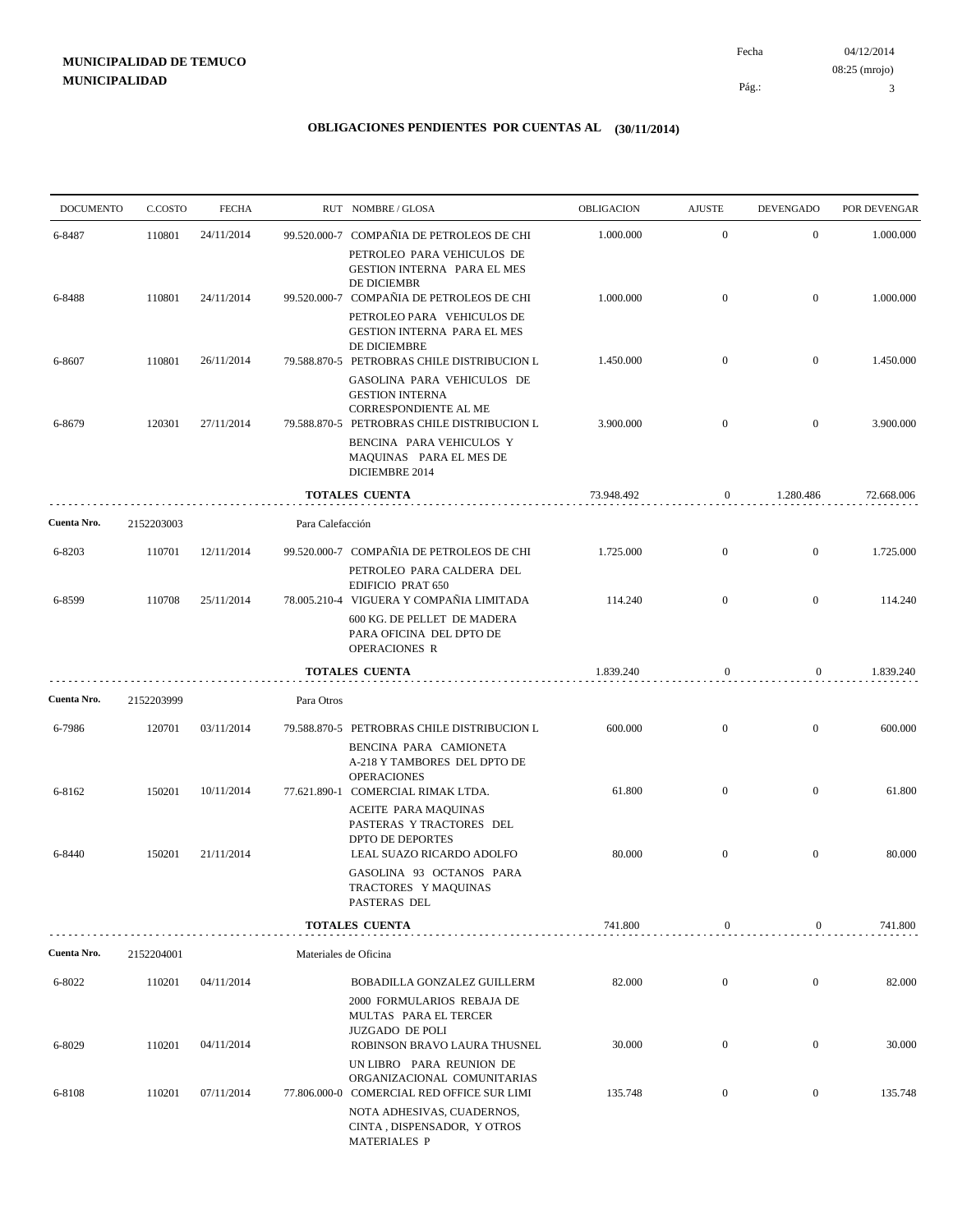04/12/2014 3 Pág.: Fecha 08:25 (mrojo)

| <b>DOCUMENTO</b> | C.COSTO    | <b>FECHA</b> |                       | RUT NOMBRE/GLOSA                                                                                                             | OBLIGACION | <b>AJUSTE</b>    | <b>DEVENGADO</b> | POR DEVENGAR |
|------------------|------------|--------------|-----------------------|------------------------------------------------------------------------------------------------------------------------------|------------|------------------|------------------|--------------|
| 6-8487           | 110801     | 24/11/2014   |                       | 99.520.000-7 COMPAÑIA DE PETROLEOS DE CHI                                                                                    | 1.000.000  | $\mathbf{0}$     | $\boldsymbol{0}$ | 1.000.000    |
|                  |            |              |                       | PETROLEO PARA VEHICULOS DE<br>GESTION INTERNA PARA EL MES<br>DE DICIEMBR                                                     |            |                  |                  |              |
| 6-8488           | 110801     | 24/11/2014   |                       | 99.520.000-7 COMPAÑIA DE PETROLEOS DE CHI                                                                                    | 1.000.000  | $\mathbf{0}$     | $\overline{0}$   | 1.000.000    |
|                  |            |              |                       | PETROLEO PARA VEHICULOS DE<br>GESTION INTERNA PARA EL MES<br>DE DICIEMBRE                                                    |            |                  |                  |              |
| 6-8607           | 110801     | 26/11/2014   |                       | 79.588.870-5 PETROBRAS CHILE DISTRIBUCION L<br>GASOLINA PARA VEHICULOS DE<br><b>GESTION INTERNA</b><br>CORRESPONDIENTE AL ME | 1.450.000  | $\mathbf{0}$     | $\boldsymbol{0}$ | 1.450.000    |
| 6-8679           | 120301     | 27/11/2014   |                       | 79.588.870-5 PETROBRAS CHILE DISTRIBUCION L<br>BENCINA PARA VEHICULOS Y<br>MAQUINAS PARA EL MES DE<br>DICIEMBRE 2014         | 3.900.000  | $\overline{0}$   | $\mathbf{0}$     | 3.900.000    |
|                  |            |              |                       | <b>TOTALES CUENTA</b>                                                                                                        | 73.948.492 | $\boldsymbol{0}$ | 1.280.486        | 72.668.006   |
| Cuenta Nro.      | 2152203003 |              | Para Calefacción      |                                                                                                                              |            |                  |                  |              |
| 6-8203           | 110701     | 12/11/2014   |                       | 99.520.000-7 COMPAÑIA DE PETROLEOS DE CHI                                                                                    | 1.725.000  | $\mathbf{0}$     | $\boldsymbol{0}$ | 1.725.000    |
|                  |            |              |                       | PETROLEO PARA CALDERA DEL<br>EDIFICIO PRAT 650                                                                               |            |                  |                  |              |
| 6-8599           | 110708     | 25/11/2014   |                       | 78.005.210-4 VIGUERA Y COMPAÑIA LIMITADA<br>600 KG. DE PELLET DE MADERA<br>PARA OFICINA DEL DPTO DE<br><b>OPERACIONES R</b>  | 114.240    | $\overline{0}$   | $\overline{0}$   | 114.240      |
|                  |            |              |                       | <b>TOTALES CUENTA</b>                                                                                                        | 1.839.240  | $\boldsymbol{0}$ | $\overline{0}$   | 1.839.240    |
| Cuenta Nro.      | 2152203999 |              | Para Otros            |                                                                                                                              |            |                  |                  |              |
| 6-7986           | 120701     | 03/11/2014   |                       | 79.588.870-5 PETROBRAS CHILE DISTRIBUCION L                                                                                  | 600.000    | $\mathbf{0}$     | $\mathbf{0}$     | 600.000      |
| 6-8162           | 150201     | 10/11/2014   |                       | BENCINA PARA CAMIONETA<br>A-218 Y TAMBORES DEL DPTO DE<br><b>OPERACIONES</b><br>77.621.890-1 COMERCIAL RIMAK LTDA.           | 61.800     | $\mathbf{0}$     | $\mathbf{0}$     | 61.800       |
|                  | 150201     | 21/11/2014   |                       | ACEITE PARA MAQUINAS<br>PASTERAS Y TRACTORES DEL<br><b>DPTO DE DEPORTES</b>                                                  | 80.000     | $\mathbf{0}$     | $\mathbf{0}$     | 80.000       |
| 6-8440           |            |              |                       | LEAL SUAZO RICARDO ADOLFO<br>GASOLINA 93 OCTANOS PARA<br>TRACTORES Y MAQUINAS<br>PASTERAS DEL                                |            |                  |                  |              |
|                  |            |              |                       | <b>TOTALES CUENTA</b>                                                                                                        | 741.800    | $\boldsymbol{0}$ | 0                | 741.800      |
| Cuenta Nro.      | 2152204001 |              | Materiales de Oficina |                                                                                                                              |            |                  |                  |              |
| 6-8022           | 110201     | 04/11/2014   |                       | <b>BOBADILLA GONZALEZ GUILLERM</b><br>2000 FORMULARIOS REBAJA DE<br>MULTAS PARA EL TERCER<br><b>JUZGADO DE POLI</b>          | 82.000     | $\boldsymbol{0}$ | $\boldsymbol{0}$ | 82.000       |
| 6-8029           | 110201     | 04/11/2014   |                       | ROBINSON BRAVO LAURA THUSNEL<br>UN LIBRO PARA REUNION DE                                                                     | 30.000     | $\boldsymbol{0}$ | $\boldsymbol{0}$ | 30.000       |
| 6-8108           | 110201     | 07/11/2014   |                       | ORGANIZACIONAL COMUNITARIAS<br>77.806.000-0 COMERCIAL RED OFFICE SUR LIMI                                                    | 135.748    | $\boldsymbol{0}$ | $\bf{0}$         | 135.748      |
|                  |            |              |                       | NOTA ADHESIVAS, CUADERNOS,<br>CINTA, DISPENSADOR, Y OTROS<br><b>MATERIALES P</b>                                             |            |                  |                  |              |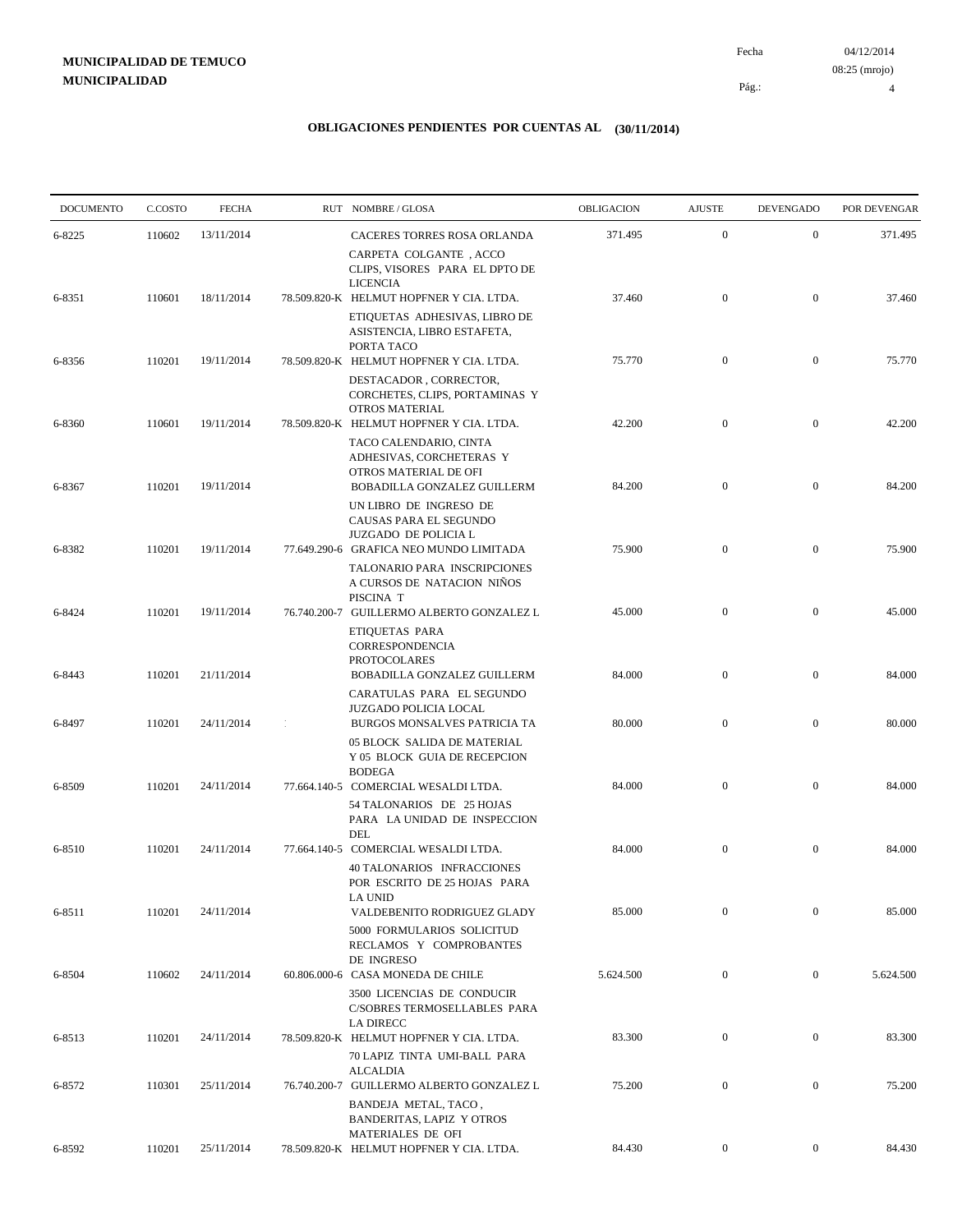04/12/2014 Fecha 08:25 (mrojo)

Pág.:

4

| <b>DOCUMENTO</b> | C.COSTO | <b>FECHA</b> | RUT NOMBRE/GLOSA                                                                                                        | OBLIGACION | <b>AJUSTE</b>    | <b>DEVENGADO</b> | POR DEVENGAR |
|------------------|---------|--------------|-------------------------------------------------------------------------------------------------------------------------|------------|------------------|------------------|--------------|
| 6-8225           | 110602  | 13/11/2014   | CACERES TORRES ROSA ORLANDA                                                                                             | 371.495    | $\mathbf{0}$     | $\boldsymbol{0}$ | 371.495      |
|                  |         |              | CARPETA COLGANTE, ACCO<br>CLIPS, VISORES PARA EL DPTO DE<br><b>LICENCIA</b>                                             |            |                  |                  |              |
| 6-8351           | 110601  | 18/11/2014   | 78.509.820-K HELMUT HOPFNER Y CIA. LTDA.<br>ETIQUETAS ADHESIVAS, LIBRO DE<br>ASISTENCIA, LIBRO ESTAFETA,                | 37.460     | $\boldsymbol{0}$ | $\mathbf{0}$     | 37.460       |
| 6-8356           | 110201  | 19/11/2014   | PORTA TACO<br>78.509.820-K HELMUT HOPFNER Y CIA. LTDA.                                                                  | 75.770     | $\boldsymbol{0}$ | $\boldsymbol{0}$ | 75.770       |
|                  |         |              | DESTACADOR, CORRECTOR,<br>CORCHETES, CLIPS, PORTAMINAS Y<br><b>OTROS MATERIAL</b>                                       |            |                  |                  |              |
| 6-8360           | 110601  | 19/11/2014   | 78.509.820-K HELMUT HOPFNER Y CIA. LTDA.<br>TACO CALENDARIO, CINTA<br>ADHESIVAS, CORCHETERAS Y<br>OTROS MATERIAL DE OFI | 42.200     | $\mathbf{0}$     | $\boldsymbol{0}$ | 42.200       |
| 6-8367           | 110201  | 19/11/2014   | BOBADILLA GONZALEZ GUILLERM<br>UN LIBRO DE INGRESO DE                                                                   | 84.200     | $\boldsymbol{0}$ | $\boldsymbol{0}$ | 84.200       |
| 6-8382           | 110201  | 19/11/2014   | CAUSAS PARA EL SEGUNDO<br><b>JUZGADO DE POLICIA L</b><br>77.649.290-6 GRAFICA NEO MUNDO LIMITADA                        | 75.900     | $\boldsymbol{0}$ | $\boldsymbol{0}$ | 75.900       |
|                  |         |              | TALONARIO PARA INSCRIPCIONES<br>A CURSOS DE NATACION NIÑOS<br>PISCINA T                                                 |            |                  |                  |              |
| 6-8424           | 110201  | 19/11/2014   | 76.740.200-7 GUILLERMO ALBERTO GONZALEZ L<br>ETIQUETAS PARA                                                             | 45.000     | $\boldsymbol{0}$ | $\boldsymbol{0}$ | 45.000       |
| 6-8443           | 110201  | 21/11/2014   | CORRESPONDENCIA<br><b>PROTOCOLARES</b><br>BOBADILLA GONZALEZ GUILLERM                                                   | 84.000     | $\mathbf{0}$     | $\boldsymbol{0}$ | 84.000       |
| 6-8497           | 110201  | 24/11/2014   | CARATULAS PARA EL SEGUNDO<br>JUZGADO POLICIA LOCAL<br>BURGOS MONSALVES PATRICIA TA                                      | 80.000     | $\mathbf{0}$     | $\boldsymbol{0}$ | 80.000       |
|                  |         |              | 05 BLOCK SALIDA DE MATERIAL<br>Y 05 BLOCK GUIA DE RECEPCION<br><b>BODEGA</b>                                            |            |                  |                  |              |
| 6-8509           | 110201  | 24/11/2014   | 77.664.140-5 COMERCIAL WESALDI LTDA.<br>54 TALONARIOS DE 25 HOJAS<br>PARA LA UNIDAD DE INSPECCION                       | 84.000     | $\mathbf{0}$     | $\boldsymbol{0}$ | 84.000       |
| 6-8510           | 110201  | 24/11/2014   | DEL<br>77.664.140-5 COMERCIAL WESALDI LTDA.<br>40 TALONARIOS INFRACCIONES<br>POR ESCRITO DE 25 HOJAS PARA               | 84.000     | $\boldsymbol{0}$ | $\boldsymbol{0}$ | 84.000       |
| 6-8511           | 110201  | 24/11/2014   | <b>LA UNID</b><br>VALDEBENITO RODRIGUEZ GLADY<br>5000 FORMULARIOS SOLICITUD<br>RECLAMOS Y COMPROBANTES                  | 85.000     | $\mathbf{0}$     | $\boldsymbol{0}$ | 85.000       |
| 6-8504           | 110602  | 24/11/2014   | DE INGRESO<br>60.806.000-6 CASA MONEDA DE CHILE                                                                         | 5.624.500  | $\mathbf{0}$     | $\overline{0}$   | 5.624.500    |
|                  |         |              | 3500 LICENCIAS DE CONDUCIR<br>C/SOBRES TERMOSELLABLES PARA<br><b>LA DIRECC</b>                                          |            |                  |                  |              |
| 6-8513           | 110201  | 24/11/2014   | 78.509.820-K HELMUT HOPFNER Y CIA. LTDA.<br>70 LAPIZ TINTA UMI-BALL PARA                                                | 83.300     | $\boldsymbol{0}$ | $\boldsymbol{0}$ | 83.300       |
| 6-8572           | 110301  | 25/11/2014   | <b>ALCALDIA</b><br>76.740.200-7 GUILLERMO ALBERTO GONZALEZ L                                                            | 75.200     | $\boldsymbol{0}$ | $\boldsymbol{0}$ | 75.200       |
|                  |         |              | BANDEJA METAL, TACO,<br><b>BANDERITAS, LAPIZ Y OTROS</b><br>MATERIALES DE OFI                                           |            |                  |                  |              |
| 6-8592           | 110201  | 25/11/2014   | 78.509.820-K HELMUT HOPFNER Y CIA. LTDA.                                                                                | 84.430     | $\overline{0}$   | $\boldsymbol{0}$ | 84.430       |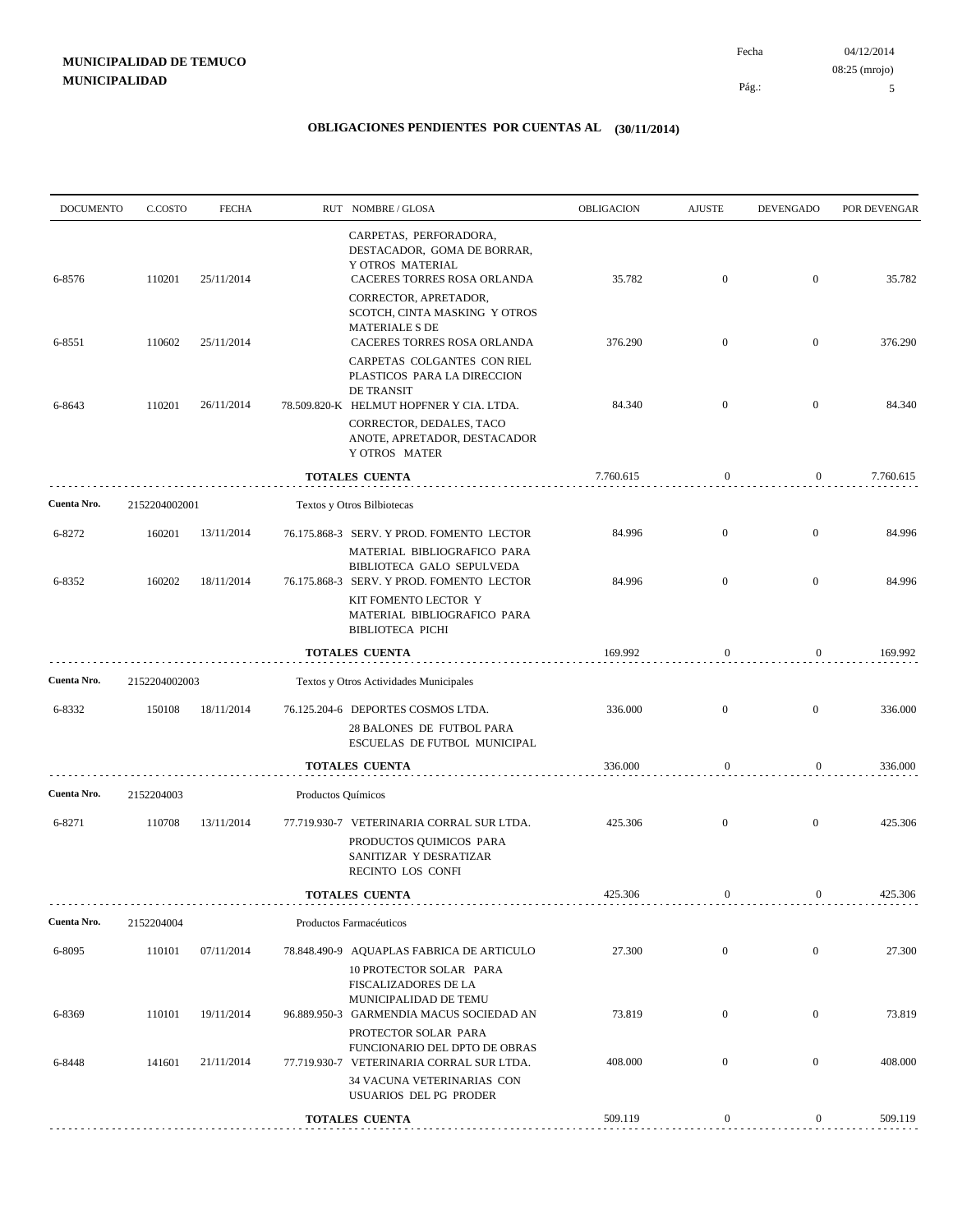Pág.:

Fecha

5

| <b>DOCUMENTO</b> | C.COSTO       | <b>FECHA</b> |                    | RUT NOMBRE/GLOSA                                                                                                                                                                            | OBLIGACION | <b>AJUSTE</b>    | <b>DEVENGADO</b> | POR DEVENGAR |
|------------------|---------------|--------------|--------------------|---------------------------------------------------------------------------------------------------------------------------------------------------------------------------------------------|------------|------------------|------------------|--------------|
| 6-8576           | 110201        | 25/11/2014   |                    | CARPETAS, PERFORADORA,<br>DESTACADOR, GOMA DE BORRAR,<br>Y OTROS MATERIAL<br>CACERES TORRES ROSA ORLANDA<br>CORRECTOR, APRETADOR,<br>SCOTCH, CINTA MASKING Y OTROS<br><b>MATERIALE S DE</b> | 35.782     | $\mathbf{0}$     | $\mathbf{0}$     | 35.782       |
| 6-8551           | 110602        | 25/11/2014   |                    | CACERES TORRES ROSA ORLANDA<br>CARPETAS COLGANTES CON RIEL<br>PLASTICOS PARA LA DIRECCION<br>DE TRANSIT                                                                                     | 376.290    | $\mathbf{0}$     | $\mathbf{0}$     | 376.290      |
| 6-8643           | 110201        | 26/11/2014   |                    | 78.509.820-K HELMUT HOPFNER Y CIA. LTDA.<br>CORRECTOR, DEDALES, TACO<br>ANOTE, APRETADOR, DESTACADOR<br>Y OTROS MATER                                                                       | 84.340     | $\mathbf{0}$     | $\mathbf{0}$     | 84.340       |
|                  |               |              |                    | <b>TOTALES CUENTA</b>                                                                                                                                                                       | 7.760.615  | $\boldsymbol{0}$ | $\boldsymbol{0}$ | 7.760.615    |
| Cuenta Nro.      | 2152204002001 |              |                    | Textos y Otros Bilbiotecas                                                                                                                                                                  |            |                  |                  |              |
| 6-8272           | 160201        | 13/11/2014   |                    | 76.175.868-3 SERV. Y PROD. FOMENTO LECTOR<br>MATERIAL BIBLIOGRAFICO PARA<br>BIBLIOTECA GALO SEPULVEDA                                                                                       | 84.996     | $\mathbf{0}$     | $\boldsymbol{0}$ | 84.996       |
| 6-8352           | 160202        | 18/11/2014   |                    | 76.175.868-3 SERV. Y PROD. FOMENTO LECTOR<br>KIT FOMENTO LECTOR Y<br>MATERIAL BIBLIOGRAFICO PARA<br><b>BIBLIOTECA PICHI</b>                                                                 | 84.996     | $\mathbf{0}$     | $\bf{0}$         | 84.996       |
|                  |               |              |                    | TOTALES CUENTA                                                                                                                                                                              | 169.992    | $\boldsymbol{0}$ | 0                | 169.992      |
| Cuenta Nro.      | 2152204002003 |              |                    | Textos y Otros Actividades Municipales                                                                                                                                                      |            |                  |                  |              |
| 6-8332           | 150108        | 18/11/2014   |                    | 76.125.204-6 DEPORTES COSMOS LTDA.<br>28 BALONES DE FUTBOL PARA<br>ESCUELAS DE FUTBOL MUNICIPAL                                                                                             | 336.000    | $\mathbf{0}$     | $\bf{0}$         | 336.000      |
|                  |               |              |                    | <b>TOTALES CUENTA</b>                                                                                                                                                                       | 336.000    | $\boldsymbol{0}$ | 0                | 336.000      |
| Cuenta Nro.      | 2152204003    |              | Productos Químicos |                                                                                                                                                                                             |            |                  |                  |              |
| 6-8271           | 110708        | 13/11/2014   |                    | 77.719.930-7 VETERINARIA CORRAL SUR LTDA.<br>PRODUCTOS QUIMICOS PARA<br>SANITIZAR Y DESRATIZAR<br>RECINTO LOS CONFI                                                                         | 425.306    | $\mathbf{0}$     | $\boldsymbol{0}$ | 425.306      |
|                  |               |              |                    | TOTALES CUENTA                                                                                                                                                                              | 425.306    | $\boldsymbol{0}$ | $\boldsymbol{0}$ | 425.306      |
| Cuenta Nro.      | 2152204004    |              |                    | Productos Farmacéuticos                                                                                                                                                                     |            |                  |                  |              |
| 6-8095           | 110101        | 07/11/2014   |                    | 78.848.490-9 AQUAPLAS FABRICA DE ARTICULO<br>10 PROTECTOR SOLAR PARA<br>FISCALIZADORES DE LA                                                                                                | 27.300     | $\boldsymbol{0}$ | $\mathbf{0}$     | 27.300       |
| 6-8369           | 110101        | 19/11/2014   |                    | MUNICIPALIDAD DE TEMU<br>96.889.950-3 GARMENDIA MACUS SOCIEDAD AN<br>PROTECTOR SOLAR PARA                                                                                                   | 73.819     | $\boldsymbol{0}$ | $\overline{0}$   | 73.819       |
| 6-8448           | 141601        | 21/11/2014   |                    | FUNCIONARIO DEL DPTO DE OBRAS<br>77.719.930-7 VETERINARIA CORRAL SUR LTDA.<br>34 VACUNA VETERINARIAS CON                                                                                    | 408.000    | $\boldsymbol{0}$ | $\overline{0}$   | 408.000      |
|                  |               |              |                    | USUARIOS DEL PG PRODER                                                                                                                                                                      |            |                  |                  |              |
|                  |               |              |                    | <b>TOTALES CUENTA</b>                                                                                                                                                                       | 509.119    | $\boldsymbol{0}$ | $\boldsymbol{0}$ | 509.119      |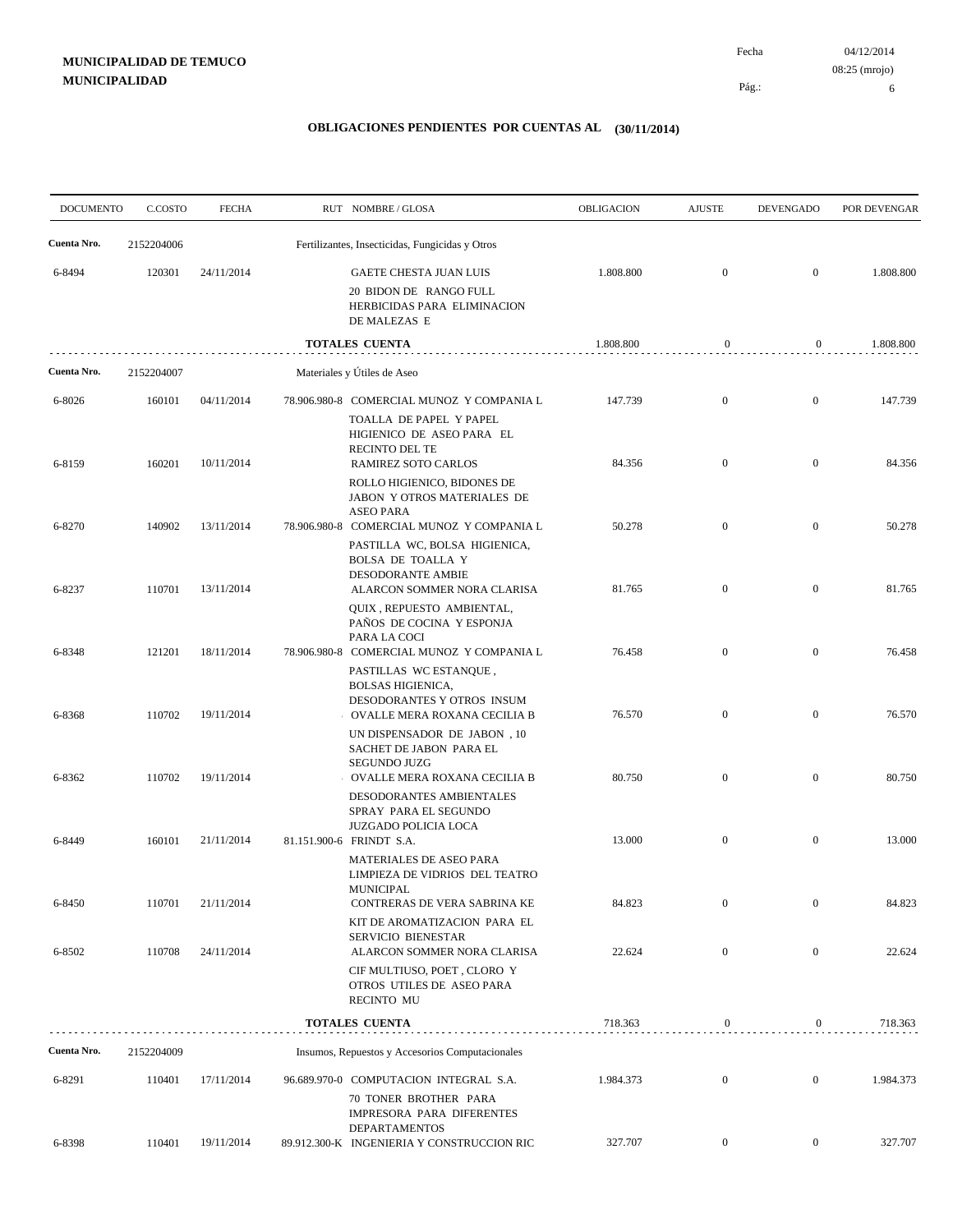04/12/2014 Fecha 08:25 (mrojo)

Pág.:

6

| <b>DOCUMENTO</b> | C.COSTO    | <b>FECHA</b> | RUT NOMBRE/GLOSA                                                                                                                  | <b>OBLIGACION</b> | <b>AJUSTE</b>    | <b>DEVENGADO</b> | POR DEVENGAR |
|------------------|------------|--------------|-----------------------------------------------------------------------------------------------------------------------------------|-------------------|------------------|------------------|--------------|
| Cuenta Nro.      | 2152204006 |              | Fertilizantes, Insecticidas, Fungicidas y Otros                                                                                   |                   |                  |                  |              |
| 6-8494           | 120301     | 24/11/2014   | GAETE CHESTA JUAN LUIS<br>20 BIDON DE RANGO FULL<br>HERBICIDAS PARA ELIMINACION<br>DE MALEZAS E                                   | 1.808.800         | $\boldsymbol{0}$ | $\boldsymbol{0}$ | 1.808.800    |
|                  |            |              | <b>TOTALES CUENTA</b>                                                                                                             | 1.808.800         | $\boldsymbol{0}$ | $\overline{0}$   | 1.808.800    |
| Cuenta Nro.      | 2152204007 |              | Materiales y Útiles de Aseo                                                                                                       |                   |                  |                  |              |
| 6-8026           | 160101     | 04/11/2014   | 78.906.980-8 COMERCIAL MUNOZ Y COMPANIA L<br>TOALLA DE PAPEL Y PAPEL<br>HIGIENICO DE ASEO PARA EL<br>RECINTO DEL TE               | 147.739           | $\boldsymbol{0}$ | $\boldsymbol{0}$ | 147.739      |
| 6-8159           | 160201     | 10/11/2014   | RAMIREZ SOTO CARLOS<br>ROLLO HIGIENICO, BIDONES DE<br>JABON Y OTROS MATERIALES DE                                                 | 84.356            | $\boldsymbol{0}$ | $\boldsymbol{0}$ | 84.356       |
| 6-8270           | 140902     | 13/11/2014   | <b>ASEO PARA</b><br>78.906.980-8 COMERCIAL MUNOZ Y COMPANIA L<br>PASTILLA WC, BOLSA HIGIENICA,<br>BOLSA DE TOALLA Y               | 50.278            | $\boldsymbol{0}$ | $\boldsymbol{0}$ | 50.278       |
| 6-8237           | 110701     | 13/11/2014   | <b>DESODORANTE AMBIE</b><br>ALARCON SOMMER NORA CLARISA<br>QUIX, REPUESTO AMBIENTAL,<br>PAÑOS DE COCINA Y ESPONJA                 | 81.765            | $\boldsymbol{0}$ | $\boldsymbol{0}$ | 81.765       |
| 6-8348           | 121201     | 18/11/2014   | PARA LA COCI<br>78.906.980-8 COMERCIAL MUNOZ Y COMPANIA L<br>PASTILLAS WC ESTANQUE,<br><b>BOLSAS HIGIENICA,</b>                   | 76.458            | $\boldsymbol{0}$ | $\boldsymbol{0}$ | 76.458       |
| 6-8368           | 110702     | 19/11/2014   | DESODORANTES Y OTROS INSUM<br>OVALLE MERA ROXANA CECILIA B<br>UN DISPENSADOR DE JABON, 10<br>SACHET DE JABON PARA EL              | 76.570            | $\boldsymbol{0}$ | $\boldsymbol{0}$ | 76.570       |
| 6-8362           | 110702     | 19/11/2014   | <b>SEGUNDO JUZG</b><br>OVALLE MERA ROXANA CECILIA B<br>DESODORANTES AMBIENTALES<br>SPRAY PARA EL SEGUNDO                          | 80.750            | $\boldsymbol{0}$ | $\boldsymbol{0}$ | 80.750       |
| 6-8449           | 160101     | 21/11/2014   | <b>JUZGADO POLICIA LOCA</b><br>81.151.900-6 FRINDT S.A.<br>MATERIALES DE ASEO PARA<br>LIMPIEZA DE VIDRIOS DEL TEATRO<br>MUNICIPAL | 13.000            | $\boldsymbol{0}$ | $\mathbf{0}$     | 13.000       |
| 6-8450           | 110701     | 21/11/2014   | CONTRERAS DE VERA SABRINA KE<br>KIT DE AROMATIZACION PARA EL<br>SERVICIO BIENESTAR                                                | 84.823            | $\overline{0}$   | $\mathbf{0}$     | 84.823       |
| 6-8502           | 110708     | 24/11/2014   | ALARCON SOMMER NORA CLARISA<br>CIF MULTIUSO, POET, CLORO Y<br>OTROS UTILES DE ASEO PARA<br><b>RECINTO MU</b>                      | 22.624            | $\boldsymbol{0}$ | $\mathbf{0}$     | 22.624       |
|                  |            |              | <b>TOTALES CUENTA</b>                                                                                                             | 718.363           | $\boldsymbol{0}$ | $\overline{0}$   | 718.363      |
| Cuenta Nro.      | 2152204009 |              | Insumos, Repuestos y Accesorios Computacionales                                                                                   |                   |                  |                  |              |
| 6-8291           | 110401     | 17/11/2014   | 96.689.970-0 COMPUTACION INTEGRAL S.A.<br>70 TONER BROTHER PARA<br>IMPRESORA PARA DIFERENTES<br><b>DEPARTAMENTOS</b>              | 1.984.373         | $\boldsymbol{0}$ | $\mathbf{0}$     | 1.984.373    |
| 6-8398           | 110401     | 19/11/2014   | 89.912.300-K INGENIERIA Y CONSTRUCCION RIC                                                                                        | 327.707           | $\overline{0}$   | $\overline{0}$   | 327.707      |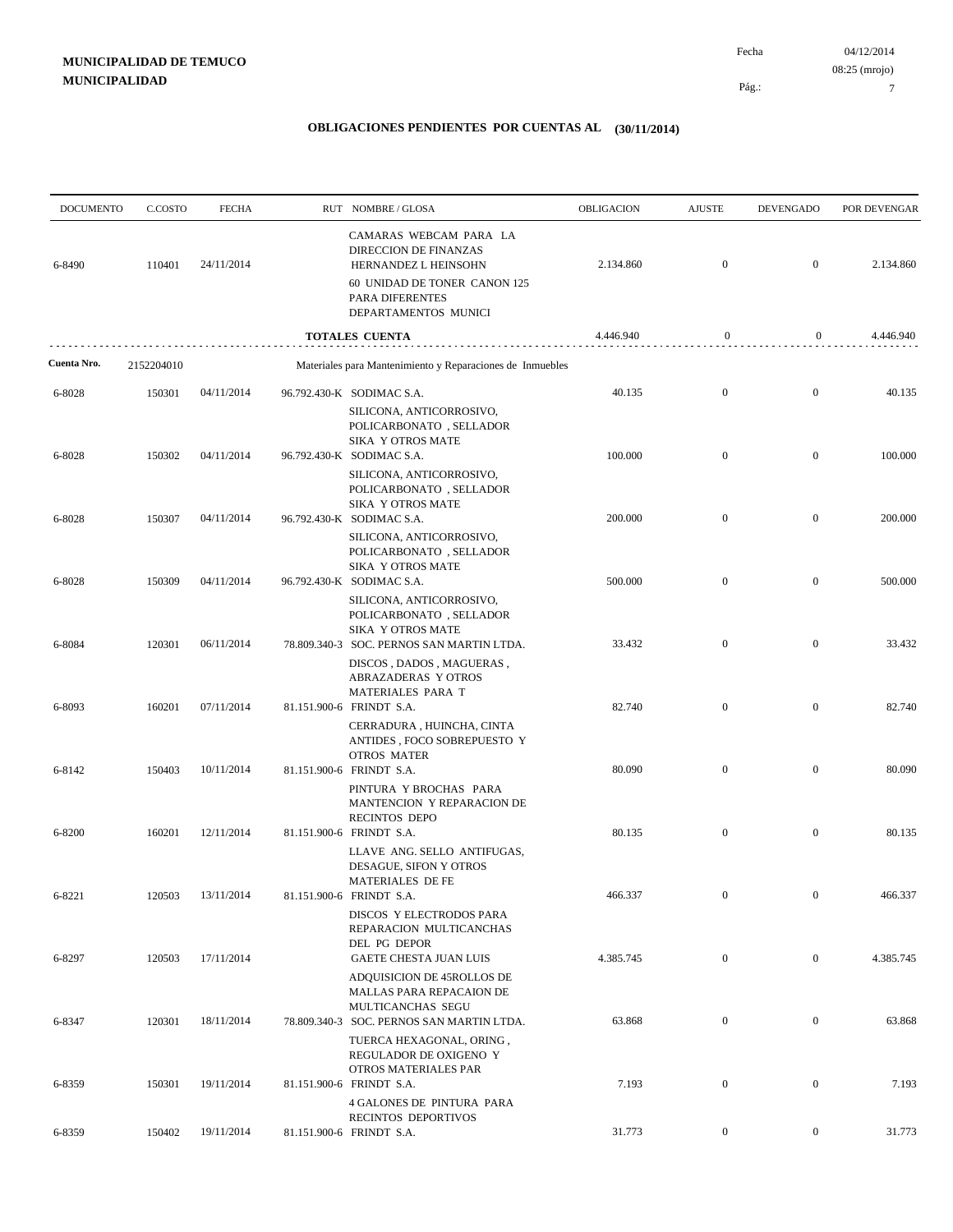04/12/2014 7 Pág.: Fecha 08:25 (mrojo)

| <b>DOCUMENTO</b> | C.COSTO    | <b>FECHA</b> | RUT NOMBRE/GLOSA                                                                                                                                   | OBLIGACION | <b>AJUSTE</b>    | <b>DEVENGADO</b> | POR DEVENGAR |
|------------------|------------|--------------|----------------------------------------------------------------------------------------------------------------------------------------------------|------------|------------------|------------------|--------------|
| 6-8490           | 110401     | 24/11/2014   | CAMARAS WEBCAM PARA LA<br>DIRECCION DE FINANZAS<br>HERNANDEZ L HEINSOHN<br>60 UNIDAD DE TONER CANON 125<br>PARA DIFERENTES<br>DEPARTAMENTOS MUNICI | 2.134.860  | $\mathbf{0}$     | $\boldsymbol{0}$ | 2.134.860    |
|                  |            |              | TOTALES CUENTA                                                                                                                                     | 4.446.940  | $\boldsymbol{0}$ | $\boldsymbol{0}$ | 4.446.940    |
| Cuenta Nro.      | 2152204010 |              | Materiales para Mantenimiento y Reparaciones de Inmuebles                                                                                          |            |                  |                  |              |
| 6-8028           | 150301     | 04/11/2014   | 96.792.430-K SODIMAC S.A.<br>SILICONA, ANTICORROSIVO,<br>POLICARBONATO, SELLADOR                                                                   | 40.135     | $\mathbf{0}$     | $\mathbf{0}$     | 40.135       |
| 6-8028           | 150302     | 04/11/2014   | <b>SIKA Y OTROS MATE</b><br>96.792.430-K SODIMAC S.A.<br>SILICONA, ANTICORROSIVO,<br>POLICARBONATO, SELLADOR                                       | 100.000    | $\mathbf{0}$     | $\mathbf{0}$     | 100.000      |
| 6-8028           | 150307     | 04/11/2014   | <b>SIKA Y OTROS MATE</b><br>96.792.430-K SODIMAC S.A.<br>SILICONA, ANTICORROSIVO,<br>POLICARBONATO, SELLADOR                                       | 200.000    | $\mathbf{0}$     | $\mathbf{0}$     | 200.000      |
| 6-8028           | 150309     | 04/11/2014   | SIKA Y OTROS MATE<br>96.792.430-K SODIMAC S.A.                                                                                                     | 500.000    | $\mathbf{0}$     | $\boldsymbol{0}$ | 500.000      |
| 6-8084           | 120301     | 06/11/2014   | SILICONA, ANTICORROSIVO,<br>POLICARBONATO, SELLADOR<br><b>SIKA Y OTROS MATE</b><br>78.809.340-3 SOC. PERNOS SAN MARTIN LTDA.                       | 33.432     | $\mathbf{0}$     | $\mathbf{0}$     | 33.432       |
| 6-8093           | 160201     | 07/11/2014   | DISCOS, DADOS, MAGUERAS,<br><b>ABRAZADERAS Y OTROS</b><br>MATERIALES PARA T<br>81.151.900-6 FRINDT S.A.                                            | 82.740     | $\mathbf{0}$     | $\boldsymbol{0}$ | 82.740       |
|                  |            |              | CERRADURA, HUINCHA, CINTA<br>ANTIDES, FOCO SOBREPUESTO Y<br><b>OTROS MATER</b>                                                                     |            |                  |                  |              |
| 6-8142           | 150403     | 10/11/2014   | 81.151.900-6 FRINDT S.A.<br>PINTURA Y BROCHAS PARA<br>MANTENCION Y REPARACION DE<br><b>RECINTOS DEPO</b>                                           | 80.090     | $\boldsymbol{0}$ | $\mathbf{0}$     | 80.090       |
| 6-8200           | 160201     | 12/11/2014   | 81.151.900-6 FRINDT S.A.<br>LLAVE ANG. SELLO ANTIFUGAS,<br>DESAGUE, SIFON Y OTROS                                                                  | 80.135     | $\mathbf{0}$     | $\mathbf{0}$     | 80.135       |
| 6-8221           | 120503     | 13/11/2014   | MATERIALES DE FE<br>81.151.900-6 FRINDT S.A.<br>DISCOS Y ELECTRODOS PARA                                                                           | 466.337    | $\boldsymbol{0}$ | $\mathbf{0}$     | 466.337      |
| 6-8297           | 120503     | 17/11/2014   | REPARACION MULTICANCHAS<br>DEL PG DEPOR<br><b>GAETE CHESTA JUAN LUIS</b><br>ADQUISICION DE 45ROLLOS DE                                             | 4.385.745  | $\boldsymbol{0}$ | $\overline{0}$   | 4.385.745    |
| 6-8347           | 120301     | 18/11/2014   | <b>MALLAS PARA REPACAION DE</b><br>MULTICANCHAS SEGU<br>78.809.340-3 SOC. PERNOS SAN MARTIN LTDA.                                                  | 63.868     | $\boldsymbol{0}$ | $\boldsymbol{0}$ | 63.868       |
| 6-8359           | 150301     | 19/11/2014   | TUERCA HEXAGONAL, ORING,<br>REGULADOR DE OXIGENO Y<br>OTROS MATERIALES PAR<br>81.151.900-6 FRINDT S.A.                                             | 7.193      | $\boldsymbol{0}$ | $\overline{0}$   | 7.193        |
| 6-8359           | 150402     | 19/11/2014   | 4 GALONES DE PINTURA PARA<br>RECINTOS DEPORTIVOS<br>81.151.900-6 FRINDT S.A.                                                                       | 31.773     | $\boldsymbol{0}$ | $\overline{0}$   | 31.773       |
|                  |            |              |                                                                                                                                                    |            |                  |                  |              |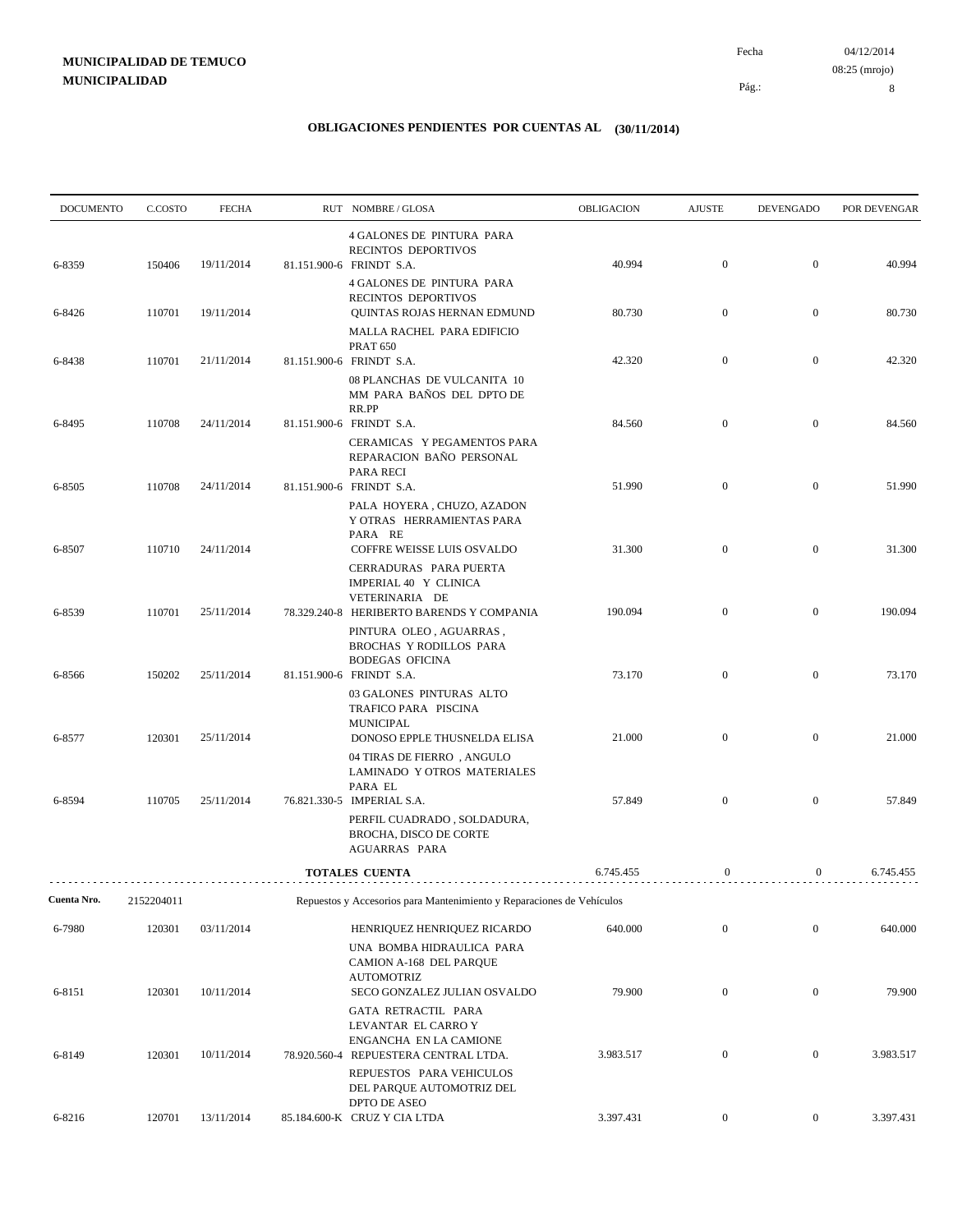04/12/2014 Fecha 08:25 (mrojo)

Pág.:

8

| <b>DOCUMENTO</b> | C.COSTO    | <b>FECHA</b> | RUT NOMBRE/GLOSA                                                                                       | OBLIGACION | <b>AJUSTE</b>    | <b>DEVENGADO</b> | POR DEVENGAR |
|------------------|------------|--------------|--------------------------------------------------------------------------------------------------------|------------|------------------|------------------|--------------|
| 6-8359           | 150406     | 19/11/2014   | <b>4 GALONES DE PINTURA PARA</b><br>RECINTOS DEPORTIVOS<br>81.151.900-6 FRINDT S.A.                    | 40.994     | $\mathbf{0}$     | $\mathbf{0}$     | 40.994       |
| 6-8426           | 110701     | 19/11/2014   | 4 GALONES DE PINTURA PARA<br>RECINTOS DEPORTIVOS<br>QUINTAS ROJAS HERNAN EDMUND                        | 80.730     | $\mathbf{0}$     | $\overline{0}$   | 80.730       |
|                  |            |              | MALLA RACHEL PARA EDIFICIO<br><b>PRAT 650</b>                                                          |            |                  |                  |              |
| 6-8438           | 110701     | 21/11/2014   | 81.151.900-6 FRINDT S.A.<br>08 PLANCHAS DE VULCANITA 10<br>MM PARA BAÑOS DEL DPTO DE<br>RR.PP          | 42.320     | $\mathbf{0}$     | $\mathbf{0}$     | 42.320       |
| 6-8495           | 110708     | 24/11/2014   | 81.151.900-6 FRINDT S.A.                                                                               | 84.560     | $\mathbf{0}$     | $\overline{0}$   | 84.560       |
| 6-8505           | 110708     | 24/11/2014   | CERAMICAS Y PEGAMENTOS PARA<br>REPARACION BAÑO PERSONAL<br>PARA RECI<br>81.151.900-6 FRINDT S.A.       | 51.990     | $\boldsymbol{0}$ | $\mathbf{0}$     | 51.990       |
| 6-8507           | 110710     | 24/11/2014   | PALA HOYERA, CHUZO, AZADON<br>Y OTRAS HERRAMIENTAS PARA<br>PARA RE<br>COFFRE WEISSE LUIS OSVALDO       | 31.300     | $\boldsymbol{0}$ | $\mathbf{0}$     | 31.300       |
|                  |            |              | CERRADURAS PARA PUERTA<br>IMPERIAL 40 Y CLINICA<br>VETERINARIA DE                                      |            |                  |                  |              |
| 6-8539           | 110701     | 25/11/2014   | 78.329.240-8 HERIBERTO BARENDS Y COMPANIA<br>PINTURA OLEO, AGUARRAS,<br><b>BROCHAS Y RODILLOS PARA</b> | 190.094    | $\boldsymbol{0}$ | $\overline{0}$   | 190.094      |
| 6-8566           | 150202     | 25/11/2014   | <b>BODEGAS OFICINA</b><br>81.151.900-6 FRINDT S.A.<br>03 GALONES PINTURAS ALTO                         | 73.170     | $\mathbf{0}$     | $\overline{0}$   | 73.170       |
| 6-8577           | 120301     | 25/11/2014   | TRAFICO PARA PISCINA<br><b>MUNICIPAL</b><br>DONOSO EPPLE THUSNELDA ELISA                               | 21.000     | $\mathbf{0}$     | $\overline{0}$   | 21.000       |
|                  |            |              | 04 TIRAS DE FIERRO, ANGULO<br>LAMINADO Y OTROS MATERIALES<br>PARA EL                                   |            |                  |                  |              |
| 6-8594           | 110705     | 25/11/2014   | 76.821.330-5 IMPERIAL S.A.<br>PERFIL CUADRADO, SOLDADURA,<br>BROCHA, DISCO DE CORTE<br>AGUARRAS PARA   | 57.849     | $\overline{0}$   | $\overline{0}$   | 57.849       |
|                  |            |              | <b>TOTALES CUENTA</b>                                                                                  | 6.745.455  | $\mathbf{0}$     | $\overline{0}$   | 6.745.455    |
| Cuenta Nro.      | 2152204011 |              | Repuestos y Accesorios para Mantenimiento y Reparaciones de Vehículos                                  |            |                  |                  |              |
| 6-7980           | 120301     | 03/11/2014   | HENRIQUEZ HENRIQUEZ RICARDO<br>UNA BOMBA HIDRAULICA PARA                                               | 640.000    | $\boldsymbol{0}$ | $\boldsymbol{0}$ | 640.000      |
| 6-8151           | 120301     | 10/11/2014   | CAMION A-168 DEL PARQUE<br><b>AUTOMOTRIZ</b><br>SECO GONZALEZ JULIAN OSVALDO                           | 79.900     | $\boldsymbol{0}$ | $\boldsymbol{0}$ | 79.900       |
|                  |            |              | GATA RETRACTIL PARA<br>LEVANTAR EL CARRO Y<br>ENGANCHA EN LA CAMIONE                                   |            |                  |                  |              |
| 6-8149           | 120301     | 10/11/2014   | 78.920.560-4 REPUESTERA CENTRAL LTDA.<br>REPUESTOS PARA VEHICULOS<br>DEL PARQUE AUTOMOTRIZ DEL         | 3.983.517  | $\boldsymbol{0}$ | $\boldsymbol{0}$ | 3.983.517    |
| 6-8216           | 120701     | 13/11/2014   | DPTO DE ASEO<br>85.184.600-K CRUZ Y CIA LTDA                                                           | 3.397.431  | $\overline{0}$   | $\mathbf{0}$     | 3.397.431    |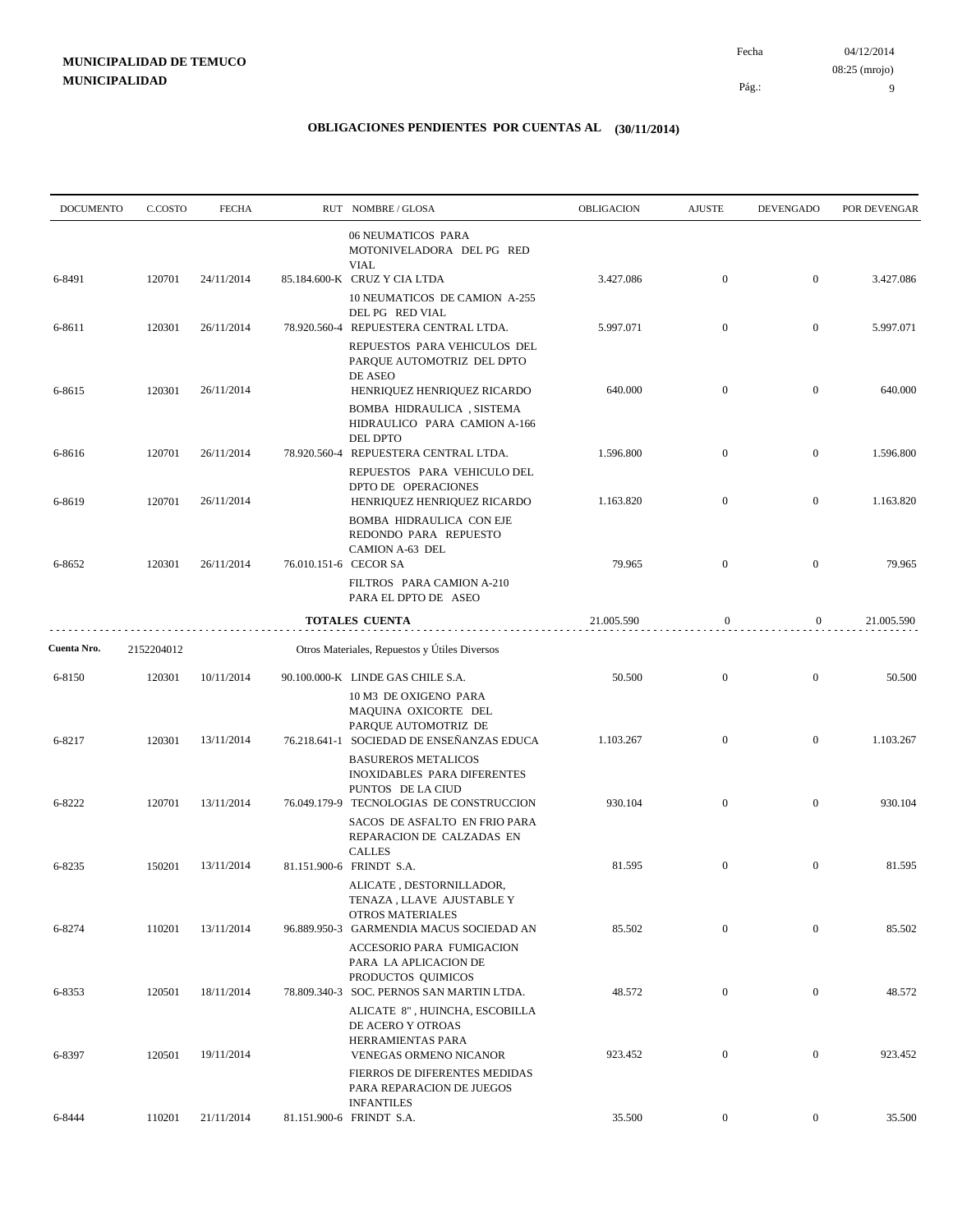Pág.:

9

| <b>DOCUMENTO</b> | C.COSTO    | <b>FECHA</b> |              | RUT NOMBRE/GLOSA                                                                                                                  | <b>OBLIGACION</b> | <b>AJUSTE</b>    | <b>DEVENGADO</b> | POR DEVENGAR |
|------------------|------------|--------------|--------------|-----------------------------------------------------------------------------------------------------------------------------------|-------------------|------------------|------------------|--------------|
|                  |            |              |              | <b>06 NEUMATICOS PARA</b><br>MOTONIVELADORA DEL PG RED<br><b>VIAL</b>                                                             |                   |                  |                  |              |
| 6-8491           | 120701     | 24/11/2014   |              | 85.184.600-K CRUZ Y CIA LTDA<br>10 NEUMATICOS DE CAMION A-255                                                                     | 3.427.086         | $\boldsymbol{0}$ | $\mathbf{0}$     | 3.427.086    |
| 6-8611           | 120301     | 26/11/2014   |              | DEL PG RED VIAL<br>78.920.560-4 REPUESTERA CENTRAL LTDA.                                                                          | 5.997.071         | $\boldsymbol{0}$ | $\mathbf{0}$     | 5.997.071    |
| 6-8615           | 120301     | 26/11/2014   |              | REPUESTOS PARA VEHICULOS DEL<br>PARQUE AUTOMOTRIZ DEL DPTO<br>DE ASEO<br>HENRIQUEZ HENRIQUEZ RICARDO<br>BOMBA HIDRAULICA, SISTEMA | 640.000           | $\boldsymbol{0}$ | $\boldsymbol{0}$ | 640.000      |
| 6-8616           | 120701     | 26/11/2014   | 78.920.560-4 | HIDRAULICO PARA CAMION A-166<br>DEL DPTO<br>REPUESTERA CENTRAL LTDA.                                                              | 1.596.800         | $\boldsymbol{0}$ | $\boldsymbol{0}$ | 1.596.800    |
| 6-8619           | 120701     | 26/11/2014   |              | REPUESTOS PARA VEHICULO DEL<br>DPTO DE OPERACIONES<br>HENRIQUEZ HENRIQUEZ RICARDO                                                 | 1.163.820         | $\mathbf{0}$     | $\mathbf{0}$     | 1.163.820    |
| 6-8652           | 120301     | 26/11/2014   |              | BOMBA HIDRAULICA CON EJE<br>REDONDO PARA REPUESTO<br>CAMION A-63 DEL<br>76.010.151-6 CECOR SA<br>FILTROS PARA CAMION A-210        | 79.965            | $\boldsymbol{0}$ | $\boldsymbol{0}$ | 79.965       |
|                  |            |              |              | PARA EL DPTO DE ASEO<br><b>TOTALES CUENTA</b>                                                                                     | 21.005.590        | $\boldsymbol{0}$ | $\bf{0}$         | 21.005.590   |
| Cuenta Nro.      | 2152204012 |              |              | Otros Materiales, Repuestos y Útiles Diversos                                                                                     |                   |                  |                  |              |
| 6-8150           | 120301     | 10/11/2014   |              | 90.100.000-K LINDE GAS CHILE S.A.                                                                                                 | 50.500            | $\boldsymbol{0}$ | $\mathbf{0}$     | 50.500       |
| 6-8217           | 120301     | 13/11/2014   |              | 10 M3 DE OXIGENO PARA<br>MAQUINA OXICORTE DEL<br>PARQUE AUTOMOTRIZ DE<br>76.218.641-1 SOCIEDAD DE ENSEÑANZAS EDUCA                | 1.103.267         | $\boldsymbol{0}$ | $\mathbf{0}$     | 1.103.267    |
| 6-8222           | 120701     | 13/11/2014   |              | <b>BASUREROS METALICOS</b><br><b>INOXIDABLES PARA DIFERENTES</b><br>PUNTOS DE LA CIUD<br>76.049.179-9 TECNOLOGIAS DE CONSTRUCCION | 930.104           | $\boldsymbol{0}$ | $\boldsymbol{0}$ | 930.104      |
|                  |            |              |              | SACOS DE ASFALTO EN FRIO PARA<br>REPARACION DE CALZADAS EN<br><b>CALLES</b>                                                       |                   |                  |                  |              |
| 6-8235           | 150201     | 13/11/2014   |              | 81.151.900-6 FRINDT S.A.<br>ALICATE, DESTORNILLADOR,<br>TENAZA , LLAVE AJUSTABLE Y<br>OTROS MATERIALES                            | 81.595            | $\boldsymbol{0}$ | $\mathbf{0}$     | 81.595       |
| 6-8274           | 110201     | 13/11/2014   |              | 96.889.950-3 GARMENDIA MACUS SOCIEDAD AN<br>ACCESORIO PARA FUMIGACION                                                             | 85.502            | $\boldsymbol{0}$ | $\boldsymbol{0}$ | 85.502       |
| 6-8353           | 120501     | 18/11/2014   |              | PARA LA APLICACION DE<br>PRODUCTOS QUIMICOS<br>78.809.340-3 SOC. PERNOS SAN MARTIN LTDA.                                          | 48.572            | $\boldsymbol{0}$ | $\overline{0}$   | 48.572       |
| 6-8397           | 120501     | 19/11/2014   |              | ALICATE 8", HUINCHA, ESCOBILLA<br>DE ACERO Y OTROAS<br>HERRAMIENTAS PARA<br>VENEGAS ORMENO NICANOR                                | 923.452           | $\boldsymbol{0}$ | $\boldsymbol{0}$ | 923.452      |
|                  |            |              |              | FIERROS DE DIFERENTES MEDIDAS<br>PARA REPARACION DE JUEGOS<br><b>INFANTILES</b>                                                   |                   |                  |                  |              |
| 6-8444           | 110201     | 21/11/2014   |              | 81.151.900-6 FRINDT S.A.                                                                                                          | 35.500            | $\overline{0}$   | $\boldsymbol{0}$ | 35.500       |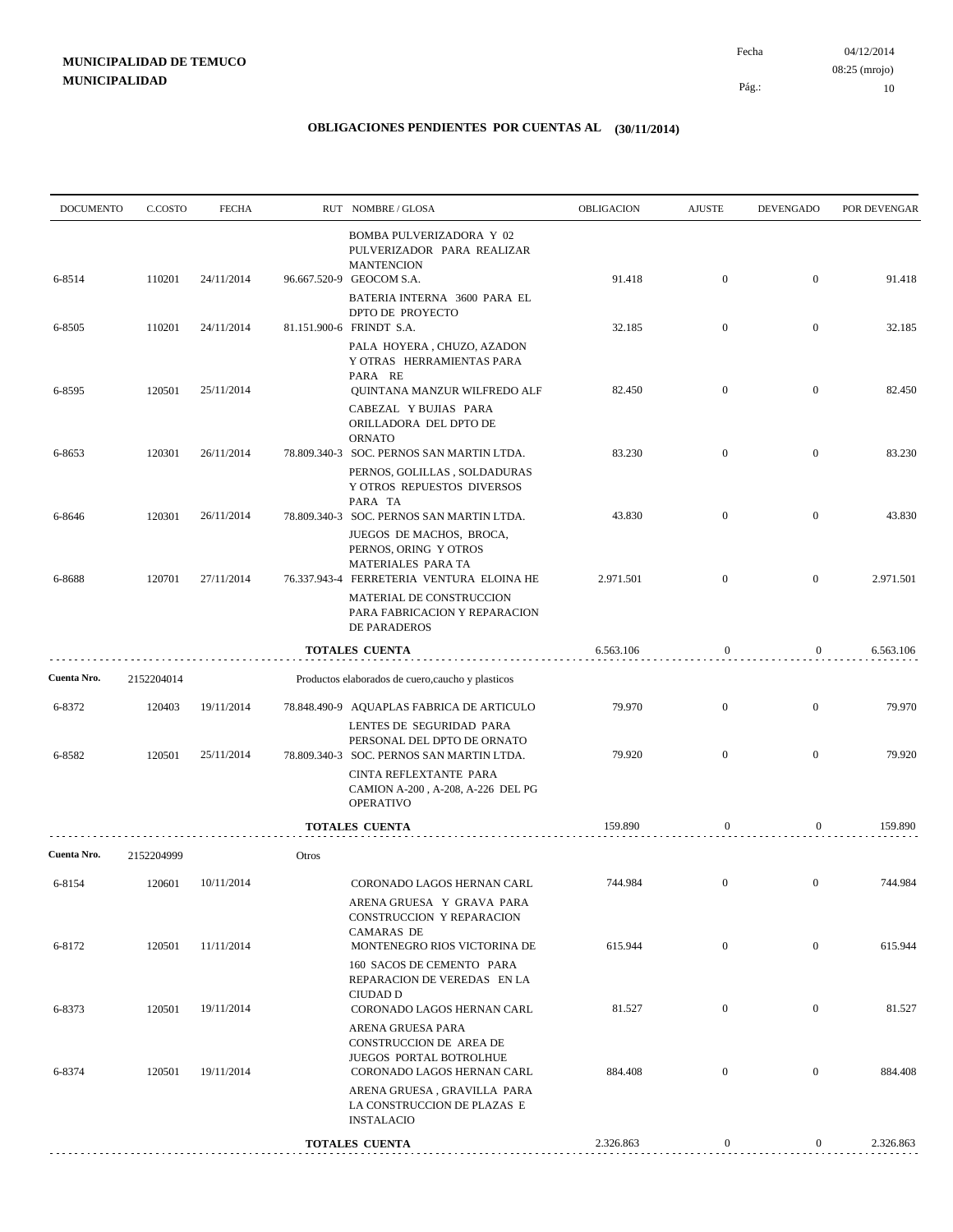| <b>DOCUMENTO</b> | C.COSTO    | <b>FECHA</b> |       | RUT NOMBRE/GLOSA                                                                                                       | OBLIGACION | <b>AJUSTE</b>    | <b>DEVENGADO</b> | POR DEVENGAR |
|------------------|------------|--------------|-------|------------------------------------------------------------------------------------------------------------------------|------------|------------------|------------------|--------------|
| 6-8514           | 110201     | 24/11/2014   |       | <b>BOMBA PULVERIZADORA Y 02</b><br>PULVERIZADOR PARA REALIZAR<br><b>MANTENCION</b><br>96.667.520-9 GEOCOM S.A.         | 91.418     | $\mathbf{0}$     | $\overline{0}$   | 91.418       |
|                  |            |              |       | BATERIA INTERNA 3600 PARA EL<br>DPTO DE PROYECTO                                                                       |            |                  |                  |              |
| 6-8505           | 110201     | 24/11/2014   |       | 81.151.900-6 FRINDT S.A.<br>PALA HOYERA, CHUZO, AZADON<br>Y OTRAS HERRAMIENTAS PARA                                    | 32.185     | $\mathbf{0}$     | $\mathbf{0}$     | 32.185       |
| 6-8595           | 120501     | 25/11/2014   |       | PARA RE<br>QUINTANA MANZUR WILFREDO ALF                                                                                | 82.450     | $\mathbf{0}$     | $\overline{0}$   | 82.450       |
|                  |            |              |       | CABEZAL YBUJIAS PARA<br>ORILLADORA DEL DPTO DE<br><b>ORNATO</b>                                                        |            |                  |                  |              |
| 6-8653           | 120301     | 26/11/2014   |       | 78.809.340-3 SOC. PERNOS SAN MARTIN LTDA.<br>PERNOS, GOLILLAS, SOLDADURAS                                              | 83.230     | $\mathbf{0}$     | $\boldsymbol{0}$ | 83.230       |
| 6-8646           | 120301     | 26/11/2014   |       | Y OTROS REPUESTOS DIVERSOS<br>PARA TA<br>78.809.340-3 SOC. PERNOS SAN MARTIN LTDA.                                     | 43.830     | $\mathbf{0}$     | $\overline{0}$   | 43.830       |
|                  |            |              |       | JUEGOS DE MACHOS, BROCA,<br>PERNOS, ORING Y OTROS<br>MATERIALES PARA TA                                                |            |                  |                  |              |
| 6-8688           | 120701     | 27/11/2014   |       | 76.337.943-4 FERRETERIA VENTURA ELOINA HE<br>MATERIAL DE CONSTRUCCION<br>PARA FABRICACION Y REPARACION<br>DE PARADEROS | 2.971.501  | $\mathbf{0}$     | $\mathbf{0}$     | 2.971.501    |
|                  |            |              |       | <b>TOTALES CUENTA</b>                                                                                                  | 6.563.106  | $\boldsymbol{0}$ | $\overline{0}$   | 6.563.106    |
| Cuenta Nro.      | 2152204014 |              |       | Productos elaborados de cuero, caucho y plasticos                                                                      |            |                  |                  |              |
| 6-8372           | 120403     | 19/11/2014   |       | 78.848.490-9 AQUAPLAS FABRICA DE ARTICULO                                                                              | 79.970     | $\mathbf{0}$     | $\boldsymbol{0}$ | 79.970       |
| 6-8582           | 120501     | 25/11/2014   |       | LENTES DE SEGURIDAD PARA<br>PERSONAL DEL DPTO DE ORNATO<br>78.809.340-3 SOC. PERNOS SAN MARTIN LTDA.                   | 79.920     | $\mathbf{0}$     | $\mathbf{0}$     | 79.920       |
|                  |            |              |       | CINTA REFLEXTANTE PARA<br>CAMION A-200, A-208, A-226 DEL PG<br><b>OPERATIVO</b>                                        |            |                  |                  |              |
|                  |            |              |       | <b>TOTALES CUENTA</b>                                                                                                  | 159.890    | $\mathbf{0}$     | $\boldsymbol{0}$ | 159.890      |
| Cuenta Nro.      | 2152204999 |              | Otros |                                                                                                                        |            |                  |                  |              |
| 6-8154           | 120601     | 10/11/2014   |       | CORONADO LAGOS HERNAN CARL<br>ARENA GRUESA Y GRAVA PARA                                                                | 744.984    | $\mathbf{0}$     | $\mathbf{0}$     | 744.984      |
| 6-8172           | 120501     | 11/11/2014   |       | CONSTRUCCION Y REPARACION<br><b>CAMARAS DE</b><br>MONTENEGRO RIOS VICTORINA DE                                         | 615.944    | $\mathbf{0}$     | $\boldsymbol{0}$ | 615.944      |
|                  |            |              |       | 160 SACOS DE CEMENTO PARA<br>REPARACION DE VEREDAS EN LA<br>CIUDAD D                                                   |            |                  |                  |              |
| 6-8373           | 120501     | 19/11/2014   |       | CORONADO LAGOS HERNAN CARL<br>ARENA GRUESA PARA                                                                        | 81.527     | $\mathbf{0}$     | $\mathbf{0}$     | 81.527       |
| 6-8374           | 120501     | 19/11/2014   |       | CONSTRUCCION DE AREA DE<br>JUEGOS PORTAL BOTROLHUE<br>CORONADO LAGOS HERNAN CARL                                       | 884.408    | $\mathbf{0}$     | $\mathbf{0}$     | 884.408      |
|                  |            |              |       | ARENA GRUESA, GRAVILLA PARA<br>LA CONSTRUCCION DE PLAZAS E<br><b>INSTALACIO</b>                                        |            |                  |                  |              |
|                  |            |              |       | <b>TOTALES CUENTA</b>                                                                                                  | 2.326.863  | $\boldsymbol{0}$ | $\boldsymbol{0}$ | 2.326.863    |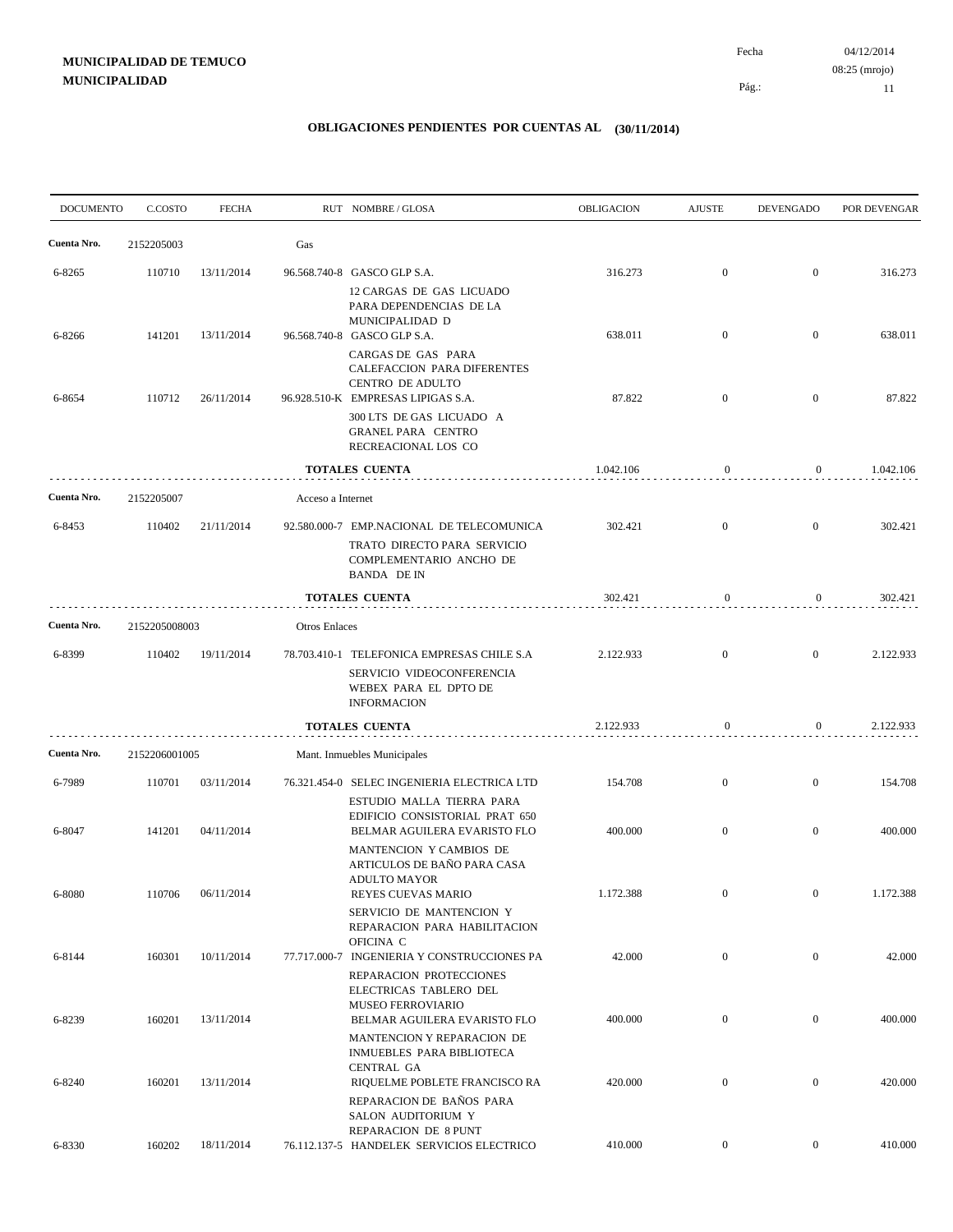04/12/2014 11 Pág.: Fecha 08:25 (mrojo)

| <b>DOCUMENTO</b> | C.COSTO       | <b>FECHA</b> |                   | RUT NOMBRE / GLOSA                                                                                                                      | <b>OBLIGACION</b> | <b>AJUSTE</b>    | <b>DEVENGADO</b> | POR DEVENGAR |
|------------------|---------------|--------------|-------------------|-----------------------------------------------------------------------------------------------------------------------------------------|-------------------|------------------|------------------|--------------|
| Cuenta Nro.      | 2152205003    |              | Gas               |                                                                                                                                         |                   |                  |                  |              |
| 6-8265           | 110710        | 13/11/2014   |                   | 96.568.740-8 GASCO GLP S.A.                                                                                                             | 316.273           | $\boldsymbol{0}$ | $\boldsymbol{0}$ | 316.273      |
| 6-8266           | 141201        | 13/11/2014   |                   | 12 CARGAS DE GAS LICUADO<br>PARA DEPENDENCIAS DE LA<br>MUNICIPALIDAD D<br>96.568.740-8 GASCO GLP S.A.                                   | 638.011           | $\boldsymbol{0}$ | $\overline{0}$   | 638.011      |
| 6-8654           | 110712        | 26/11/2014   |                   | CARGAS DE GAS PARA<br>CALEFACCION PARA DIFERENTES<br>CENTRO DE ADULTO<br>96.928.510-K EMPRESAS LIPIGAS S.A.<br>300 LTS DE GAS LICUADO A | 87.822            | $\boldsymbol{0}$ | $\boldsymbol{0}$ | 87.822       |
|                  |               |              |                   | <b>GRANEL PARA CENTRO</b><br>RECREACIONAL LOS CO                                                                                        |                   |                  |                  |              |
|                  |               |              |                   | <b>TOTALES CUENTA</b>                                                                                                                   | 1.042.106         | $\mathbf{0}$     | $\overline{0}$   | 1.042.106    |
| Cuenta Nro.      | 2152205007    |              | Acceso a Internet |                                                                                                                                         |                   |                  |                  |              |
| 6-8453           | 110402        | 21/11/2014   |                   | 92.580.000-7 EMP.NACIONAL DE TELECOMUNICA<br>TRATO DIRECTO PARA SERVICIO<br>COMPLEMENTARIO ANCHO DE<br><b>BANDA DEIN</b>                | 302.421           | $\boldsymbol{0}$ | $\mathbf{0}$     | 302.421      |
|                  |               |              |                   | TOTALES CUENTA                                                                                                                          | 302.421           | $\mathbf{0}$     | $\overline{0}$   | 302.421      |
| Cuenta Nro.      | 2152205008003 |              | Otros Enlaces     |                                                                                                                                         |                   |                  |                  |              |
| 6-8399           | 110402        | 19/11/2014   |                   | 78.703.410-1 TELEFONICA EMPRESAS CHILE S.A<br>SERVICIO VIDEOCONFERENCIA<br>WEBEX PARA EL DPTO DE<br><b>INFORMACION</b>                  | 2.122.933         | $\boldsymbol{0}$ | $\boldsymbol{0}$ | 2.122.933    |
|                  |               |              |                   | TOTALES CUENTA                                                                                                                          | 2.122.933         | $\mathbf{0}$     | $\overline{0}$   | 2.122.933    |
| Cuenta Nro.      | 2152206001005 |              |                   | Mant. Inmuebles Municipales                                                                                                             |                   |                  |                  |              |
| 6-7989           | 110701        | 03/11/2014   |                   | 76.321.454-0 SELEC INGENIERIA ELECTRICA LTD<br>ESTUDIO MALLA TIERRA PARA<br>EDIFICIO CONSISTORIAL PRAT 650                              | 154.708           | $\boldsymbol{0}$ | $\overline{0}$   | 154.708      |
| 6-8047           | 141201        | 04/11/2014   |                   | BELMAR AGUILERA EVARISTO FLO<br>MANTENCION Y CAMBIOS DE<br>ARTICULOS DE BAÑO PARA CASA                                                  | 400.000           | $\boldsymbol{0}$ | $\boldsymbol{0}$ | 400.000      |
| 6-8080           | 110706        | 06/11/2014   |                   | ADULTO MAYOR<br>REYES CUEVAS MARIO<br>SERVICIO DE MANTENCION Y                                                                          | 1.172.388         | $\mathbf{0}$     |                  | 1.172.388    |
| 6-8144           | 160301        | 10/11/2014   |                   | REPARACION PARA HABILITACION<br>OFICINA C<br>77.717.000-7 INGENIERIA Y CONSTRUCCIONES PA                                                | 42.000            | $\boldsymbol{0}$ | $\boldsymbol{0}$ | 42.000       |
| 6-8239           | 160201        | 13/11/2014   |                   | REPARACION PROTECCIONES<br>ELECTRICAS TABLERO DEL<br>MUSEO FERROVIARIO<br>BELMAR AGUILERA EVARISTO FLO                                  | 400.000           | $\boldsymbol{0}$ | $\boldsymbol{0}$ | 400.000      |
|                  |               |              |                   | MANTENCION Y REPARACION DE<br>INMUEBLES PARA BIBLIOTECA<br><b>CENTRAL GA</b>                                                            |                   |                  |                  |              |
| 6-8240           | 160201        | 13/11/2014   |                   | RIQUELME POBLETE FRANCISCO RA<br>REPARACION DE BAÑOS PARA<br>SALON AUDITORIUM Y<br>REPARACION DE 8 PUNT                                 | 420.000           | $\boldsymbol{0}$ | $\boldsymbol{0}$ | 420.000      |
| 6-8330           | 160202        | 18/11/2014   |                   | 76.112.137-5 HANDELEK SERVICIOS ELECTRICO                                                                                               | 410.000           | $\boldsymbol{0}$ | $\mathbf{0}$     | 410.000      |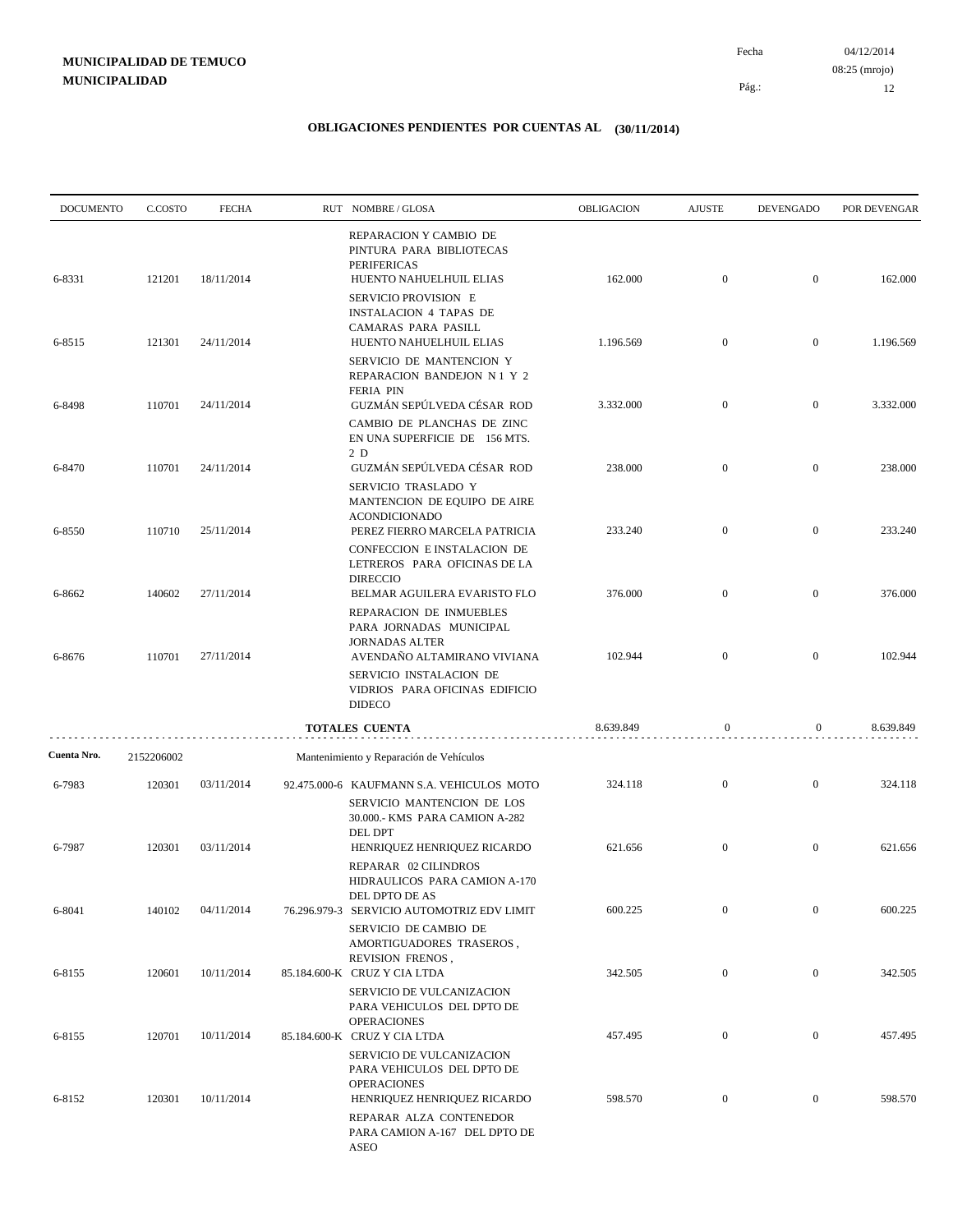04/12/2014 12 Pág.: Fecha 08:25 (mrojo)

| <b>DOCUMENTO</b> | C.COSTO    | <b>FECHA</b> | RUT NOMBRE/GLOSA                                                                                                      | OBLIGACION | <b>AJUSTE</b>    | <b>DEVENGADO</b> | POR DEVENGAR |
|------------------|------------|--------------|-----------------------------------------------------------------------------------------------------------------------|------------|------------------|------------------|--------------|
| 6-8331           | 121201     | 18/11/2014   | REPARACION Y CAMBIO DE<br>PINTURA PARA BIBLIOTECAS<br><b>PERIFERICAS</b><br>HUENTO NAHUELHUIL ELIAS                   | 162.000    | $\mathbf{0}$     | $\overline{0}$   | 162.000      |
|                  |            |              | SERVICIO PROVISION E<br>INSTALACION 4 TAPAS DE<br>CAMARAS PARA PASILL                                                 |            |                  |                  |              |
| 6-8515           | 121301     | 24/11/2014   | HUENTO NAHUELHUIL ELIAS<br>SERVICIO DE MANTENCION Y<br>REPARACION BANDEJON N1 Y 2                                     | 1.196.569  | $\mathbf{0}$     | $\overline{0}$   | 1.196.569    |
| 6-8498           | 110701     | 24/11/2014   | <b>FERIA PIN</b><br>GUZMÁN SEPÚLVEDA CÉSAR ROD                                                                        | 3.332.000  | $\mathbf{0}$     | $\mathbf{0}$     | 3.332.000    |
|                  |            |              | CAMBIO DE PLANCHAS DE ZINC<br>EN UNA SUPERFICIE DE 156 MTS.<br>2 D                                                    |            |                  |                  |              |
| 6-8470           | 110701     | 24/11/2014   | GUZMÁN SEPÚLVEDA CÉSAR ROD<br>SERVICIO TRASLADO Y<br>MANTENCION DE EQUIPO DE AIRE                                     | 238.000    | $\mathbf{0}$     | $\mathbf{0}$     | 238.000      |
| 6-8550           | 110710     | 25/11/2014   | <b>ACONDICIONADO</b><br>PEREZ FIERRO MARCELA PATRICIA                                                                 | 233.240    | $\mathbf{0}$     | $\overline{0}$   | 233.240      |
| 6-8662           | 140602     | 27/11/2014   | CONFECCION E INSTALACION DE<br>LETREROS PARA OFICINAS DE LA<br><b>DIRECCIO</b><br>BELMAR AGUILERA EVARISTO FLO        | 376.000    | $\mathbf{0}$     | $\mathbf{0}$     | 376.000      |
|                  |            |              | REPARACION DE INMUEBLES<br>PARA JORNADAS MUNICIPAL<br><b>JORNADAS ALTER</b>                                           |            |                  |                  |              |
| 6-8676           | 110701     | 27/11/2014   | AVENDAÑO ALTAMIRANO VIVIANA<br>SERVICIO INSTALACION DE<br>VIDRIOS PARA OFICINAS EDIFICIO<br><b>DIDECO</b>             | 102.944    | $\overline{0}$   | $\mathbf{0}$     | 102.944      |
|                  |            |              | <b>TOTALES CUENTA</b>                                                                                                 | 8.639.849  | 0                | $\boldsymbol{0}$ | 8.639.849    |
| Cuenta Nro.      | 2152206002 |              | Mantenimiento y Reparación de Vehículos                                                                               |            |                  |                  |              |
| 6-7983           | 120301     | 03/11/2014   | 92.475.000-6 KAUFMANN S.A. VEHICULOS MOTO<br>SERVICIO MANTENCION DE LOS<br>30.000 .- KMS PARA CAMION A-282<br>DEL DPT | 324.118    | $\mathbf{0}$     | $\bf{0}$         | 324.118      |
| 6-7987           | 120301     | 03/11/2014   | HENRIQUEZ HENRIQUEZ RICARDO<br>REPARAR 02 CILINDROS<br>HIDRAULICOS PARA CAMION A-170                                  | 621.656    | $\mathbf{0}$     | $\overline{0}$   | 621.656      |
| 6-8041           | 140102     | 04/11/2014   | DEL DPTO DE AS<br>76.296.979-3 SERVICIO AUTOMOTRIZ EDV LIMIT<br>SERVICIO DE CAMBIO DE                                 | 600.225    | $\mathbf{0}$     | $\bf{0}$         | 600.225      |
| 6-8155           | 120601     | 10/11/2014   | AMORTIGUADORES TRASEROS,<br>REVISION FRENOS,<br>85.184.600-K CRUZ Y CIA LTDA                                          | 342.505    | $\boldsymbol{0}$ | $\mathbf{0}$     | 342.505      |
|                  |            |              | SERVICIO DE VULCANIZACION<br>PARA VEHICULOS DEL DPTO DE<br><b>OPERACIONES</b>                                         |            |                  |                  |              |
| 6-8155           | 120701     | 10/11/2014   | 85.184.600-K CRUZ Y CIA LTDA<br>SERVICIO DE VULCANIZACION<br>PARA VEHICULOS DEL DPTO DE                               | 457.495    | $\boldsymbol{0}$ | $\mathbf{0}$     | 457.495      |
| 6-8152           | 120301     | 10/11/2014   | <b>OPERACIONES</b><br>HENRIQUEZ HENRIQUEZ RICARDO<br>REPARAR ALZA CONTENEDOR<br>PARA CAMION A-167 DEL DPTO DE<br>ASEO | 598.570    | $\boldsymbol{0}$ | $\overline{0}$   | 598.570      |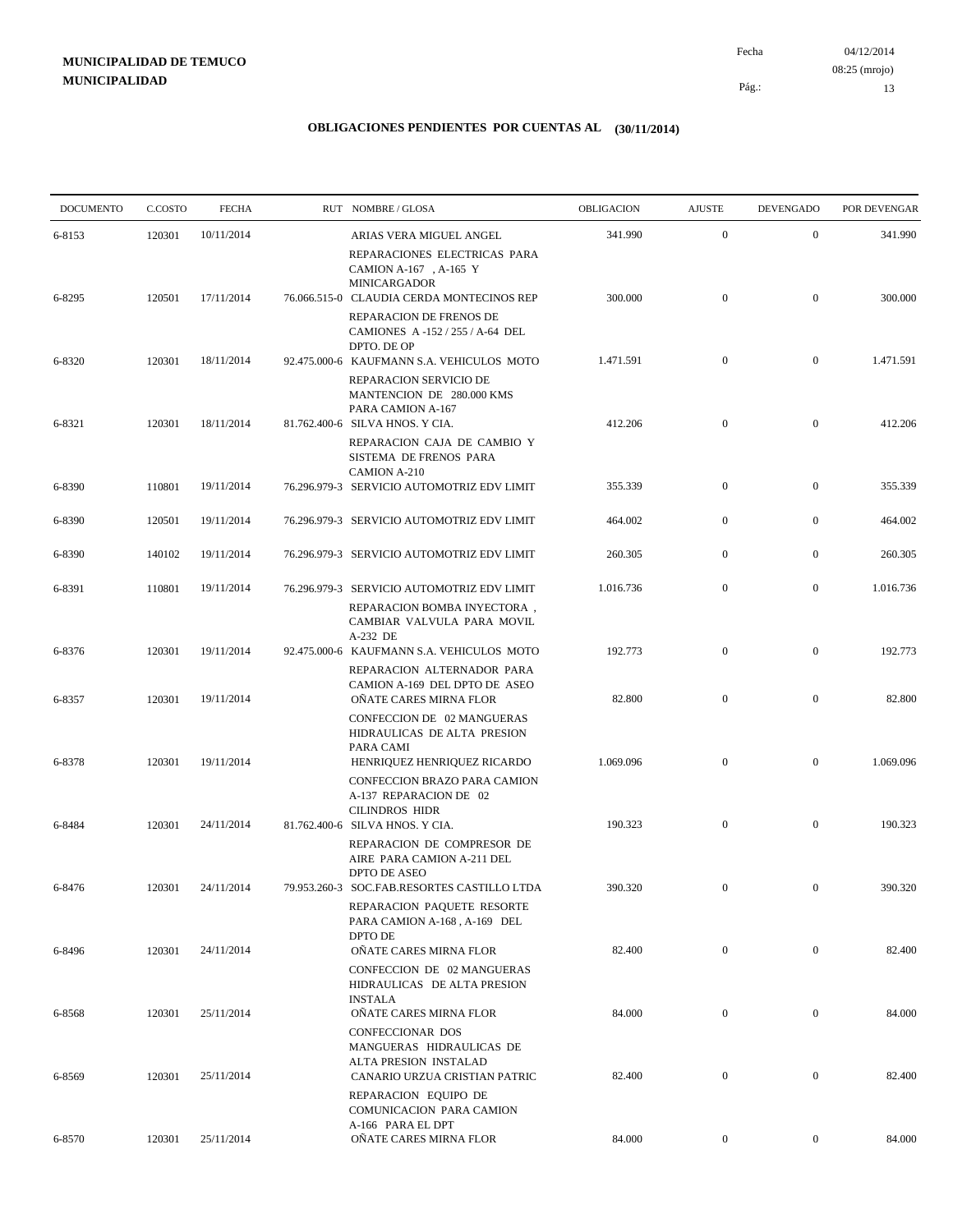| <b>DOCUMENTO</b> | C.COSTO | <b>FECHA</b> | RUT NOMBRE/GLOSA                                                                                                      | <b>OBLIGACION</b> | <b>AJUSTE</b>    | <b>DEVENGADO</b> | POR DEVENGAR |
|------------------|---------|--------------|-----------------------------------------------------------------------------------------------------------------------|-------------------|------------------|------------------|--------------|
| 6-8153           | 120301  | 10/11/2014   | ARIAS VERA MIGUEL ANGEL                                                                                               | 341.990           | $\mathbf{0}$     | $\mathbf{0}$     | 341.990      |
|                  |         |              | REPARACIONES ELECTRICAS PARA<br>CAMION A-167, A-165 Y<br><b>MINICARGADOR</b>                                          |                   |                  |                  |              |
| 6-8295           | 120501  | 17/11/2014   | 76.066.515-0 CLAUDIA CERDA MONTECINOS REP                                                                             | 300.000           | $\boldsymbol{0}$ | $\mathbf{0}$     | 300.000      |
|                  |         |              | REPARACION DE FRENOS DE<br>CAMIONES A-152/255/A-64 DEL<br>DPTO. DE OP                                                 |                   |                  |                  |              |
| 6-8320           | 120301  | 18/11/2014   | 92.475.000-6 KAUFMANN S.A. VEHICULOS MOTO<br>REPARACION SERVICIO DE<br>MANTENCION DE 280.000 KMS<br>PARA CAMION A-167 | 1.471.591         | $\mathbf{0}$     | $\mathbf{0}$     | 1.471.591    |
| 6-8321           | 120301  | 18/11/2014   | 81.762.400-6 SILVA HNOS. Y CIA.<br>REPARACION CAJA DE CAMBIO Y<br>SISTEMA DE FRENOS PARA<br><b>CAMION A-210</b>       | 412.206           | $\mathbf{0}$     | $\mathbf{0}$     | 412.206      |
| 6-8390           | 110801  | 19/11/2014   | 76.296.979-3 SERVICIO AUTOMOTRIZ EDV LIMIT                                                                            | 355.339           | $\boldsymbol{0}$ | $\mathbf{0}$     | 355.339      |
| 6-8390           | 120501  | 19/11/2014   | 76.296.979-3 SERVICIO AUTOMOTRIZ EDV LIMIT                                                                            | 464.002           | $\boldsymbol{0}$ | $\mathbf{0}$     | 464.002      |
| 6-8390           | 140102  | 19/11/2014   | 76.296.979-3 SERVICIO AUTOMOTRIZ EDV LIMIT                                                                            | 260.305           | $\overline{0}$   | $\mathbf{0}$     | 260.305      |
| 6-8391           | 110801  | 19/11/2014   | 76.296.979-3 SERVICIO AUTOMOTRIZ EDV LIMIT                                                                            | 1.016.736         | $\boldsymbol{0}$ | $\mathbf{0}$     | 1.016.736    |
|                  |         |              | REPARACION BOMBA INYECTORA,<br>CAMBIAR VALVULA PARA MOVIL<br>A-232 DE                                                 |                   |                  |                  |              |
| 6-8376           | 120301  | 19/11/2014   | 92.475.000-6 KAUFMANN S.A. VEHICULOS MOTO<br>REPARACION ALTERNADOR PARA                                               | 192.773           | $\boldsymbol{0}$ | $\mathbf{0}$     | 192.773      |
| 6-8357           | 120301  | 19/11/2014   | CAMION A-169 DEL DPTO DE ASEO<br>OÑATE CARES MIRNA FLOR                                                               | 82.800            | $\boldsymbol{0}$ | $\mathbf{0}$     | 82.800       |
|                  |         |              | CONFECCION DE 02 MANGUERAS<br>HIDRAULICAS DE ALTA PRESION<br>PARA CAMI                                                |                   |                  |                  |              |
| 6-8378           | 120301  | 19/11/2014   | HENRIQUEZ HENRIQUEZ RICARDO<br>CONFECCION BRAZO PARA CAMION<br>A-137 REPARACION DE 02                                 | 1.069.096         | $\mathbf{0}$     | $\mathbf{0}$     | 1.069.096    |
| 6-8484           | 120301  | 24/11/2014   | <b>CILINDROS HIDR</b><br>81.762.400-6 SILVA HNOS. Y CIA.                                                              | 190.323           | $\mathbf{0}$     | $\mathbf{0}$     | 190.323      |
|                  |         |              | REPARACION DE COMPRESOR DE<br>AIRE PARA CAMION A-211 DEL<br>DPTO DE ASEO                                              |                   |                  |                  |              |
| 6-8476           | 120301  | 24/11/2014   | 79.953.260-3 SOC.FAB.RESORTES CASTILLO LTDA<br>REPARACION PAQUETE RESORTE                                             | 390.320           | $\mathbf{0}$     | $\mathbf{0}$     | 390.320      |
|                  |         |              | PARA CAMION A-168, A-169 DEL<br>DPTO DE                                                                               |                   |                  | $\mathbf{0}$     | 82.400       |
| 6-8496           | 120301  | 24/11/2014   | OÑATE CARES MIRNA FLOR<br>CONFECCION DE 02 MANGUERAS<br>HIDRAULICAS DE ALTA PRESION                                   | 82.400            | $\boldsymbol{0}$ |                  |              |
| 6-8568           | 120301  | 25/11/2014   | <b>INSTALA</b><br>OÑATE CARES MIRNA FLOR                                                                              | 84.000            | $\boldsymbol{0}$ | $\boldsymbol{0}$ | 84.000       |
| 6-8569           | 120301  | 25/11/2014   | <b>CONFECCIONAR DOS</b><br>MANGUERAS HIDRAULICAS DE<br>ALTA PRESION INSTALAD<br>CANARIO URZUA CRISTIAN PATRIC         | 82.400            | $\mathbf{0}$     | $\mathbf{0}$     | 82.400       |
|                  |         |              | REPARACION EQUIPO DE<br>COMUNICACION PARA CAMION                                                                      |                   |                  |                  |              |
| 6-8570           | 120301  | 25/11/2014   | A-166 PARA EL DPT<br>OÑATE CARES MIRNA FLOR                                                                           | 84.000            | $\boldsymbol{0}$ | $\boldsymbol{0}$ | 84.000       |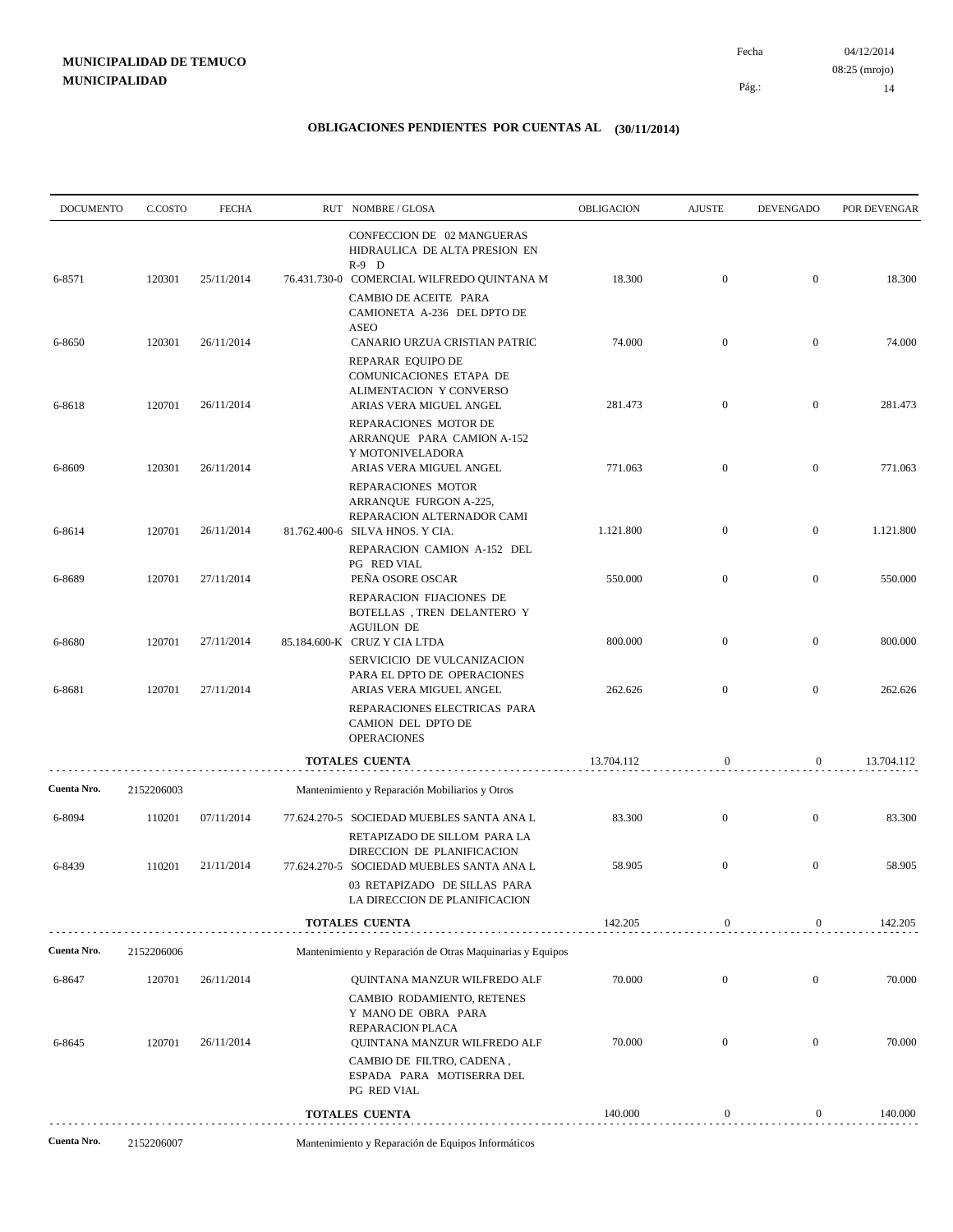| <b>DOCUMENTO</b> | C.COSTO    | <b>FECHA</b> | RUT NOMBRE/GLOSA                                                                                                                                                             | <b>OBLIGACION</b> | <b>AJUSTE</b>    | <b>DEVENGADO</b> | POR DEVENGAR |
|------------------|------------|--------------|------------------------------------------------------------------------------------------------------------------------------------------------------------------------------|-------------------|------------------|------------------|--------------|
| 6-8571           | 120301     | 25/11/2014   | CONFECCION DE 02 MANGUERAS<br>HIDRAULICA DE ALTA PRESION EN<br>$R-9$ D<br>76.431.730-0 COMERCIAL WILFREDO QUINTANA M<br>CAMBIO DE ACEITE PARA<br>CAMIONETA A-236 DEL DPTO DE | 18.300            | $\mathbf{0}$     | $\overline{0}$   | 18.300       |
| 6-8650           | 120301     | 26/11/2014   | <b>ASEO</b><br>CANARIO URZUA CRISTIAN PATRIC                                                                                                                                 | 74.000            | $\mathbf{0}$     | $\boldsymbol{0}$ | 74.000       |
| 6-8618           | 120701     | 26/11/2014   | REPARAR EQUIPO DE<br>COMUNICACIONES ETAPA DE<br>ALIMENTACION Y CONVERSO<br>ARIAS VERA MIGUEL ANGEL<br>REPARACIONES MOTOR DE<br>ARRANQUE PARA CAMION A-152                    | 281.473           | $\mathbf{0}$     | $\mathbf{0}$     | 281.473      |
| 6-8609           | 120301     | 26/11/2014   | Y MOTONIVELADORA<br>ARIAS VERA MIGUEL ANGEL                                                                                                                                  | 771.063           | $\mathbf{0}$     | $\boldsymbol{0}$ | 771.063      |
| 6-8614           | 120701     | 26/11/2014   | REPARACIONES MOTOR<br>ARRANQUE FURGON A-225,<br>REPARACION ALTERNADOR CAMI<br>81.762.400-6 SILVA HNOS. Y CIA.<br>REPARACION CAMION A-152 DEL                                 | 1.121.800         | $\mathbf{0}$     | $\boldsymbol{0}$ | 1.121.800    |
| 6-8689           | 120701     | 27/11/2014   | PG RED VIAL<br>PEÑA OSORE OSCAR<br>REPARACION FIJACIONES DE<br>BOTELLAS, TREN DELANTERO Y                                                                                    | 550.000           | $\mathbf{0}$     | $\boldsymbol{0}$ | 550.000      |
| 6-8680           | 120701     | 27/11/2014   | <b>AGUILON DE</b><br>85.184.600-K CRUZ Y CIA LTDA<br>SERVICICIO DE VULCANIZACION                                                                                             | 800.000           | $\mathbf{0}$     | $\mathbf{0}$     | 800.000      |
| 6-8681           | 120701     | 27/11/2014   | PARA EL DPTO DE OPERACIONES<br>ARIAS VERA MIGUEL ANGEL                                                                                                                       | 262.626           | $\overline{0}$   | $\mathbf{0}$     | 262.626      |
|                  |            |              | REPARACIONES ELECTRICAS PARA<br>CAMION DEL DPTO DE<br><b>OPERACIONES</b>                                                                                                     |                   |                  |                  |              |
|                  |            |              | <b>TOTALES CUENTA</b>                                                                                                                                                        | 13.704.112        | $\boldsymbol{0}$ | $\boldsymbol{0}$ | 13.704.112   |
| Cuenta Nro.      | 2152206003 |              | Mantenimiento y Reparación Mobiliarios y Otros                                                                                                                               |                   |                  |                  |              |
| 6-8094           | 110201     | 07/11/2014   | 77.624.270-5 SOCIEDAD MUEBLES SANTA ANA L<br>RETAPIZADO DE SILLOM PARA LA<br>DIRECCION DE PLANIFICACION                                                                      | 83.300            | $\mathbf{0}$     | $\boldsymbol{0}$ | 83.300       |
| 6-8439           | 110201     | 21/11/2014   | 77.624.270-5 SOCIEDAD MUEBLES SANTA ANA L<br>03 RETAPIZADO DE SILLAS PARA                                                                                                    | 58.905            | $\mathbf{0}$     | $\mathbf{0}$     | 58.905       |
|                  |            |              | LA DIRECCION DE PLANIFICACION<br><b>TOTALES CUENTA</b>                                                                                                                       | 142.205           | $\bf{0}$         | $\boldsymbol{0}$ | 142.205      |
| Cuenta Nro.      | 2152206006 |              | Mantenimiento y Reparación de Otras Maquinarias y Equipos                                                                                                                    |                   |                  |                  |              |
| 6-8647           | 120701     | 26/11/2014   | QUINTANA MANZUR WILFREDO ALF<br>CAMBIO RODAMIENTO, RETENES<br>Y MANO DE OBRA PARA                                                                                            | 70.000            | $\boldsymbol{0}$ | $\mathbf{0}$     | 70.000       |
| 6-8645           | 120701     | 26/11/2014   | REPARACION PLACA<br>QUINTANA MANZUR WILFREDO ALF<br>CAMBIO DE FILTRO, CADENA,<br>ESPADA PARA MOTISERRA DEL<br>PG RED VIAL                                                    | 70.000            | $\mathbf{0}$     | $\mathbf{0}$     | 70.000       |
|                  |            |              | <b>TOTALES CUENTA</b>                                                                                                                                                        | 140.000           | 0                | 0                | 140.000      |
| Cuenta Nro.      | 2152206007 |              | Mantenimiento y Reparación de Equipos Informáticos                                                                                                                           |                   |                  |                  |              |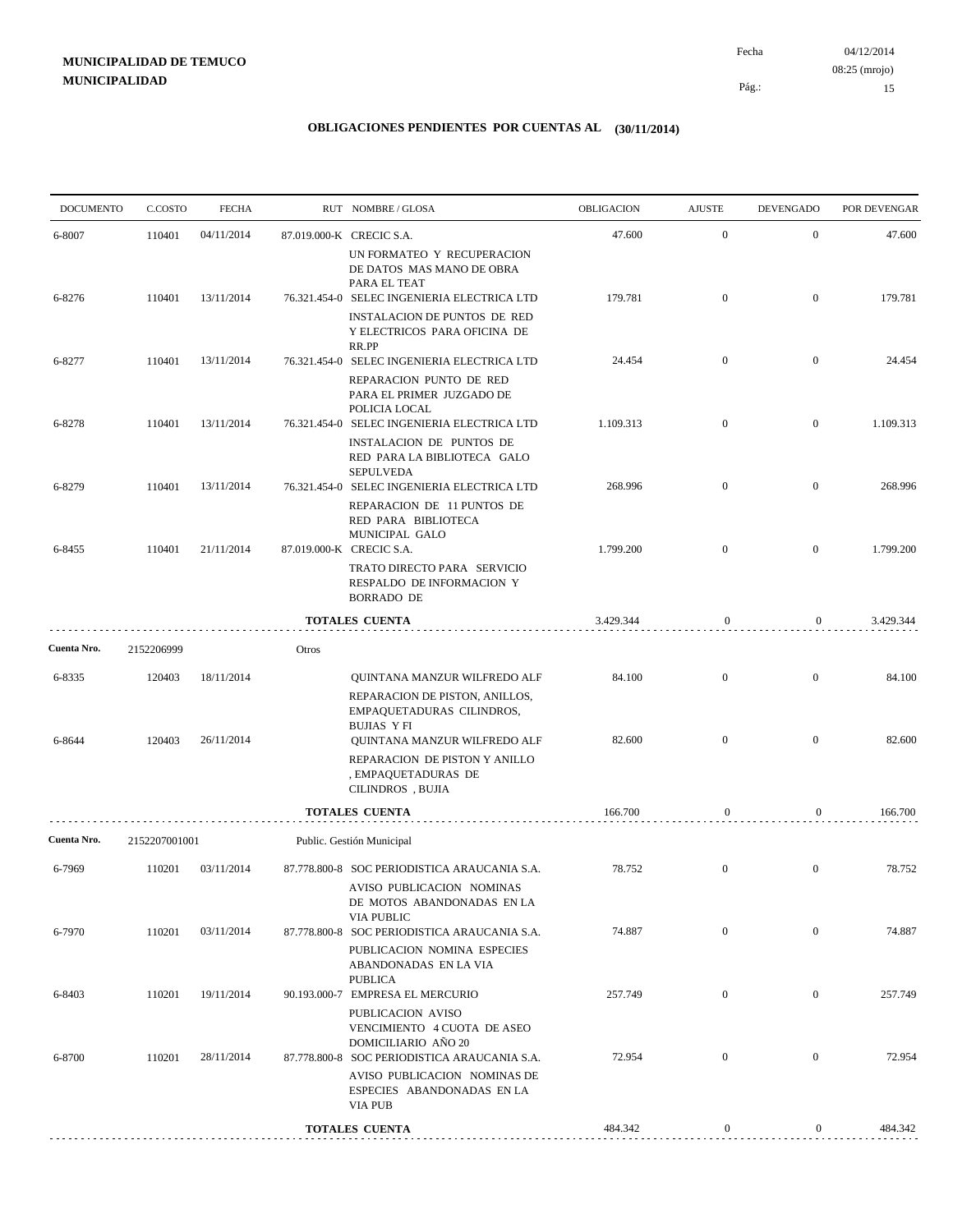04/12/2014 15 Pág.: Fecha 08:25 (mrojo)

| <b>DOCUMENTO</b> | C.COSTO       | <b>FECHA</b> |       | RUT NOMBRE/GLOSA                                                                                                                             | OBLIGACION | <b>AJUSTE</b>    | <b>DEVENGADO</b> | POR DEVENGAR |
|------------------|---------------|--------------|-------|----------------------------------------------------------------------------------------------------------------------------------------------|------------|------------------|------------------|--------------|
| 6-8007           | 110401        | 04/11/2014   |       | 87.019.000-K CRECIC S.A.<br>UN FORMATEO Y RECUPERACION                                                                                       | 47.600     | $\mathbf{0}$     | $\overline{0}$   | 47.600       |
| 6-8276           | 110401        | 13/11/2014   |       | DE DATOS MAS MANO DE OBRA<br>PARA EL TEAT<br>76.321.454-0 SELEC INGENIERIA ELECTRICA LTD                                                     | 179.781    | $\mathbf{0}$     | $\mathbf{0}$     | 179.781      |
|                  |               |              |       | <b>INSTALACION DE PUNTOS DE RED</b><br>Y ELECTRICOS PARA OFICINA DE<br>RR.PP                                                                 |            |                  |                  |              |
| 6-8277           | 110401        | 13/11/2014   |       | 76.321.454-0 SELEC INGENIERIA ELECTRICA LTD<br>REPARACION PUNTO DE RED<br>PARA EL PRIMER JUZGADO DE<br>POLICIA LOCAL                         | 24.454     | $\overline{0}$   | $\mathbf{0}$     | 24.454       |
| 6-8278           | 110401        | 13/11/2014   |       | 76.321.454-0 SELEC INGENIERIA ELECTRICA LTD<br>INSTALACION DE PUNTOS DE<br>RED PARA LA BIBLIOTECA GALO<br><b>SEPULVEDA</b>                   | 1.109.313  | $\mathbf{0}$     | $\mathbf{0}$     | 1.109.313    |
| 6-8279           | 110401        | 13/11/2014   |       | 76.321.454-0 SELEC INGENIERIA ELECTRICA LTD<br>REPARACION DE 11 PUNTOS DE<br>RED PARA BIBLIOTECA                                             | 268.996    | $\mathbf{0}$     | $\overline{0}$   | 268.996      |
| 6-8455           | 110401        | 21/11/2014   |       | MUNICIPAL GALO<br>87.019.000-K CRECIC S.A.                                                                                                   | 1.799.200  | $\mathbf{0}$     | $\mathbf{0}$     | 1.799.200    |
|                  |               |              |       | TRATO DIRECTO PARA SERVICIO<br>RESPALDO DE INFORMACION Y<br><b>BORRADO DE</b>                                                                |            |                  |                  |              |
|                  |               |              |       | <b>TOTALES CUENTA</b>                                                                                                                        | 3.429.344  | $\mathbf{0}$     | $\mathbf{0}$     | 3.429.344    |
| Cuenta Nro.      | 2152206999    |              | Otros |                                                                                                                                              |            |                  |                  |              |
| 6-8335           | 120403        | 18/11/2014   |       | QUINTANA MANZUR WILFREDO ALF<br>REPARACION DE PISTON, ANILLOS,<br>EMPAQUETADURAS CILINDROS,<br><b>BUJIAS YFI</b>                             | 84.100     | $\overline{0}$   | $\mathbf{0}$     | 84.100       |
| 6-8644           | 120403        | 26/11/2014   |       | QUINTANA MANZUR WILFREDO ALF<br>REPARACION DE PISTON Y ANILLO<br>, EMPAQUETADURAS DE<br>CILINDROS, BUJIA                                     | 82.600     | $\mathbf{0}$     | $\mathbf{0}$     | 82.600       |
|                  |               |              |       | TOTALES CUENTA                                                                                                                               | 166.700    | 0                | 0                | 166.700      |
| Cuenta Nro.      | 2152207001001 |              |       | Public. Gestión Municipal                                                                                                                    |            |                  |                  |              |
| 6-7969           | 110201        | 03/11/2014   |       | 87.778.800-8 SOC PERIODISTICA ARAUCANIA S.A.<br>AVISO PUBLICACION NOMINAS<br>DE MOTOS ABANDONADAS EN LA                                      | 78.752     | $\mathbf{0}$     | $\mathbf{0}$     | 78.752       |
| 6-7970           | 110201        | 03/11/2014   |       | VIA PUBLIC<br>87.778.800-8 SOC PERIODISTICA ARAUCANIA S.A.<br>PUBLICACION NOMINA ESPECIES<br>ABANDONADAS EN LA VIA                           | 74.887     | $\mathbf{0}$     | $\mathbf{0}$     | 74.887       |
| 6-8403           | 110201        | 19/11/2014   |       | <b>PUBLICA</b><br>90.193.000-7 EMPRESA EL MERCURIO<br>PUBLICACION AVISO<br>VENCIMIENTO 4 CUOTA DE ASEO                                       | 257.749    | $\mathbf{0}$     | $\mathbf{0}$     | 257.749      |
| 6-8700           | 110201        | 28/11/2014   |       | DOMICILIARIO AÑO 20<br>87.778.800-8 SOC PERIODISTICA ARAUCANIA S.A.<br>AVISO PUBLICACION NOMINAS DE<br>ESPECIES ABANDONADAS EN LA<br>VIA PUB | 72.954     | $\mathbf{0}$     | $\mathbf{0}$     | 72.954       |
|                  |               |              |       | <b>TOTALES CUENTA</b>                                                                                                                        | 484.342    | $\boldsymbol{0}$ | $\boldsymbol{0}$ | 484.342      |
|                  |               |              |       |                                                                                                                                              |            |                  |                  |              |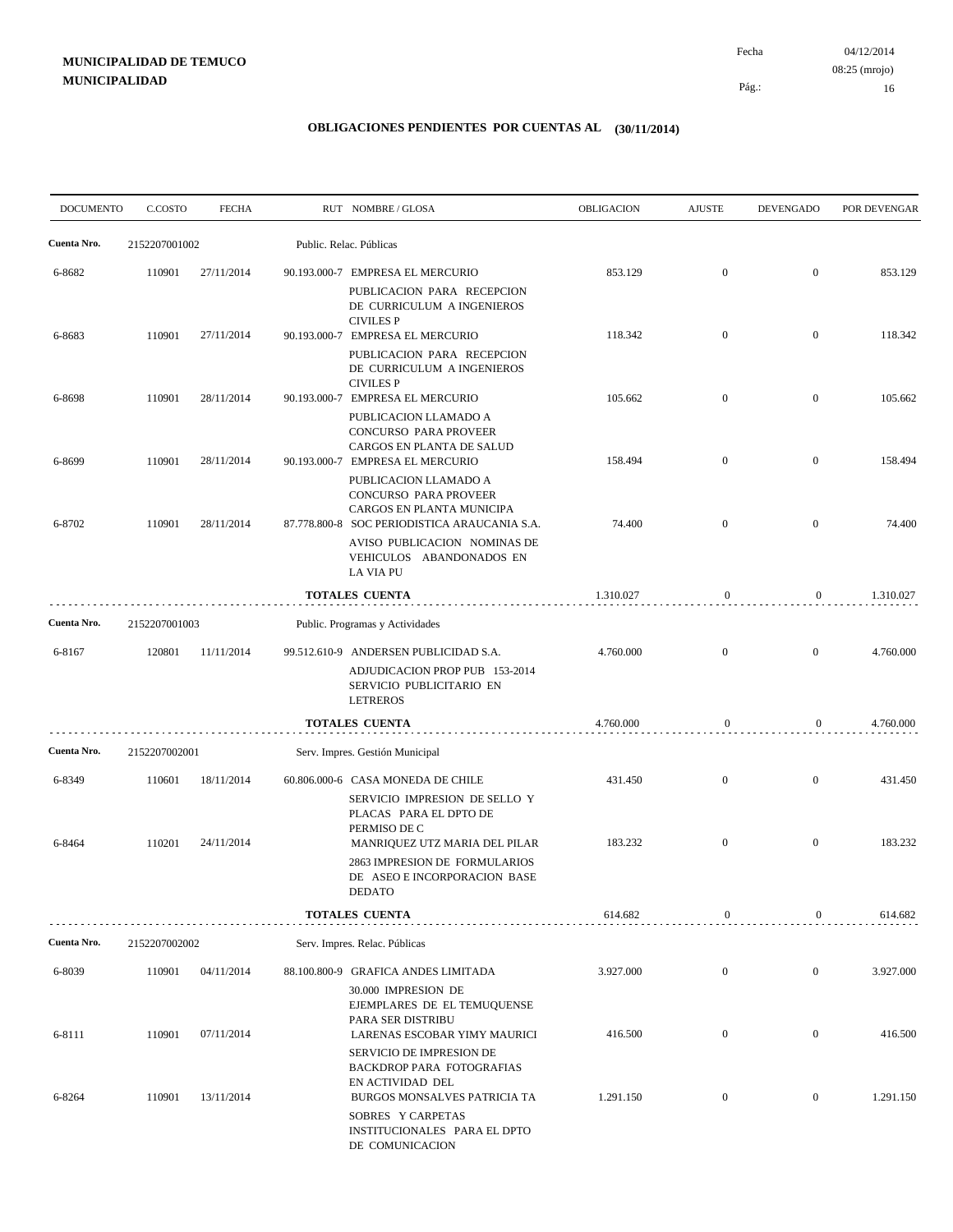04/12/2014 16 Pág.: Fecha 08:25 (mrojo)

| <b>DOCUMENTO</b> | C.COSTO          | <b>FECHA</b>             | RUT NOMBRE/GLOSA                                                                                                                                   | <b>OBLIGACION</b>    | <b>AJUSTE</b>                        | <b>DEVENGADO</b>                     | POR DEVENGAR         |
|------------------|------------------|--------------------------|----------------------------------------------------------------------------------------------------------------------------------------------------|----------------------|--------------------------------------|--------------------------------------|----------------------|
| Cuenta Nro.      | 2152207001002    |                          | Public. Relac. Públicas                                                                                                                            |                      |                                      |                                      |                      |
| 6-8682           | 110901           | 27/11/2014               | 90.193.000-7 EMPRESA EL MERCURIO                                                                                                                   | 853.129              | $\boldsymbol{0}$                     | $\boldsymbol{0}$                     | 853.129              |
| 6-8683           | 110901           | 27/11/2014               | PUBLICACION PARA RECEPCION<br>DE CURRICULUM A INGENIEROS<br><b>CIVILES P</b><br>90.193.000-7 EMPRESA EL MERCURIO<br>PUBLICACION PARA RECEPCION     | 118.342              | $\mathbf{0}$                         | $\overline{0}$                       | 118.342              |
| 6-8698           | 110901           | 28/11/2014               | DE CURRICULUM A INGENIEROS<br><b>CIVILES P</b><br>90.193.000-7 EMPRESA EL MERCURIO<br>PUBLICACION LLAMADO A<br>CONCURSO PARA PROVEER               | 105.662              | $\boldsymbol{0}$                     | $\boldsymbol{0}$                     | 105.662              |
| 6-8699           | 110901           | 28/11/2014               | CARGOS EN PLANTA DE SALUD<br>90.193.000-7 EMPRESA EL MERCURIO<br>PUBLICACION LLAMADO A<br>CONCURSO PARA PROVEER                                    | 158.494              | $\overline{0}$                       | $\overline{0}$                       | 158.494              |
| 6-8702           | 110901           | 28/11/2014               | CARGOS EN PLANTA MUNICIPA<br>87.778.800-8 SOC PERIODISTICA ARAUCANIA S.A.<br>AVISO PUBLICACION NOMINAS DE<br>VEHICULOS ABANDONADOS EN<br>LA VIA PU | 74.400               | $\boldsymbol{0}$                     | $\overline{0}$                       | 74.400               |
|                  |                  |                          | <b>TOTALES CUENTA</b>                                                                                                                              | 1.310.027            | $\mathbf{0}$                         | $\overline{0}$                       | 1.310.027            |
| Cuenta Nro.      | 2152207001003    |                          | Public. Programas y Actividades                                                                                                                    |                      |                                      |                                      |                      |
| 6-8167           | 120801           | 11/11/2014               | 99.512.610-9 ANDERSEN PUBLICIDAD S.A.<br>ADJUDICACION PROP PUB 153-2014<br>SERVICIO PUBLICITARIO EN<br><b>LETREROS</b>                             | 4.760.000            | $\overline{0}$                       | $\overline{0}$                       | 4.760.000            |
|                  |                  |                          | <b>TOTALES CUENTA</b>                                                                                                                              | 4.760.000            | $\boldsymbol{0}$                     | $\overline{0}$                       | 4.760.000            |
| Cuenta Nro.      | 2152207002001    |                          | Serv. Impres. Gestión Municipal                                                                                                                    |                      |                                      |                                      |                      |
| 6-8349           | 110601           | 18/11/2014               | 60.806.000-6 CASA MONEDA DE CHILE<br>SERVICIO IMPRESION DE SELLO Y<br>PLACAS PARA EL DPTO DE<br>PERMISO DE C                                       | 431.450              | $\boldsymbol{0}$                     | $\overline{0}$                       | 431.450              |
| 6-8464           | 110201           | 24/11/2014               | MANRIQUEZ UTZ MARIA DEL PILAR<br>2863 IMPRESION DE FORMULARIOS<br>DE ASEO E INCORPORACION BASE<br>DEDATO                                           | 183.232              | $\boldsymbol{0}$                     | $\boldsymbol{0}$                     | 183.232              |
|                  |                  |                          | TOTALES CUENTA                                                                                                                                     | 614.682              | $\mathbf{0}$                         | $\overline{0}$                       | 614.682              |
| Cuenta Nro.      | 2152207002002    |                          | Serv. Impres. Relac. Públicas                                                                                                                      |                      |                                      |                                      |                      |
| 6-8039           | 110901           | 04/11/2014               | 88.100.800-9 GRAFICA ANDES LIMITADA<br>30.000 IMPRESION DE<br>EJEMPLARES DE EL TEMUQUENSE<br>PARA SER DISTRIBU                                     | 3.927.000            | $\overline{0}$                       | $\overline{0}$                       | 3.927.000            |
| 6-8111<br>6-8264 | 110901<br>110901 | 07/11/2014<br>13/11/2014 | LARENAS ESCOBAR YIMY MAURICI<br>SERVICIO DE IMPRESION DE<br><b>BACKDROP PARA FOTOGRAFIAS</b><br>EN ACTIVIDAD DEL<br>BURGOS MONSALVES PATRICIA TA   | 416.500<br>1.291.150 | $\boldsymbol{0}$<br>$\boldsymbol{0}$ | $\boldsymbol{0}$<br>$\boldsymbol{0}$ | 416.500<br>1.291.150 |
|                  |                  |                          | SOBRES Y CARPETAS<br>INSTITUCIONALES PARA EL DPTO<br>DE COMUNICACION                                                                               |                      |                                      |                                      |                      |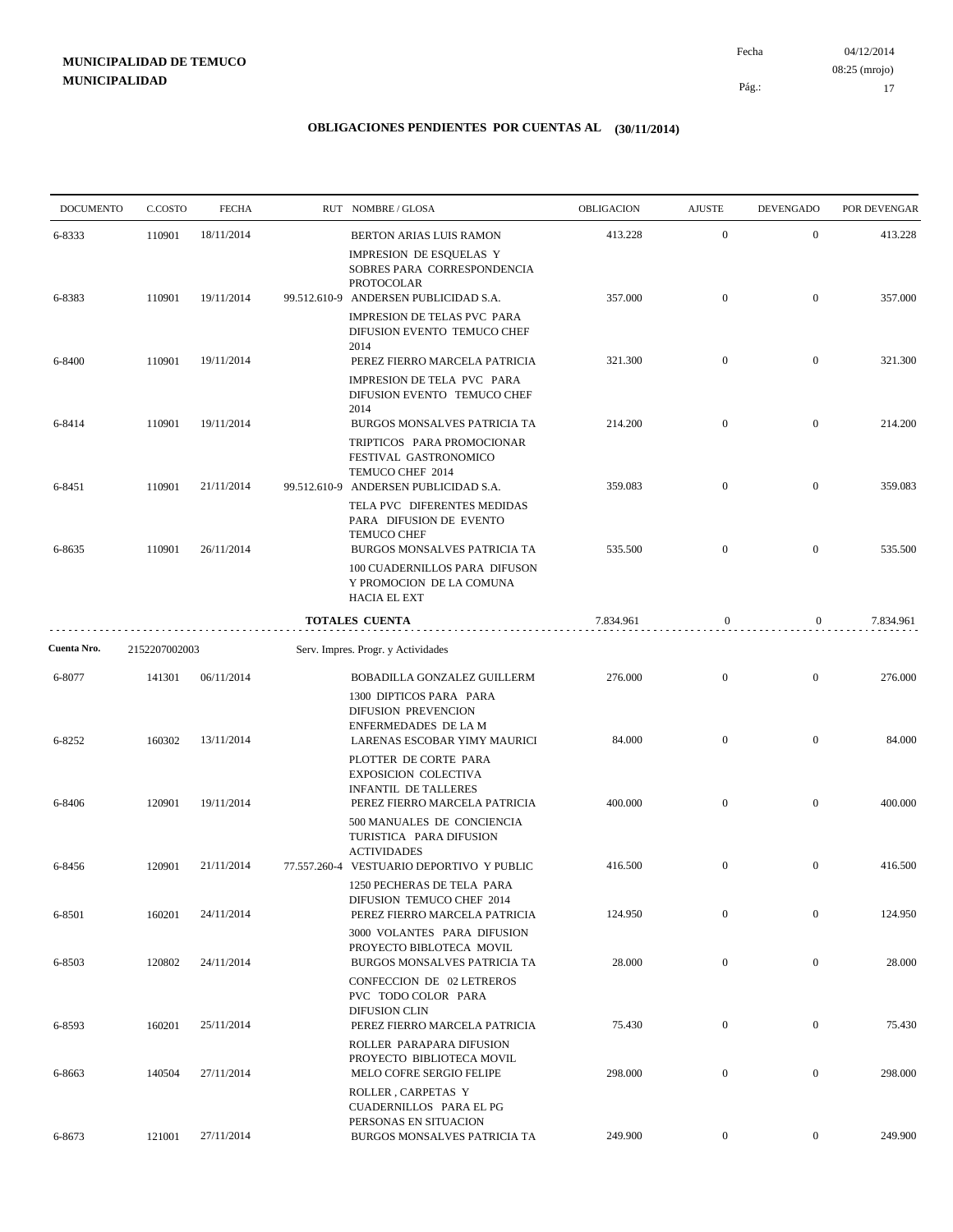04/12/2014 17 Pág.: Fecha 08:25 (mrojo)

| <b>DOCUMENTO</b> | C.COSTO       | <b>FECHA</b> |              | RUT NOMBRE/GLOSA                                                                                             | OBLIGACION | <b>AJUSTE</b>    | <b>DEVENGADO</b> | POR DEVENGAR |
|------------------|---------------|--------------|--------------|--------------------------------------------------------------------------------------------------------------|------------|------------------|------------------|--------------|
| 6-8333           | 110901        | 18/11/2014   |              | BERTON ARIAS LUIS RAMON                                                                                      | 413.228    | $\mathbf{0}$     | $\mathbf{0}$     | 413.228      |
|                  |               |              |              | IMPRESION DE ESQUELAS Y<br>SOBRES PARA CORRESPONDENCIA<br><b>PROTOCOLAR</b>                                  |            |                  |                  |              |
| 6-8383           | 110901        | 19/11/2014   |              | 99.512.610-9 ANDERSEN PUBLICIDAD S.A.<br>IMPRESION DE TELAS PVC PARA                                         | 357.000    | $\boldsymbol{0}$ | $\overline{0}$   | 357.000      |
|                  |               |              |              | DIFUSION EVENTO TEMUCO CHEF<br>2014                                                                          |            |                  |                  |              |
| 6-8400           | 110901        | 19/11/2014   |              | PEREZ FIERRO MARCELA PATRICIA<br>IMPRESION DE TELA PVC PARA<br>DIFUSION EVENTO TEMUCO CHEF<br>2014           | 321.300    | $\mathbf{0}$     | $\overline{0}$   | 321.300      |
| 6-8414           | 110901        | 19/11/2014   |              | BURGOS MONSALVES PATRICIA TA<br>TRIPTICOS PARA PROMOCIONAR<br>FESTIVAL GASTRONOMICO                          | 214.200    | $\mathbf{0}$     | $\mathbf{0}$     | 214.200      |
| 6-8451           | 110901        | 21/11/2014   |              | TEMUCO CHEF 2014<br>99.512.610-9 ANDERSEN PUBLICIDAD S.A.                                                    | 359.083    | $\boldsymbol{0}$ | $\boldsymbol{0}$ | 359.083      |
| 6-8635           | 110901        | 26/11/2014   |              | TELA PVC DIFERENTES MEDIDAS<br>PARA DIFUSION DE EVENTO<br><b>TEMUCO CHEF</b><br>BURGOS MONSALVES PATRICIA TA | 535.500    | $\boldsymbol{0}$ | $\boldsymbol{0}$ | 535.500      |
|                  |               |              |              | 100 CUADERNILLOS PARA DIFUSON<br>Y PROMOCION DE LA COMUNA<br><b>HACIA EL EXT</b>                             |            |                  |                  |              |
|                  |               |              |              | <b>TOTALES CUENTA</b>                                                                                        | 7.834.961  | $\boldsymbol{0}$ | $\overline{0}$   | 7.834.961    |
| Cuenta Nro.      | 2152207002003 |              |              | Serv. Impres. Progr. y Actividades                                                                           |            |                  |                  |              |
| 6-8077           | 141301        | 06/11/2014   |              | BOBADILLA GONZALEZ GUILLERM<br>1300 DIPTICOS PARA PARA                                                       | 276.000    | $\mathbf{0}$     | $\boldsymbol{0}$ | 276.000      |
| 6-8252           | 160302        | 13/11/2014   |              | DIFUSION PREVENCION<br>ENFERMEDADES DE LA M<br>LARENAS ESCOBAR YIMY MAURICI                                  | 84.000     | $\overline{0}$   | $\overline{0}$   | 84.000       |
|                  |               |              |              | PLOTTER DE CORTE PARA<br><b>EXPOSICION COLECTIVA</b><br><b>INFANTIL DE TALLERES</b>                          |            |                  |                  |              |
| 6-8406           | 120901        | 19/11/2014   |              | PEREZ FIERRO MARCELA PATRICIA<br>500 MANUALES DE CONCIENCIA<br>TURISTICA PARA DIFUSION                       | 400.000    | $\boldsymbol{0}$ | $\boldsymbol{0}$ | 400.000      |
| 6-8456           | 120901        | 21/11/2014   | 77.557.260-4 | <b>ACTIVIDADES</b><br>VESTUARIO DEPORTIVO Y PUBLIC                                                           | 416.500    | $\boldsymbol{0}$ | $\boldsymbol{0}$ | 416.500      |
| 6-8501           | 160201        | 24/11/2014   |              | 1250 PECHERAS DE TELA PARA<br>DIFUSION TEMUCO CHEF 2014<br>PEREZ FIERRO MARCELA PATRICIA                     | 124.950    | $\boldsymbol{0}$ | $\overline{0}$   | 124.950      |
| 6-8503           | 120802        | 24/11/2014   |              | 3000 VOLANTES PARA DIFUSION<br>PROYECTO BIBLOTECA MOVIL<br>BURGOS MONSALVES PATRICIA TA                      | 28.000     | $\overline{0}$   | $\boldsymbol{0}$ | 28.000       |
|                  |               |              |              | <b>CONFECCION DE 02 LETREROS</b><br>PVC TODO COLOR PARA<br>DIFUSION CLIN                                     |            |                  |                  |              |
| 6-8593           | 160201        | 25/11/2014   |              | PEREZ FIERRO MARCELA PATRICIA<br>ROLLER PARAPARA DIFUSION                                                    | 75.430     | $\boldsymbol{0}$ | $\boldsymbol{0}$ | 75.430       |
| 6-8663           | 140504        | 27/11/2014   |              | PROYECTO BIBLIOTECA MOVIL<br>MELO COFRE SERGIO FELIPE                                                        | 298.000    | $\overline{0}$   | $\boldsymbol{0}$ | 298.000      |
|                  |               |              |              | ROLLER, CARPETAS Y<br>CUADERNILLOS PARA EL PG<br>PERSONAS EN SITUACION                                       |            |                  |                  |              |
| 6-8673           | 121001        | 27/11/2014   |              | BURGOS MONSALVES PATRICIA TA                                                                                 | 249.900    | $\boldsymbol{0}$ | $\overline{0}$   | 249.900      |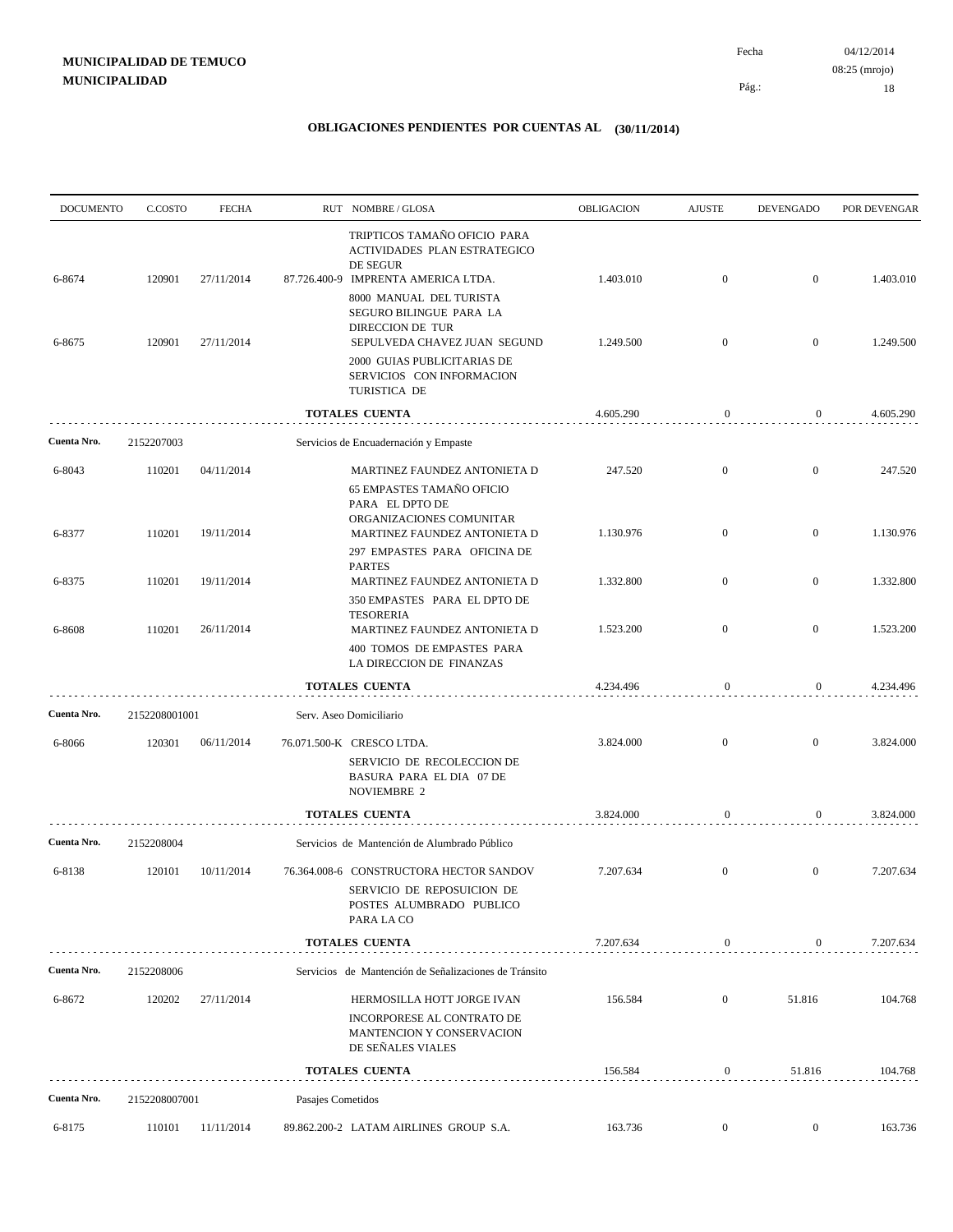| <b>DOCUMENTO</b> | C.COSTO       | <b>FECHA</b> |                   | RUT NOMBRE/GLOSA                                                                                                                                                      | OBLIGACION | <b>AJUSTE</b>    | <b>DEVENGADO</b> | POR DEVENGAR |
|------------------|---------------|--------------|-------------------|-----------------------------------------------------------------------------------------------------------------------------------------------------------------------|------------|------------------|------------------|--------------|
| 6-8674           | 120901        | 27/11/2014   |                   | TRIPTICOS TAMAÑO OFICIO PARA<br>ACTIVIDADES PLAN ESTRATEGICO<br>DE SEGUR<br>87.726.400-9 IMPRENTA AMERICA LTDA.<br>8000 MANUAL DEL TURISTA<br>SEGURO BILINGUE PARA LA | 1.403.010  | $\mathbf{0}$     | $\overline{0}$   | 1.403.010    |
| 6-8675           | 120901        | 27/11/2014   |                   | DIRECCION DE TUR<br>SEPULVEDA CHAVEZ JUAN SEGUND                                                                                                                      | 1.249.500  | $\mathbf{0}$     | $\boldsymbol{0}$ | 1.249.500    |
|                  |               |              |                   | 2000 GUIAS PUBLICITARIAS DE<br>SERVICIOS CON INFORMACION<br>TURISTICA DE                                                                                              |            |                  |                  |              |
|                  |               |              |                   | <b>TOTALES CUENTA</b>                                                                                                                                                 | 4.605.290  | $\boldsymbol{0}$ | 0                | 4.605.290    |
| Cuenta Nro.      | 2152207003    |              |                   | Servicios de Encuadernación y Empaste                                                                                                                                 |            |                  |                  |              |
| 6-8043           | 110201        | 04/11/2014   |                   | MARTINEZ FAUNDEZ ANTONIETA D<br><b>65 EMPASTES TAMAÑO OFICIO</b>                                                                                                      | 247.520    | $\mathbf{0}$     | $\boldsymbol{0}$ | 247.520      |
| 6-8377           | 110201        | 19/11/2014   |                   | PARA EL DPTO DE<br>ORGANIZACIONES COMUNITAR<br>MARTINEZ FAUNDEZ ANTONIETA D<br>297 EMPASTES PARA OFICINA DE                                                           | 1.130.976  | $\mathbf{0}$     | $\mathbf{0}$     | 1.130.976    |
| 6-8375           | 110201        | 19/11/2014   |                   | <b>PARTES</b><br>MARTINEZ FAUNDEZ ANTONIETA D                                                                                                                         | 1.332.800  | $\overline{0}$   | $\boldsymbol{0}$ | 1.332.800    |
| 6-8608           | 110201        | 26/11/2014   |                   | 350 EMPASTES PARA EL DPTO DE<br><b>TESORERIA</b><br>MARTINEZ FAUNDEZ ANTONIETA D                                                                                      | 1.523.200  | $\mathbf{0}$     | $\mathbf{0}$     | 1.523.200    |
|                  |               |              |                   | 400 TOMOS DE EMPASTES PARA<br>LA DIRECCION DE FINANZAS                                                                                                                |            |                  |                  |              |
|                  |               |              |                   | <b>TOTALES CUENTA</b>                                                                                                                                                 | 4.234.496  | $\boldsymbol{0}$ | 0                | 4.234.496    |
| Cuenta Nro.      | 2152208001001 |              |                   | Serv. Aseo Domiciliario                                                                                                                                               |            |                  |                  |              |
| 6-8066           | 120301        | 06/11/2014   |                   | 76.071.500-K CRESCO LTDA.<br>SERVICIO DE RECOLECCION DE<br>BASURA PARA EL DIA 07 DE<br>NOVIEMBRE 2                                                                    | 3.824.000  | $\mathbf{0}$     | $\mathbf{0}$     | 3.824.000    |
|                  |               |              |                   | <b>TOTALES CUENTA</b>                                                                                                                                                 | 3.824.000  | 0                | $\overline{0}$   | 3.824.000    |
| Cuenta Nro.      | 2152208004    |              |                   | Servicios de Mantención de Alumbrado Público                                                                                                                          |            |                  |                  |              |
| 6-8138           | 120101        | 10/11/2014   |                   | 76.364.008-6 CONSTRUCTORA HECTOR SANDOV<br>SERVICIO DE REPOSUICION DE<br>POSTES ALUMBRADO PUBLICO<br>PARA LA CO                                                       | 7.207.634  | $\mathbf{0}$     | $\mathbf{0}$     | 7.207.634    |
|                  |               |              |                   | <b>TOTALES CUENTA</b>                                                                                                                                                 | 7.207.634  | $\boldsymbol{0}$ | $\mathbf{0}$     | 7.207.634    |
| Cuenta Nro.      | 2152208006    |              |                   | Servicios de Mantención de Señalizaciones de Tránsito                                                                                                                 |            |                  |                  |              |
| 6-8672           | 120202        | 27/11/2014   |                   | HERMOSILLA HOTT JORGE IVAN                                                                                                                                            | 156.584    | $\boldsymbol{0}$ | 51.816           | 104.768      |
|                  |               |              |                   | INCORPORESE AL CONTRATO DE<br>MANTENCION Y CONSERVACION<br>DE SEÑALES VIALES                                                                                          |            |                  |                  |              |
|                  |               |              |                   | TOTALES CUENTA                                                                                                                                                        | 156.584    | $\boldsymbol{0}$ | 51.816           | 104.768      |
| Cuenta Nro.      | 2152208007001 |              | Pasajes Cometidos |                                                                                                                                                                       |            |                  |                  |              |
| 6-8175           | 110101        | 11/11/2014   |                   | 89.862.200-2 LATAM AIRLINES GROUP S.A.                                                                                                                                | 163.736    | $\overline{0}$   | $\overline{0}$   | 163.736      |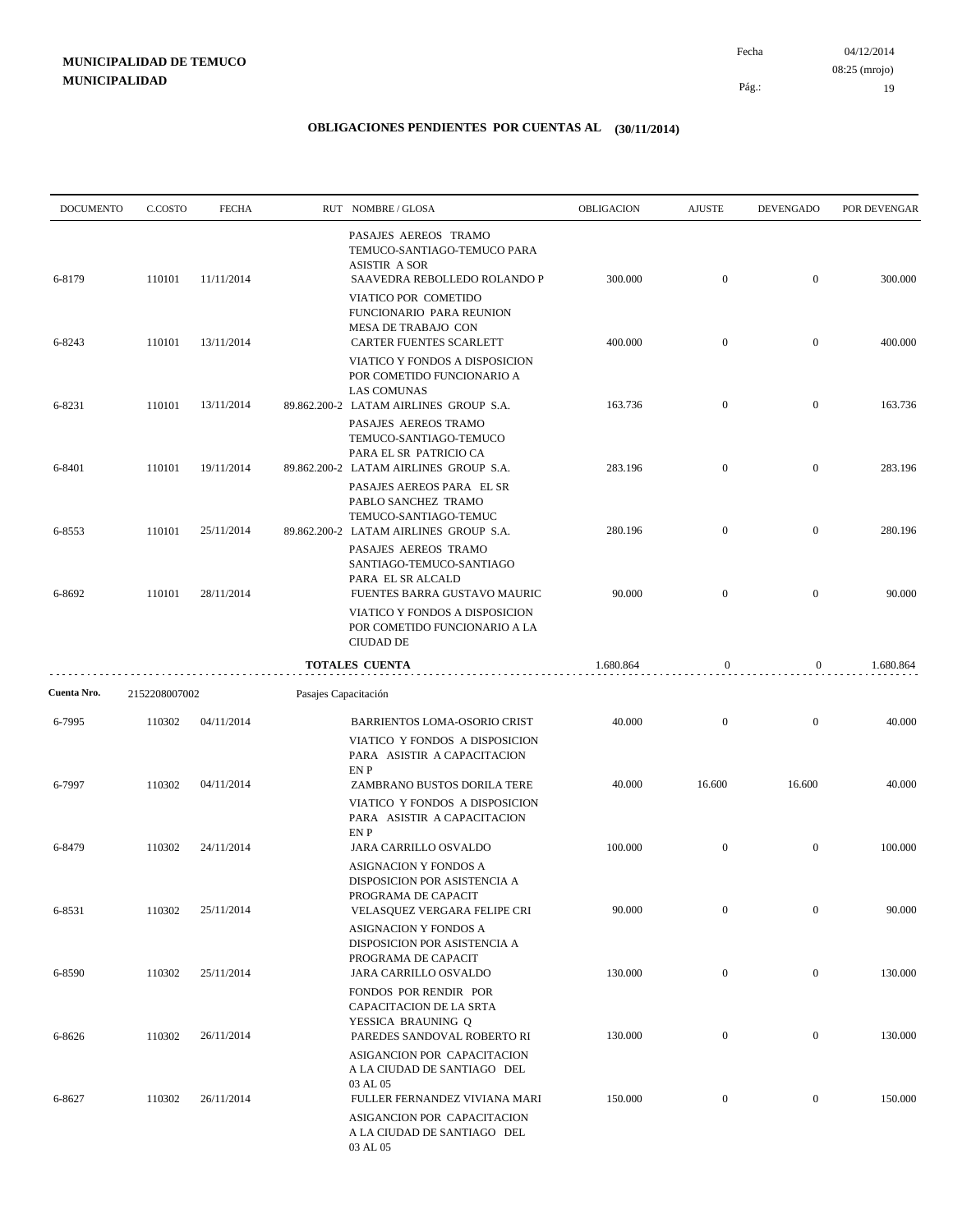04/12/2014 19 Fecha 08:25 (mrojo)

Pág.:

| <b>DOCUMENTO</b> | C.COSTO       | <b>FECHA</b> |                      | RUT NOMBRE/GLOSA                                                                                             | OBLIGACION | <b>AJUSTE</b>    | <b>DEVENGADO</b> | POR DEVENGAR |
|------------------|---------------|--------------|----------------------|--------------------------------------------------------------------------------------------------------------|------------|------------------|------------------|--------------|
| 6-8179           | 110101        | 11/11/2014   |                      | PASAJES AEREOS TRAMO<br>TEMUCO-SANTIAGO-TEMUCO PARA<br><b>ASISTIR A SOR</b><br>SAAVEDRA REBOLLEDO ROLANDO P  | 300.000    | $\mathbf{0}$     | $\overline{0}$   | 300.000      |
|                  |               |              |                      | VIATICO POR COMETIDO<br>FUNCIONARIO PARA REUNION<br>MESA DE TRABAJO CON                                      |            |                  |                  |              |
| 6-8243           | 110101        | 13/11/2014   |                      | CARTER FUENTES SCARLETT<br>VIATICO Y FONDOS A DISPOSICION<br>POR COMETIDO FUNCIONARIO A                      | 400.000    | $\mathbf{0}$     | $\overline{0}$   | 400.000      |
| 6-8231           | 110101        | 13/11/2014   |                      | <b>LAS COMUNAS</b><br>89.862.200-2 LATAM AIRLINES GROUP S.A.                                                 | 163.736    | $\mathbf{0}$     | $\overline{0}$   | 163.736      |
|                  |               |              |                      | PASAJES AEREOS TRAMO<br>TEMUCO-SANTIAGO-TEMUCO<br>PARA EL SR PATRICIO CA                                     |            |                  |                  |              |
| 6-8401           | 110101        | 19/11/2014   |                      | 89.862.200-2 LATAM AIRLINES GROUP S.A.<br>PASAJES AEREOS PARA EL SR<br>PABLO SANCHEZ TRAMO                   | 283.196    | $\mathbf{0}$     | $\mathbf{0}$     | 283.196      |
| 6-8553           | 110101        | 25/11/2014   |                      | TEMUCO-SANTIAGO-TEMUC<br>89.862.200-2 LATAM AIRLINES GROUP S.A.<br>PASAJES AEREOS TRAMO                      | 280.196    | $\mathbf{0}$     | $\mathbf{0}$     | 280.196      |
| 6-8692           | 110101        | 28/11/2014   |                      | SANTIAGO-TEMUCO-SANTIAGO<br>PARA EL SR ALCALD<br>FUENTES BARRA GUSTAVO MAURIC                                | 90.000     | $\overline{0}$   | $\mathbf{0}$     | 90.000       |
|                  |               |              |                      | VIATICO Y FONDOS A DISPOSICION<br>POR COMETIDO FUNCIONARIO A LA<br><b>CIUDAD DE</b>                          |            |                  |                  |              |
|                  |               |              |                      | <b>TOTALES CUENTA</b>                                                                                        | 1.680.864  | $\mathbf{0}$     | $\overline{0}$   | 1.680.864    |
| Cuenta Nro.      | 2152208007002 |              | Pasajes Capacitación |                                                                                                              |            |                  |                  |              |
| 6-7995           | 110302        | 04/11/2014   |                      | <b>BARRIENTOS LOMA-OSORIO CRIST</b><br>VIATICO Y FONDOS A DISPOSICION<br>PARA ASISTIR A CAPACITACION<br>EN P | 40.000     | $\overline{0}$   | $\overline{0}$   | 40.000       |
| 6-7997           | 110302        | 04/11/2014   |                      | ZAMBRANO BUSTOS DORILA TERE<br>VIATICO Y FONDOS A DISPOSICION<br>PARA ASISTIR A CAPACITACION                 | 40.000     | 16.600           | 16.600           | 40.000       |
| 6-8479           | 110302        | 24/11/2014   |                      | EN P<br>JARA CARRILLO OSVALDO<br>ASIGNACION Y FONDOS A<br>DISPOSICION POR ASISTENCIA A                       | 100.000    | $\mathbf{0}$     | $\overline{0}$   | 100.000      |
| 6-8531           | 110302        | 25/11/2014   |                      | PROGRAMA DE CAPACIT<br>VELASQUEZ VERGARA FELIPE CRI<br>ASIGNACION Y FONDOS A                                 | 90.000     | $\mathbf{0}$     | $\boldsymbol{0}$ | 90.000       |
| 6-8590           | 110302        | 25/11/2014   |                      | DISPOSICION POR ASISTENCIA A<br>PROGRAMA DE CAPACIT<br>JARA CARRILLO OSVALDO                                 | 130.000    | $\boldsymbol{0}$ | $\mathbf{0}$     | 130.000      |
| 6-8626           | 110302        | 26/11/2014   |                      | FONDOS POR RENDIR POR<br>CAPACITACION DE LA SRTA<br>YESSICA BRAUNING Q<br>PAREDES SANDOVAL ROBERTO RI        | 130.000    | $\boldsymbol{0}$ | $\mathbf{0}$     | 130.000      |
|                  |               |              |                      | ASIGANCION POR CAPACITACION<br>A LA CIUDAD DE SANTIAGO DEL<br>03 AL 05                                       |            |                  |                  |              |
| 6-8627           | 110302        | 26/11/2014   |                      | FULLER FERNANDEZ VIVIANA MARI<br>ASIGANCION POR CAPACITACION<br>A LA CIUDAD DE SANTIAGO DEL<br>03 AL 05      | 150.000    | $\boldsymbol{0}$ | $\overline{0}$   | 150.000      |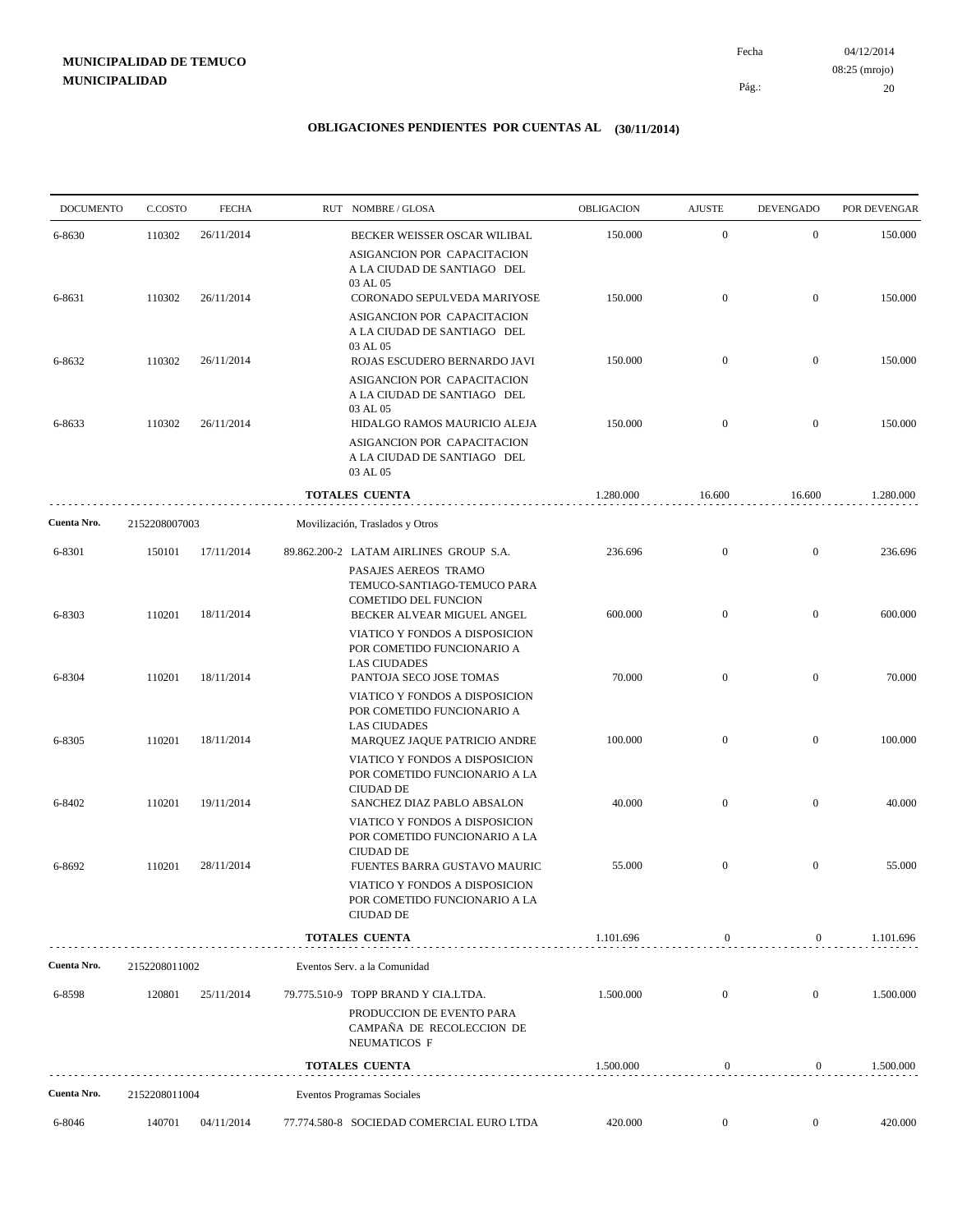04/12/2014 20 Pág.: Fecha 08:25 (mrojo)

| <b>DOCUMENTO</b> | C.COSTO       | <b>FECHA</b> | RUT NOMBRE/GLOSA                                                                                                    | OBLIGACION | <b>AJUSTE</b>    | <b>DEVENGADO</b> | POR DEVENGAR |
|------------------|---------------|--------------|---------------------------------------------------------------------------------------------------------------------|------------|------------------|------------------|--------------|
| 6-8630           | 110302        | 26/11/2014   | BECKER WEISSER OSCAR WILIBAL                                                                                        | 150.000    | $\mathbf{0}$     | $\mathbf{0}$     | 150.000      |
| 6-8631           | 110302        | 26/11/2014   | ASIGANCION POR CAPACITACION<br>A LA CIUDAD DE SANTIAGO DEL<br>03 AL 05<br>CORONADO SEPULVEDA MARIYOSE               | 150.000    | $\mathbf{0}$     | $\mathbf{0}$     | 150.000      |
|                  |               |              | ASIGANCION POR CAPACITACION<br>A LA CIUDAD DE SANTIAGO DEL<br>03 AL 05                                              |            |                  |                  |              |
| 6-8632           | 110302        | 26/11/2014   | ROJAS ESCUDERO BERNARDO JAVI<br>ASIGANCION POR CAPACITACION<br>A LA CIUDAD DE SANTIAGO DEL                          | 150.000    | $\mathbf{0}$     | $\mathbf{0}$     | 150.000      |
| 6-8633           | 110302        | 26/11/2014   | 03 AL 05<br>HIDALGO RAMOS MAURICIO ALEJA                                                                            | 150.000    | $\mathbf{0}$     | $\mathbf{0}$     | 150.000      |
|                  |               |              | ASIGANCION POR CAPACITACION<br>A LA CIUDAD DE SANTIAGO DEL<br>03 AL 05                                              |            |                  |                  |              |
|                  |               |              | <b>TOTALES CUENTA</b>                                                                                               | 1.280.000  | 16.600           | 16.600           | 1.280.000    |
| Cuenta Nro.      | 2152208007003 |              | Movilización, Traslados y Otros                                                                                     |            |                  |                  |              |
| 6-8301           | 150101        | 17/11/2014   | 89.862.200-2 LATAM AIRLINES GROUP S.A.<br>PASAJES AEREOS TRAMO<br>TEMUCO-SANTIAGO-TEMUCO PARA                       | 236.696    | $\mathbf{0}$     | $\mathbf{0}$     | 236.696      |
| 6-8303           | 110201        | 18/11/2014   | COMETIDO DEL FUNCION<br>BECKER ALVEAR MIGUEL ANGEL<br>VIATICO Y FONDOS A DISPOSICION                                | 600.000    | $\mathbf{0}$     | $\mathbf{0}$     | 600.000      |
| 6-8304           | 110201        | 18/11/2014   | POR COMETIDO FUNCIONARIO A<br><b>LAS CIUDADES</b><br>PANTOJA SECO JOSE TOMAS                                        | 70.000     | $\mathbf{0}$     | $\mathbf{0}$     | 70.000       |
| 6-8305           | 110201        | 18/11/2014   | VIATICO Y FONDOS A DISPOSICION<br>POR COMETIDO FUNCIONARIO A<br><b>LAS CIUDADES</b><br>MARQUEZ JAQUE PATRICIO ANDRE | 100.000    | $\overline{0}$   | $\boldsymbol{0}$ | 100.000      |
|                  |               |              | VIATICO Y FONDOS A DISPOSICION<br>POR COMETIDO FUNCIONARIO A LA<br><b>CIUDAD DE</b>                                 |            |                  |                  |              |
| 6-8402           | 110201        | 19/11/2014   | SANCHEZ DIAZ PABLO ABSALON<br>VIATICO Y FONDOS A DISPOSICION<br>POR COMETIDO FUNCIONARIO A LA<br><b>CIUDAD DE</b>   | 40.000     | $\mathbf{0}$     | $\boldsymbol{0}$ | 40.000       |
| 6-8692           | 110201        | 28/11/2014   | FUENTES BARRA GUSTAVO MAURIC<br>VIATICO Y FONDOS A DISPOSICION<br>POR COMETIDO FUNCIONARIO A LA<br><b>CIUDAD DE</b> | 55.000     | $\mathbf{0}$     | $\mathbf{0}$     | 55.000       |
|                  |               |              | <b>TOTALES CUENTA</b>                                                                                               | 1.101.696  | $\boldsymbol{0}$ | $\overline{0}$   | 1.101.696    |
| Cuenta Nro.      | 2152208011002 |              | Eventos Serv. a la Comunidad                                                                                        |            |                  |                  |              |
| 6-8598           | 120801        | 25/11/2014   | 79.775.510-9 TOPP BRAND Y CIA.LTDA.                                                                                 | 1.500.000  | $\mathbf{0}$     | $\mathbf{0}$     | 1.500.000    |
|                  |               |              | PRODUCCION DE EVENTO PARA<br>CAMPAÑA DE RECOLECCION DE<br>NEUMATICOS F                                              |            |                  |                  |              |
|                  |               |              | <b>TOTALES CUENTA</b>                                                                                               | 1.500.000  | $\boldsymbol{0}$ | $\bf{0}$         | 1.500.000    |
| Cuenta Nro.      | 2152208011004 |              | Eventos Programas Sociales                                                                                          |            |                  |                  |              |
| 6-8046           | 140701        | 04/11/2014   | 77.774.580-8 SOCIEDAD COMERCIAL EURO LTDA                                                                           | 420.000    | $\boldsymbol{0}$ | $\overline{0}$   | 420.000      |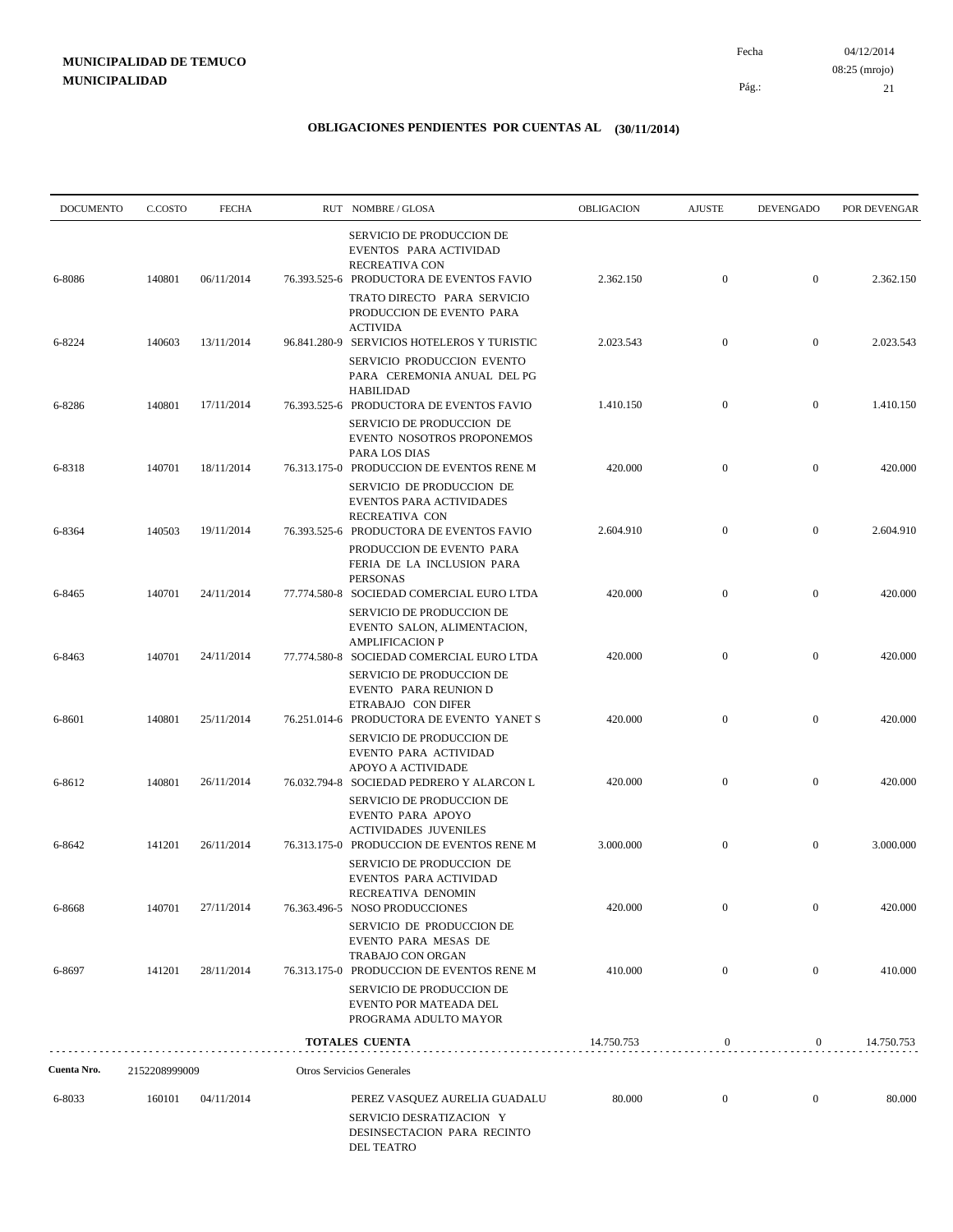04/12/2014 21 Pág.: Fecha 08:25 (mrojo)

| <b>DOCUMENTO</b> | C.COSTO       | <b>FECHA</b> | RUT NOMBRE/GLOSA                                                                                                                | OBLIGACION | <b>AJUSTE</b>    | <b>DEVENGADO</b> | POR DEVENGAR |
|------------------|---------------|--------------|---------------------------------------------------------------------------------------------------------------------------------|------------|------------------|------------------|--------------|
| 6-8086           | 140801        | 06/11/2014   | SERVICIO DE PRODUCCION DE<br>EVENTOS PARA ACTIVIDAD<br>RECREATIVA CON<br>76.393.525-6 PRODUCTORA DE EVENTOS FAVIO               | 2.362.150  | $\boldsymbol{0}$ | $\mathbf{0}$     | 2.362.150    |
|                  |               |              | TRATO DIRECTO PARA SERVICIO<br>PRODUCCION DE EVENTO PARA<br><b>ACTIVIDA</b>                                                     |            |                  |                  |              |
| 6-8224           | 140603        | 13/11/2014   | 96.841.280-9 SERVICIOS HOTELEROS Y TURISTIC<br>SERVICIO PRODUCCION EVENTO<br>PARA CEREMONIA ANUAL DEL PG<br><b>HABILIDAD</b>    | 2.023.543  | $\mathbf{0}$     | $\mathbf{0}$     | 2.023.543    |
| 6-8286           | 140801        | 17/11/2014   | 76.393.525-6 PRODUCTORA DE EVENTOS FAVIO<br>SERVICIO DE PRODUCCION DE<br>EVENTO NOSOTROS PROPONEMOS<br>PARA LOS DIAS            | 1.410.150  | $\mathbf{0}$     | $\mathbf{0}$     | 1.410.150    |
| 6-8318           | 140701        | 18/11/2014   | 76.313.175-0 PRODUCCION DE EVENTOS RENE M<br>SERVICIO DE PRODUCCION DE<br>EVENTOS PARA ACTIVIDADES<br>RECREATIVA CON            | 420.000    | $\mathbf{0}$     | $\mathbf{0}$     | 420.000      |
| 6-8364           | 140503        | 19/11/2014   | 76.393.525-6 PRODUCTORA DE EVENTOS FAVIO<br>PRODUCCION DE EVENTO PARA<br>FERIA DE LA INCLUSION PARA<br><b>PERSONAS</b>          | 2.604.910  | $\boldsymbol{0}$ | $\mathbf{0}$     | 2.604.910    |
| 6-8465           | 140701        | 24/11/2014   | 77.774.580-8 SOCIEDAD COMERCIAL EURO LTDA<br>SERVICIO DE PRODUCCION DE<br>EVENTO SALON, ALIMENTACION,<br><b>AMPLIFICACION P</b> | 420.000    | $\mathbf{0}$     | $\boldsymbol{0}$ | 420.000      |
| 6-8463           | 140701        | 24/11/2014   | 77.774.580-8 SOCIEDAD COMERCIAL EURO LTDA<br>SERVICIO DE PRODUCCION DE<br>EVENTO PARA REUNION D<br>ETRABAJO CON DIFER           | 420.000    | $\mathbf{0}$     | $\boldsymbol{0}$ | 420.000      |
| 6-8601           | 140801        | 25/11/2014   | 76.251.014-6 PRODUCTORA DE EVENTO YANET S<br>SERVICIO DE PRODUCCION DE<br>EVENTO PARA ACTIVIDAD<br>APOYO A ACTIVIDADE           | 420.000    | $\mathbf{0}$     | $\boldsymbol{0}$ | 420.000      |
| 6-8612           | 140801        | 26/11/2014   | 76.032.794-8 SOCIEDAD PEDRERO Y ALARCON L<br>SERVICIO DE PRODUCCION DE<br>EVENTO PARA APOYO<br><b>ACTIVIDADES JUVENILES</b>     | 420.000    | $\mathbf{0}$     | $\boldsymbol{0}$ | 420.000      |
| 6-8642           | 141201        | 26/11/2014   | 76.313.175-0 PRODUCCION DE EVENTOS RENE M<br><b>SERVICIO DE PRODUCCION DE</b><br>EVENTOS PARA ACTIVIDAD<br>RECREATIVA DENOMIN   | 3.000.000  | $\boldsymbol{0}$ | $\boldsymbol{0}$ | 3.000.000    |
| 6-8668           | 140701        | 27/11/2014   | 76.363.496-5 NOSO PRODUCCIONES<br>SERVICIO DE PRODUCCION DE<br>EVENTO PARA MESAS DE<br>TRABAJO CON ORGAN                        | 420.000    | $\mathbf{0}$     | $\mathbf{0}$     | 420.000      |
| 6-8697           | 141201        | 28/11/2014   | 76.313.175-0 PRODUCCION DE EVENTOS RENE M<br>SERVICIO DE PRODUCCION DE<br>EVENTO POR MATEADA DEL<br>PROGRAMA ADULTO MAYOR       | 410.000    | $\mathbf{0}$     | $\boldsymbol{0}$ | 410.000      |
|                  |               |              | TOTALES CUENTA                                                                                                                  | 14.750.753 | $\boldsymbol{0}$ | $\overline{0}$   | 14.750.753   |
| Cuenta Nro.      | 2152208999009 |              | Otros Servicios Generales                                                                                                       |            |                  |                  |              |
| 6-8033           | 160101        | 04/11/2014   | PEREZ VASQUEZ AURELIA GUADALU<br>SERVICIO DESRATIZACION Y<br>DESINSECTACION PARA RECINTO<br>DEL TEATRO                          | 80.000     | $\boldsymbol{0}$ | $\boldsymbol{0}$ | 80.000       |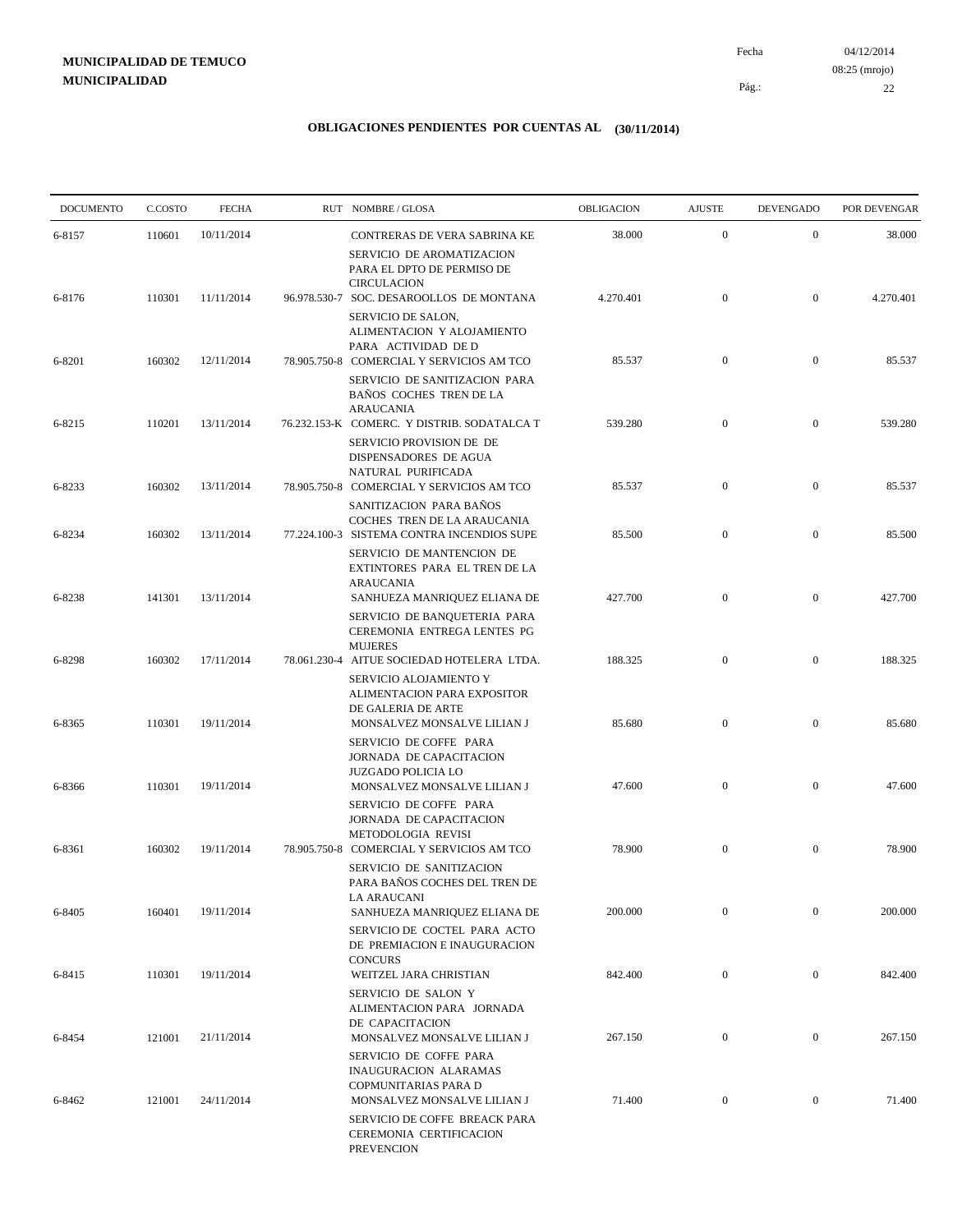04/12/2014 22 Pág.: Fecha 08:25 (mrojo)

| <b>DOCUMENTO</b> | C.COSTO | <b>FECHA</b> | RUT NOMBRE/GLOSA                                                                                                             | OBLIGACION | <b>AJUSTE</b>    | <b>DEVENGADO</b> | POR DEVENGAR |
|------------------|---------|--------------|------------------------------------------------------------------------------------------------------------------------------|------------|------------------|------------------|--------------|
| 6-8157           | 110601  | 10/11/2014   | CONTRERAS DE VERA SABRINA KE                                                                                                 | 38.000     | $\mathbf{0}$     | $\mathbf{0}$     | 38.000       |
|                  |         |              | SERVICIO DE AROMATIZACION<br>PARA EL DPTO DE PERMISO DE<br><b>CIRCULACION</b>                                                |            |                  |                  |              |
| 6-8176           | 110301  | 11/11/2014   | 96.978.530-7 SOC. DESAROOLLOS DE MONTANA                                                                                     | 4.270.401  | $\boldsymbol{0}$ | $\boldsymbol{0}$ | 4.270.401    |
|                  |         |              | SERVICIO DE SALON,<br>ALIMENTACION Y ALOJAMIENTO<br>PARA ACTIVIDAD DE D                                                      |            |                  |                  |              |
| 6-8201           | 160302  | 12/11/2014   | 78.905.750-8 COMERCIAL Y SERVICIOS AM TCO<br>SERVICIO DE SANITIZACION PARA<br>BAÑOS COCHES TREN DE LA                        | 85.537     | $\boldsymbol{0}$ | $\boldsymbol{0}$ | 85.537       |
| 6-8215           | 110201  | 13/11/2014   | <b>ARAUCANIA</b><br>76.232.153-K COMERC. Y DISTRIB. SODATALCA T<br>SERVICIO PROVISION DE DE<br>DISPENSADORES DE AGUA         | 539.280    | $\mathbf{0}$     | $\boldsymbol{0}$ | 539.280      |
| 6-8233           | 160302  | 13/11/2014   | NATURAL PURIFICADA<br>78.905.750-8 COMERCIAL Y SERVICIOS AM TCO<br>SANITIZACION PARA BAÑOS                                   | 85.537     | $\boldsymbol{0}$ | $\boldsymbol{0}$ | 85.537       |
| 6-8234           | 160302  | 13/11/2014   | COCHES TREN DE LA ARAUCANIA<br>77.224.100-3 SISTEMA CONTRA INCENDIOS SUPE                                                    | 85.500     | $\mathbf{0}$     | $\boldsymbol{0}$ | 85.500       |
| 6-8238           | 141301  | 13/11/2014   | SERVICIO DE MANTENCION DE<br>EXTINTORES PARA EL TREN DE LA<br><b>ARAUCANIA</b><br>SANHUEZA MANRIQUEZ ELIANA DE               | 427.700    | $\mathbf{0}$     | $\boldsymbol{0}$ | 427.700      |
|                  |         |              | SERVICIO DE BANQUETERIA PARA<br>CEREMONIA ENTREGA LENTES PG<br><b>MUJERES</b>                                                |            |                  |                  |              |
| 6-8298           | 160302  | 17/11/2014   | 78.061.230-4 AITUE SOCIEDAD HOTELERA LTDA.<br>SERVICIO ALOJAMIENTO Y<br>ALIMENTACION PARA EXPOSITOR<br>DE GALERIA DE ARTE    | 188.325    | $\boldsymbol{0}$ | $\boldsymbol{0}$ | 188.325      |
| 6-8365           | 110301  | 19/11/2014   | MONSALVEZ MONSALVE LILIAN J<br>SERVICIO DE COFFE PARA<br>JORNADA DE CAPACITACION<br><b>JUZGADO POLICIA LO</b>                | 85.680     | $\mathbf{0}$     | $\boldsymbol{0}$ | 85.680       |
| 6-8366           | 110301  | 19/11/2014   | MONSALVEZ MONSALVE LILIAN J<br>SERVICIO DE COFFE PARA<br>JORNADA DE CAPACITACION                                             | 47.600     | $\mathbf{0}$     | $\boldsymbol{0}$ | 47.600       |
| 6-8361           | 160302  | 19/11/2014   | METODOLOGIA REVISI<br>78.905.750-8 COMERCIAL Y SERVICIOS AM TCO<br>SERVICIO DE SANITIZACION<br>PARA BAÑOS COCHES DEL TREN DE | 78.900     | $\boldsymbol{0}$ | $\boldsymbol{0}$ | 78.900       |
| 6-8405           | 160401  | 19/11/2014   | <b>LA ARAUCANI</b><br>SANHUEZA MANRIQUEZ ELIANA DE<br>SERVICIO DE COCTEL PARA ACTO<br>DE PREMIACION E INAUGURACION           | 200.000    | $\mathbf{0}$     | $\boldsymbol{0}$ | 200.000      |
| 6-8415           | 110301  | 19/11/2014   | <b>CONCURS</b><br>WEITZEL JARA CHRISTIAN                                                                                     | 842.400    | $\mathbf{0}$     | $\boldsymbol{0}$ | 842.400      |
| 6-8454           | 121001  | 21/11/2014   | SERVICIO DE SALON Y<br>ALIMENTACION PARA JORNADA<br>DE CAPACITACION<br>MONSALVEZ MONSALVE LILIAN J                           | 267.150    | $\boldsymbol{0}$ | $\boldsymbol{0}$ | 267.150      |
|                  |         |              | SERVICIO DE COFFE PARA<br>INAUGURACION ALARAMAS<br>COPMUNITARIAS PARA D                                                      |            |                  |                  |              |
| 6-8462           | 121001  | 24/11/2014   | MONSALVEZ MONSALVE LILIAN J<br>SERVICIO DE COFFE BREACK PARA<br>CEREMONIA CERTIFICACION<br><b>PREVENCION</b>                 | 71.400     | $\boldsymbol{0}$ | $\boldsymbol{0}$ | 71.400       |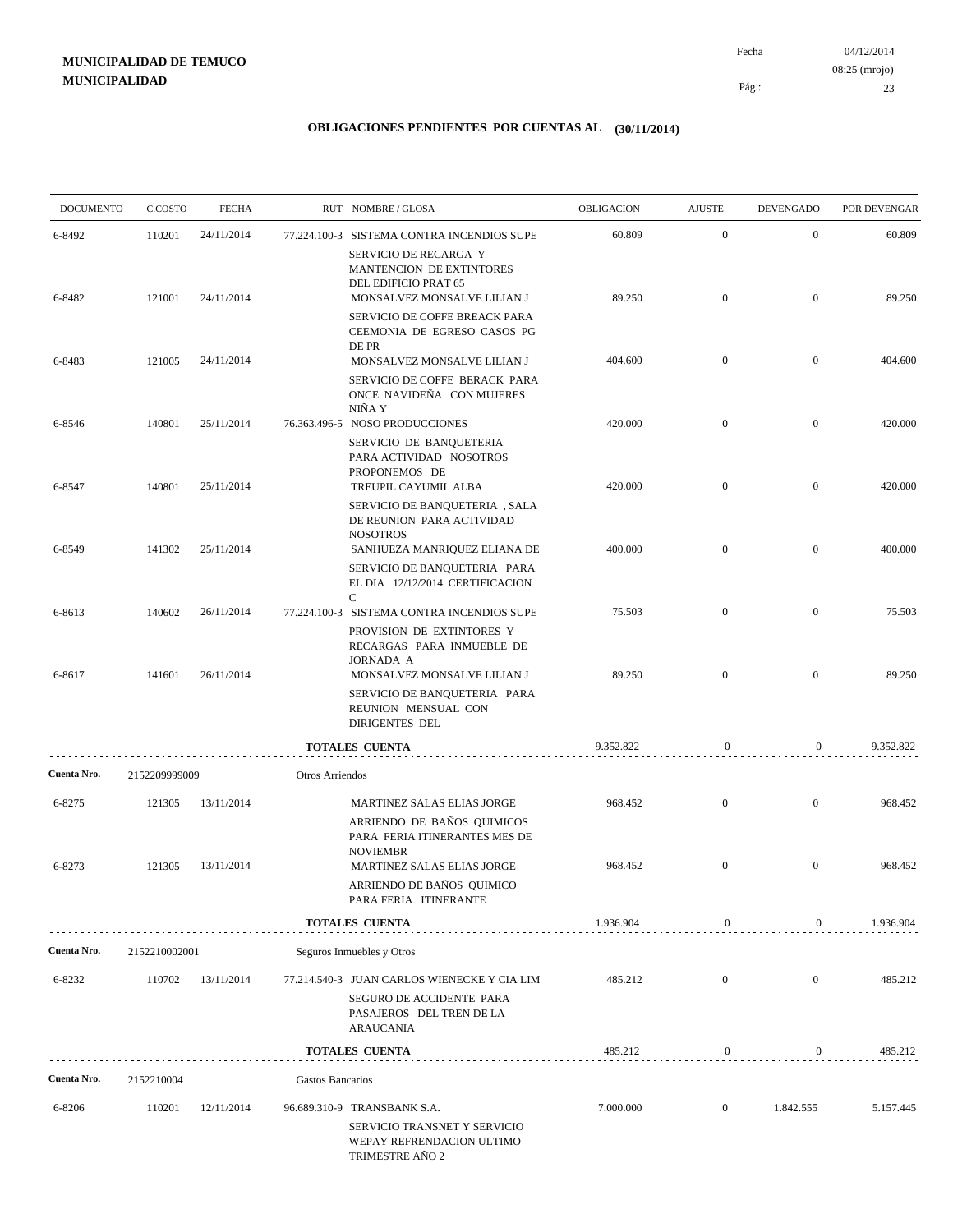04/12/2014 23 Pág.: Fecha 08:25 (mrojo)

| <b>DOCUMENTO</b> | C.COSTO       | <b>FECHA</b> |                  | RUT NOMBRE/GLOSA                                                                                                   | <b>OBLIGACION</b> | <b>AJUSTE</b>    | <b>DEVENGADO</b> | POR DEVENGAR |
|------------------|---------------|--------------|------------------|--------------------------------------------------------------------------------------------------------------------|-------------------|------------------|------------------|--------------|
| 6-8492           | 110201        | 24/11/2014   |                  | 77.224.100-3 SISTEMA CONTRA INCENDIOS SUPE<br>SERVICIO DE RECARGA Y                                                | 60.809            | $\mathbf{0}$     | $\overline{0}$   | 60.809       |
| 6-8482           | 121001        | 24/11/2014   |                  | MANTENCION DE EXTINTORES<br>DEL EDIFICIO PRAT 65<br>MONSALVEZ MONSALVE LILIAN J                                    | 89.250            | $\overline{0}$   | $\overline{0}$   | 89.250       |
|                  |               |              |                  | SERVICIO DE COFFE BREACK PARA<br>CEEMONIA DE EGRESO CASOS PG<br>DE PR                                              |                   |                  |                  |              |
| 6-8483           | 121005        | 24/11/2014   |                  | MONSALVEZ MONSALVE LILIAN J<br>SERVICIO DE COFFE BERACK PARA<br>ONCE NAVIDEÑA CON MUJERES                          | 404.600           | $\overline{0}$   | $\overline{0}$   | 404.600      |
|                  |               |              |                  | NIÑA Y                                                                                                             |                   |                  |                  |              |
| 6-8546           | 140801        | 25/11/2014   |                  | 76.363.496-5 NOSO PRODUCCIONES<br>SERVICIO DE BANQUETERIA<br>PARA ACTIVIDAD NOSOTROS<br>PROPONEMOS DE              | 420.000           | $\overline{0}$   | $\overline{0}$   | 420.000      |
| 6-8547           | 140801        | 25/11/2014   |                  | TREUPIL CAYUMIL ALBA<br>SERVICIO DE BANQUETERIA, SALA<br>DE REUNION PARA ACTIVIDAD                                 | 420.000           | $\mathbf{0}$     | $\boldsymbol{0}$ | 420.000      |
| 6-8549           | 141302        | 25/11/2014   |                  | <b>NOSOTROS</b><br>SANHUEZA MANRIQUEZ ELIANA DE<br>SERVICIO DE BANQUETERIA PARA<br>EL DIA 12/12/2014 CERTIFICACION | 400.000           | $\mathbf{0}$     | $\overline{0}$   | 400.000      |
| 6-8613           | 140602        | 26/11/2014   |                  | C<br>77.224.100-3 SISTEMA CONTRA INCENDIOS SUPE                                                                    | 75.503            | $\mathbf{0}$     | $\overline{0}$   | 75.503       |
| 6-8617           | 141601        | 26/11/2014   |                  | PROVISION DE EXTINTORES Y<br>RECARGAS PARA INMUEBLE DE<br><b>JORNADA A</b><br>MONSALVEZ MONSALVE LILIAN J          | 89.250            | $\mathbf{0}$     | $\overline{0}$   | 89.250       |
|                  |               |              |                  | SERVICIO DE BANQUETERIA PARA<br>REUNION MENSUAL CON<br>DIRIGENTES DEL                                              |                   |                  |                  |              |
|                  |               |              |                  | TOTALES CUENTA                                                                                                     | 9.352.822         | $\bf{0}$         | $\boldsymbol{0}$ | 9.352.822    |
| Cuenta Nro.      | 2152209999009 |              | Otros Arriendos  |                                                                                                                    |                   |                  |                  |              |
| 6-8275           | 121305        | 13/11/2014   |                  | MARTINEZ SALAS ELIAS JORGE                                                                                         | 968.452           | $\overline{0}$   | $\overline{0}$   | 968.452      |
|                  |               |              |                  | ARRIENDO DE BAÑOS QUIMICOS<br>PARA FERIA ITINERANTES MES DE<br><b>NOVIEMBR</b>                                     |                   |                  |                  |              |
| 6-8273           | 121305        | 13/11/2014   |                  | MARTINEZ SALAS ELIAS JORGE<br>ARRIENDO DE BAÑOS QUIMICO<br>PARA FERIA ITINERANTE                                   | 968.452           | $\overline{0}$   | $\mathbf{0}$     | 968.452      |
|                  |               |              |                  | <b>TOTALES CUENTA</b>                                                                                              | 1.936.904         | $\boldsymbol{0}$ | $\boldsymbol{0}$ | 1.936.904    |
| Cuenta Nro.      | 2152210002001 |              |                  | Seguros Inmuebles y Otros                                                                                          |                   |                  |                  |              |
| 6-8232           | 110702        | 13/11/2014   |                  | 77.214.540-3 JUAN CARLOS WIENECKE Y CIA LIM                                                                        | 485.212           | $\mathbf{0}$     | $\boldsymbol{0}$ | 485.212      |
|                  |               |              |                  | SEGURO DE ACCIDENTE PARA<br>PASAJEROS DEL TREN DE LA<br>ARAUCANIA                                                  |                   |                  |                  |              |
|                  |               |              |                  | <b>TOTALES CUENTA</b>                                                                                              | 485.212           | $\boldsymbol{0}$ | $\overline{0}$   | 485.212      |
| Cuenta Nro.      | 2152210004    |              | Gastos Bancarios |                                                                                                                    |                   |                  |                  |              |
| 6-8206           | 110201        | 12/11/2014   |                  | 96.689.310-9 TRANSBANK S.A.<br>SERVICIO TRANSNET Y SERVICIO<br>WEPAY REFRENDACION ULTIMO<br>TRIMESTRE AÑO 2        | 7.000.000         | $\mathbf{0}$     | 1.842.555        | 5.157.445    |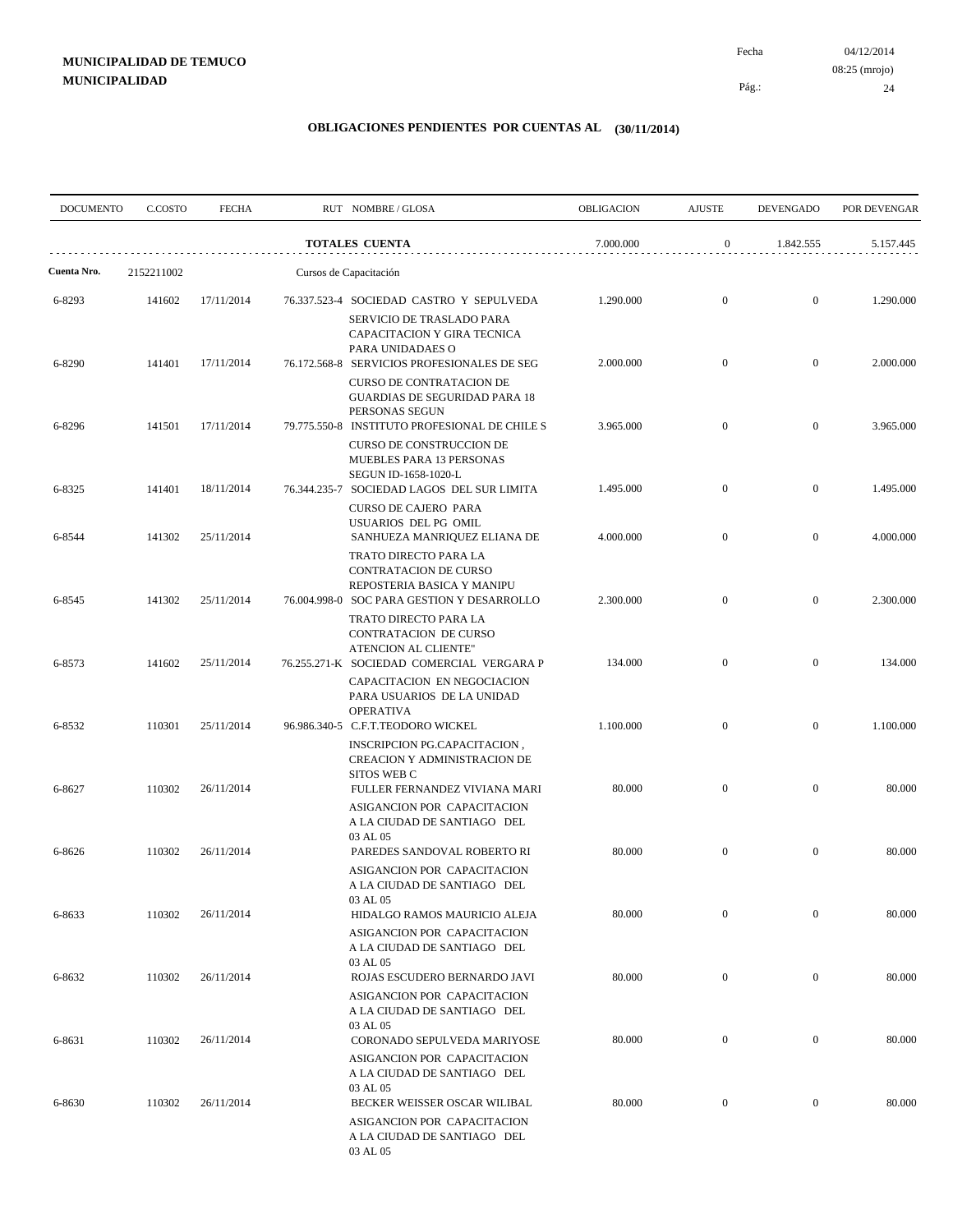04/12/2014 24 Pág.: Fecha 08:25 (mrojo)

| <b>DOCUMENTO</b> | C.COSTO    | <b>FECHA</b> | RUT NOMBRE/GLOSA                                                                                                           | OBLIGACION | <b>AJUSTE</b>    | <b>DEVENGADO</b> | POR DEVENGAR |
|------------------|------------|--------------|----------------------------------------------------------------------------------------------------------------------------|------------|------------------|------------------|--------------|
|                  |            |              | <b>TOTALES CUENTA</b>                                                                                                      | 7.000.000  | $\boldsymbol{0}$ | 1.842.555        | 5.157.445    |
| Cuenta Nro.      | 2152211002 |              | Cursos de Capacitación                                                                                                     |            |                  |                  |              |
| 6-8293           | 141602     | 17/11/2014   | 76.337.523-4 SOCIEDAD CASTRO Y SEPULVEDA<br>SERVICIO DE TRASLADO PARA                                                      | 1.290.000  | $\mathbf{0}$     | $\mathbf{0}$     | 1.290.000    |
| 6-8290           | 141401     | 17/11/2014   | CAPACITACION Y GIRA TECNICA<br>PARA UNIDADAES O<br>76.172.568-8 SERVICIOS PROFESIONALES DE SEG<br>CURSO DE CONTRATACION DE | 2.000.000  | $\mathbf{0}$     | $\mathbf{0}$     | 2.000.000    |
| 6-8296           | 141501     | 17/11/2014   | <b>GUARDIAS DE SEGURIDAD PARA 18</b><br>PERSONAS SEGUN<br>79.775.550-8 INSTITUTO PROFESIONAL DE CHILE S                    | 3.965.000  | $\overline{0}$   | $\mathbf{0}$     | 3.965.000    |
|                  |            |              | <b>CURSO DE CONSTRUCCION DE</b><br>MUEBLES PARA 13 PERSONAS<br>SEGUN ID-1658-1020-L                                        |            |                  |                  |              |
| 6-8325           | 141401     | 18/11/2014   | 76.344.235-7 SOCIEDAD LAGOS DEL SUR LIMITA<br>CURSO DE CAJERO PARA                                                         | 1.495.000  | $\mathbf{0}$     | $\boldsymbol{0}$ | 1.495.000    |
| 6-8544           | 141302     | 25/11/2014   | USUARIOS DEL PG OMIL<br>SANHUEZA MANRIQUEZ ELIANA DE                                                                       | 4.000.000  | $\mathbf{0}$     | $\overline{0}$   | 4.000.000    |
| 6-8545           | 141302     | 25/11/2014   | TRATO DIRECTO PARA LA<br>CONTRATACION DE CURSO<br>REPOSTERIA BASICA Y MANIPU<br>76.004.998-0 SOC PARA GESTION Y DESARROLLO | 2.300.000  | $\overline{0}$   | $\mathbf{0}$     | 2.300.000    |
|                  |            |              | TRATO DIRECTO PARA LA<br>CONTRATACION DE CURSO<br>ATENCION AL CLIENTE"                                                     |            |                  |                  |              |
| 6-8573           | 141602     | 25/11/2014   | 76.255.271-K SOCIEDAD COMERCIAL VERGARA P<br>CAPACITACION EN NEGOCIACION<br>PARA USUARIOS DE LA UNIDAD                     | 134.000    | $\mathbf{0}$     | $\overline{0}$   | 134.000      |
| 6-8532           | 110301     | 25/11/2014   | <b>OPERATIVA</b><br>96.986.340-5 C.F.T.TEODORO WICKEL<br>INSCRIPCION PG.CAPACITACION,                                      | 1.100.000  | $\overline{0}$   | $\mathbf{0}$     | 1.100.000    |
|                  |            |              | CREACION Y ADMINISTRACION DE<br><b>SITOS WEB C</b>                                                                         |            |                  |                  |              |
| 6-8627           | 110302     | 26/11/2014   | FULLER FERNANDEZ VIVIANA MARI<br>ASIGANCION POR CAPACITACION<br>A LA CIUDAD DE SANTIAGO DEL<br>03 AL 05                    | 80.000     | $\mathbf{0}$     | $\mathbf{0}$     | 80.000       |
| 6-8626           | 110302     | 26/11/2014   | PAREDES SANDOVAL ROBERTO RI<br>ASIGANCION POR CAPACITACION<br>A LA CIUDAD DE SANTIAGO DEL                                  | 80.000     | $\mathbf{0}$     | $\overline{0}$   | 80.000       |
| 6-8633           | 110302     | 26/11/2014   | 03 AL 05<br>HIDALGO RAMOS MAURICIO ALEJA<br>ASIGANCION POR CAPACITACION                                                    | 80.000     | $\mathbf{0}$     | $\boldsymbol{0}$ | 80.000       |
| 6-8632           | 110302     | 26/11/2014   | A LA CIUDAD DE SANTIAGO DEL<br>03 AL 05<br>ROJAS ESCUDERO BERNARDO JAVI                                                    | 80.000     | $\mathbf{0}$     | $\boldsymbol{0}$ | 80.000       |
|                  |            |              | ASIGANCION POR CAPACITACION<br>A LA CIUDAD DE SANTIAGO DEL<br>03 AL 05                                                     |            |                  |                  |              |
| 6-8631           | 110302     | 26/11/2014   | CORONADO SEPULVEDA MARIYOSE<br>ASIGANCION POR CAPACITACION                                                                 | 80.000     | $\boldsymbol{0}$ | $\boldsymbol{0}$ | 80.000       |
| 6-8630           | 110302     | 26/11/2014   | A LA CIUDAD DE SANTIAGO DEL<br>03 AL 05<br>BECKER WEISSER OSCAR WILIBAL                                                    | 80.000     | $\boldsymbol{0}$ | $\boldsymbol{0}$ | 80.000       |
|                  |            |              | ASIGANCION POR CAPACITACION<br>A LA CIUDAD DE SANTIAGO DEL<br>03 AL 05                                                     |            |                  |                  |              |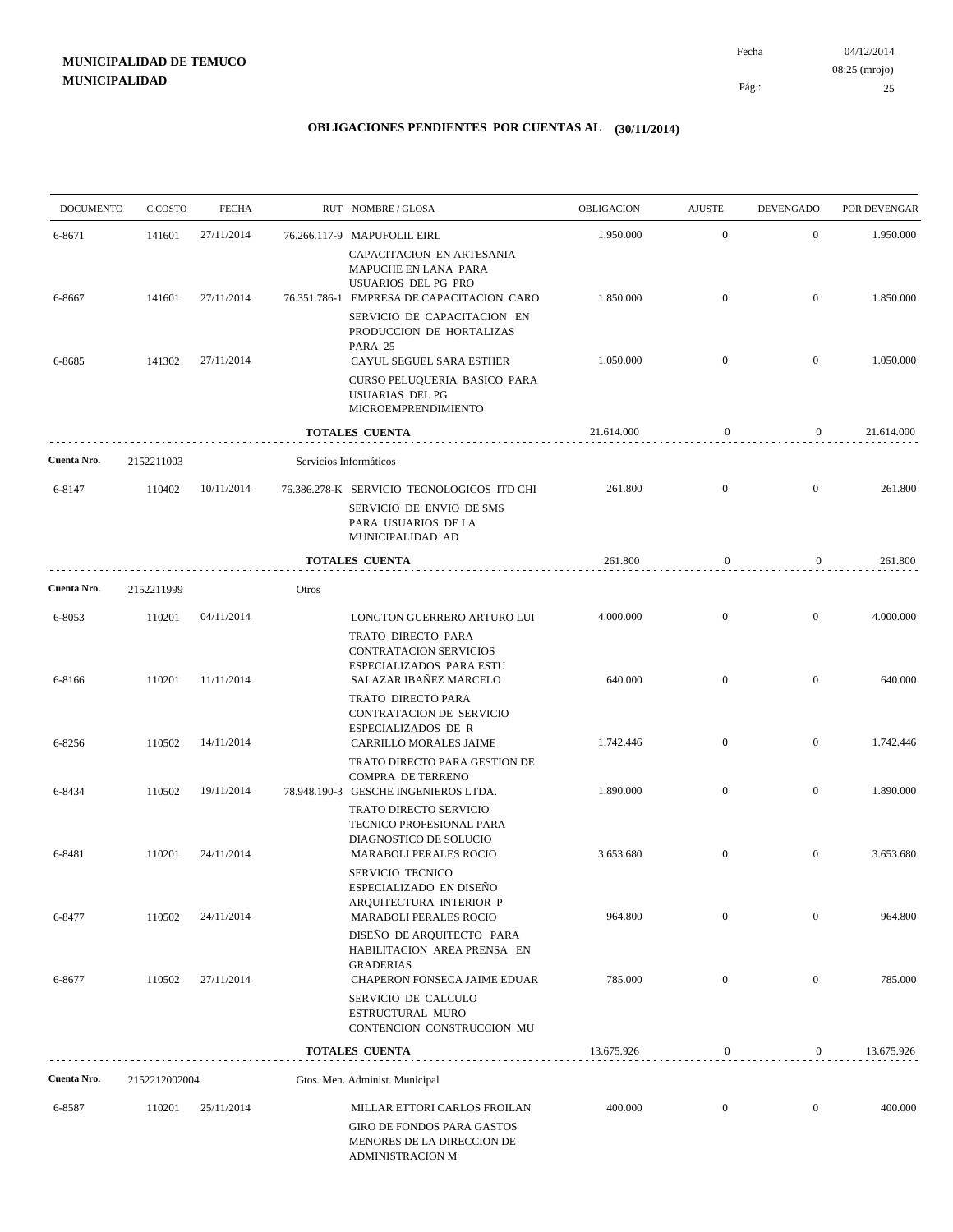| <b>DOCUMENTO</b> | C.COSTO       | <b>FECHA</b> |       | RUT NOMBRE/GLOSA                                                                                                           | OBLIGACION | <b>AJUSTE</b>    | <b>DEVENGADO</b> | POR DEVENGAR |
|------------------|---------------|--------------|-------|----------------------------------------------------------------------------------------------------------------------------|------------|------------------|------------------|--------------|
| 6-8671           | 141601        | 27/11/2014   |       | 76.266.117-9 MAPUFOLIL EIRL                                                                                                | 1.950.000  | $\mathbf{0}$     | $\mathbf{0}$     | 1.950.000    |
| 6-8667           | 141601        | 27/11/2014   |       | CAPACITACION EN ARTESANIA<br>MAPUCHE EN LANA PARA<br>USUARIOS DEL PG PRO<br>76.351.786-1 EMPRESA DE CAPACITACION CARO      | 1.850.000  | $\mathbf{0}$     | $\overline{0}$   | 1.850.000    |
|                  |               |              |       | SERVICIO DE CAPACITACION EN<br>PRODUCCION DE HORTALIZAS<br>PARA 25                                                         |            |                  |                  |              |
| 6-8685           | 141302        | 27/11/2014   |       | CAYUL SEGUEL SARA ESTHER<br>CURSO PELUQUERIA BASICO PARA<br><b>USUARIAS DEL PG</b><br>MICROEMPRENDIMIENTO                  | 1.050.000  | $\mathbf{0}$     | $\bf{0}$         | 1.050.000    |
|                  |               |              |       | <b>TOTALES CUENTA</b>                                                                                                      | 21.614.000 | 0                | $\overline{0}$   | 21.614.000   |
| Cuenta Nro.      | 2152211003    |              |       | Servicios Informáticos                                                                                                     |            |                  |                  |              |
| 6-8147           | 110402        | 10/11/2014   |       | 76.386.278-K SERVICIO TECNOLOGICOS ITD CHI<br>SERVICIO DE ENVIO DE SMS<br>PARA USUARIOS DE LA<br>MUNICIPALIDAD AD          | 261.800    | $\overline{0}$   | $\overline{0}$   | 261.800      |
|                  |               |              |       | <b>TOTALES CUENTA</b>                                                                                                      | 261.800    | $\boldsymbol{0}$ | $\overline{0}$   | 261.800      |
| Cuenta Nro.      | 2152211999    |              | Otros |                                                                                                                            |            |                  |                  |              |
| 6-8053           | 110201        | 04/11/2014   |       | LONGTON GUERRERO ARTURO LUI                                                                                                | 4.000.000  | $\mathbf{0}$     | $\mathbf{0}$     | 4.000.000    |
| 6-8166           | 110201        | 11/11/2014   |       | TRATO DIRECTO PARA<br><b>CONTRATACION SERVICIOS</b><br>ESPECIALIZADOS PARA ESTU<br>SALAZAR IBAÑEZ MARCELO                  | 640.000    | $\mathbf{0}$     | $\overline{0}$   | 640.000      |
| 6-8256           | 110502        | 14/11/2014   |       | TRATO DIRECTO PARA<br>CONTRATACION DE SERVICIO<br>ESPECIALIZADOS DE R<br>CARRILLO MORALES JAIME                            | 1.742.446  | $\mathbf{0}$     | $\mathbf{0}$     | 1.742.446    |
|                  |               |              |       | TRATO DIRECTO PARA GESTION DE<br>COMPRA DE TERRENO                                                                         |            |                  |                  |              |
| 6-8434           | 110502        | 19/11/2014   |       | 78.948.190-3 GESCHE INGENIEROS LTDA.<br><b>TRATO DIRECTO SERVICIO</b><br>TECNICO PROFESIONAL PARA                          | 1.890.000  | $\mathbf{0}$     | $\mathbf{0}$     | 1.890.000    |
| 6-8481           | 110201        | 24/11/2014   |       | DIAGNOSTICO DE SOLUCIO<br><b>MARABOLI PERALES ROCIO</b>                                                                    | 3.653.680  | $\mathbf{0}$     | $\mathbf{0}$     | 3.653.680    |
| 6-8477           | 110502        | 24/11/2014   |       | SERVICIO TECNICO<br>ESPECIALIZADO EN DISEÑO<br>ARQUITECTURA INTERIOR P<br>MARABOLI PERALES ROCIO                           | 964.800    | $\mathbf{0}$     | $\mathbf{0}$     | 964.800      |
|                  |               |              |       | DISEÑO DE ARQUITECTO PARA<br>HABILITACION AREA PRENSA EN<br><b>GRADERIAS</b>                                               |            |                  |                  |              |
| 6-8677           | 110502        | 27/11/2014   |       | CHAPERON FONSECA JAIME EDUAR<br>SERVICIO DE CALCULO<br>ESTRUCTURAL MURO<br>CONTENCION CONSTRUCCION MU                      | 785.000    | $\mathbf{0}$     | $\mathbf{0}$     | 785.000      |
|                  |               |              |       | <b>TOTALES CUENTA</b>                                                                                                      | 13.675.926 | $\boldsymbol{0}$ | $\mathbf{0}$     | 13.675.926   |
| Cuenta Nro.      | 2152212002004 |              |       | Gtos. Men. Administ. Municipal                                                                                             |            |                  |                  |              |
| 6-8587           | 110201        | 25/11/2014   |       | MILLAR ETTORI CARLOS FROILAN<br><b>GIRO DE FONDOS PARA GASTOS</b><br>MENORES DE LA DIRECCION DE<br><b>ADMINISTRACION M</b> | 400.000    | $\boldsymbol{0}$ | $\mathbf{0}$     | 400.000      |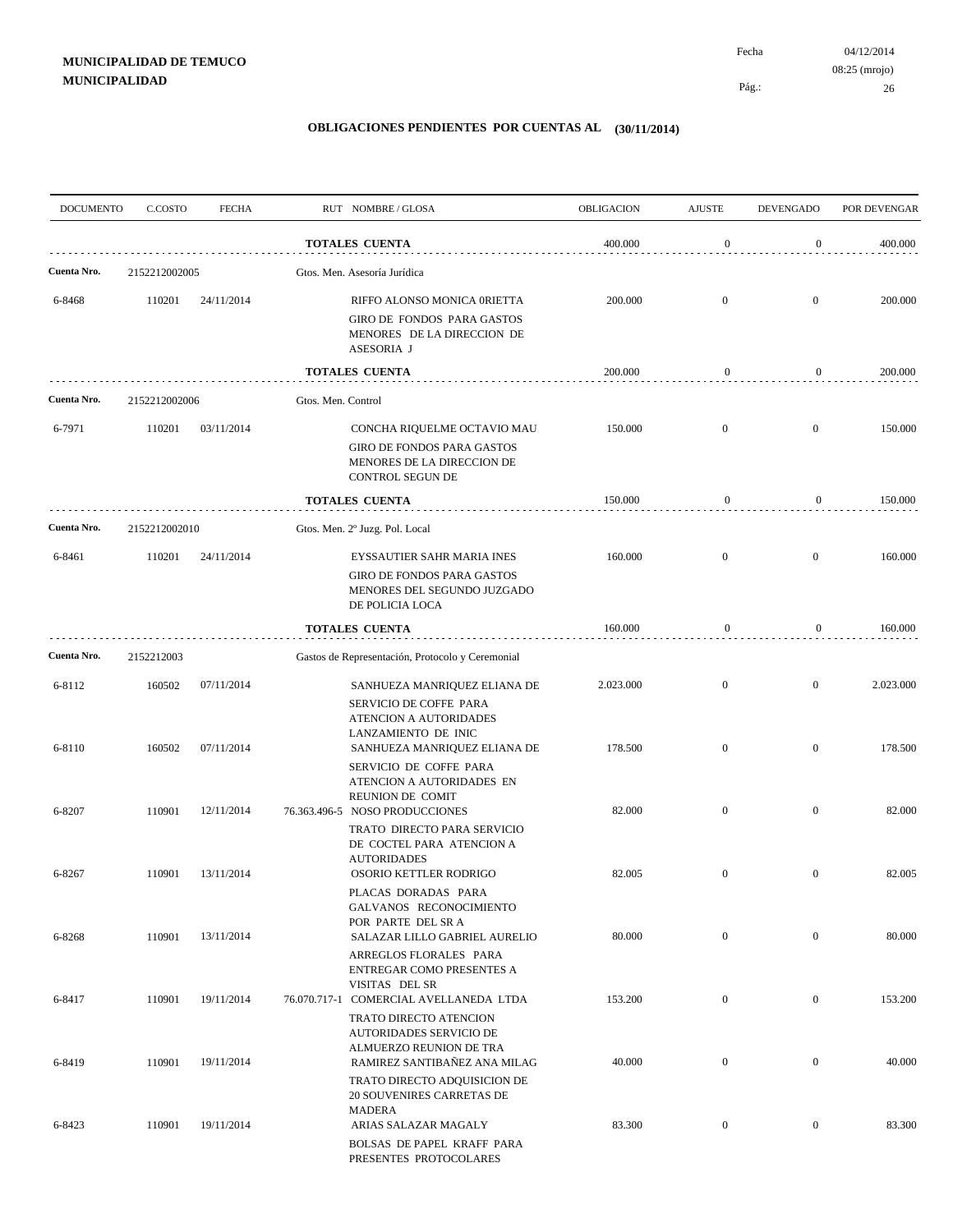| <b>DOCUMENTO</b> | C.COSTO       | <b>FECHA</b> |                    | RUT NOMBRE/GLOSA                                                                                                               | OBLIGACION | <b>AJUSTE</b>    | <b>DEVENGADO</b> | POR DEVENGAR |
|------------------|---------------|--------------|--------------------|--------------------------------------------------------------------------------------------------------------------------------|------------|------------------|------------------|--------------|
|                  |               |              |                    | <b>TOTALES CUENTA</b>                                                                                                          | 400.000    | $\boldsymbol{0}$ | $\mathbf{0}$     | 400.000      |
| Cuenta Nro.      | 2152212002005 |              |                    | Gtos. Men. Asesoría Jurídica                                                                                                   |            |                  |                  |              |
| 6-8468           | 110201        | 24/11/2014   |                    | RIFFO ALONSO MONICA 0RIETTA<br>GIRO DE FONDOS PARA GASTOS<br>MENORES DE LA DIRECCION DE<br>ASESORIA J                          | 200.000    | $\mathbf{0}$     | $\overline{0}$   | 200.000      |
|                  |               |              |                    | <b>TOTALES CUENTA</b>                                                                                                          | 200.000    | $\boldsymbol{0}$ | $\overline{0}$   | 200.000      |
| Cuenta Nro.      | 2152212002006 |              | Gtos. Men. Control |                                                                                                                                |            |                  |                  |              |
| 6-7971           | 110201        | 03/11/2014   |                    | CONCHA RIQUELME OCTAVIO MAU<br><b>GIRO DE FONDOS PARA GASTOS</b><br>MENORES DE LA DIRECCION DE<br>CONTROL SEGUN DE             | 150.000    | $\mathbf{0}$     | $\mathbf{0}$     | 150.000      |
|                  |               |              |                    | <b>TOTALES CUENTA</b>                                                                                                          | 150.000    | $\boldsymbol{0}$ | $\overline{0}$   | 150.000      |
| Cuenta Nro.      | 2152212002010 |              |                    | Gtos. Men. 2º Juzg. Pol. Local                                                                                                 |            |                  |                  |              |
| 6-8461           | 110201        | 24/11/2014   |                    | EYSSAUTIER SAHR MARIA INES<br><b>GIRO DE FONDOS PARA GASTOS</b><br>MENORES DEL SEGUNDO JUZGADO<br>DE POLICIA LOCA              | 160.000    | $\overline{0}$   | $\overline{0}$   | 160.000      |
|                  |               |              |                    | <b>TOTALES CUENTA</b>                                                                                                          | 160.000    | $\boldsymbol{0}$ | $\mathbf{0}$     | 160.000      |
| Cuenta Nro.      | 2152212003    |              |                    | Gastos de Representación, Protocolo y Ceremonial                                                                               |            |                  |                  |              |
| 6-8112           | 160502        | 07/11/2014   |                    | SANHUEZA MANRIQUEZ ELIANA DE<br>SERVICIO DE COFFE PARA<br>ATENCION A AUTORIDADES                                               | 2.023.000  | $\mathbf{0}$     | $\mathbf{0}$     | 2.023.000    |
| 6-8110           | 160502        | 07/11/2014   |                    | LANZAMIENTO DE INIC<br>SANHUEZA MANRIQUEZ ELIANA DE<br>SERVICIO DE COFFE PARA<br>ATENCION A AUTORIDADES EN<br>REUNION DE COMIT | 178.500    | $\overline{0}$   | $\mathbf{0}$     | 178.500      |
| 6-8207           | 110901        | 12/11/2014   |                    | 76.363.496-5 NOSO PRODUCCIONES<br>TRATO DIRECTO PARA SERVICIO<br>DE COCTEL PARA ATENCION A<br><b>AUTORIDADES</b>               | 82.000     | $\mathbf{0}$     | $\mathbf{0}$     | 82.000       |
| 6-8267           | 110901        | 13/11/2014   |                    | OSORIO KETTLER RODRIGO<br>PLACAS DORADAS PARA<br>GALVANOS RECONOCIMIENTO<br>POR PARTE DEL SR A                                 | 82.005     | $\overline{0}$   | $\mathbf{0}$     | 82.005       |
| 6-8268           | 110901        | 13/11/2014   |                    | SALAZAR LILLO GABRIEL AURELIO<br>ARREGLOS FLORALES PARA<br>ENTREGAR COMO PRESENTES A<br>VISITAS DEL SR                         | 80.000     | $\boldsymbol{0}$ | $\mathbf{0}$     | 80.000       |
| 6-8417           | 110901        | 19/11/2014   |                    | 76.070.717-1 COMERCIAL AVELLANEDA LTDA<br>TRATO DIRECTO ATENCION                                                               | 153.200    | $\boldsymbol{0}$ | $\mathbf{0}$     | 153.200      |
| 6-8419           | 110901        | 19/11/2014   |                    | <b>AUTORIDADES SERVICIO DE</b><br>ALMUERZO REUNION DE TRA<br>RAMIREZ SANTIBAÑEZ ANA MILAG<br>TRATO DIRECTO ADQUISICION DE      | 40.000     | $\boldsymbol{0}$ | $\mathbf{0}$     | 40.000       |
| 6-8423           | 110901        | 19/11/2014   |                    | 20 SOUVENIRES CARRETAS DE<br><b>MADERA</b><br>ARIAS SALAZAR MAGALY                                                             | 83.300     | $\boldsymbol{0}$ | $\overline{0}$   | 83.300       |
|                  |               |              |                    | BOLSAS DE PAPEL KRAFF PARA<br>PRESENTES PROTOCOLARES                                                                           |            |                  |                  |              |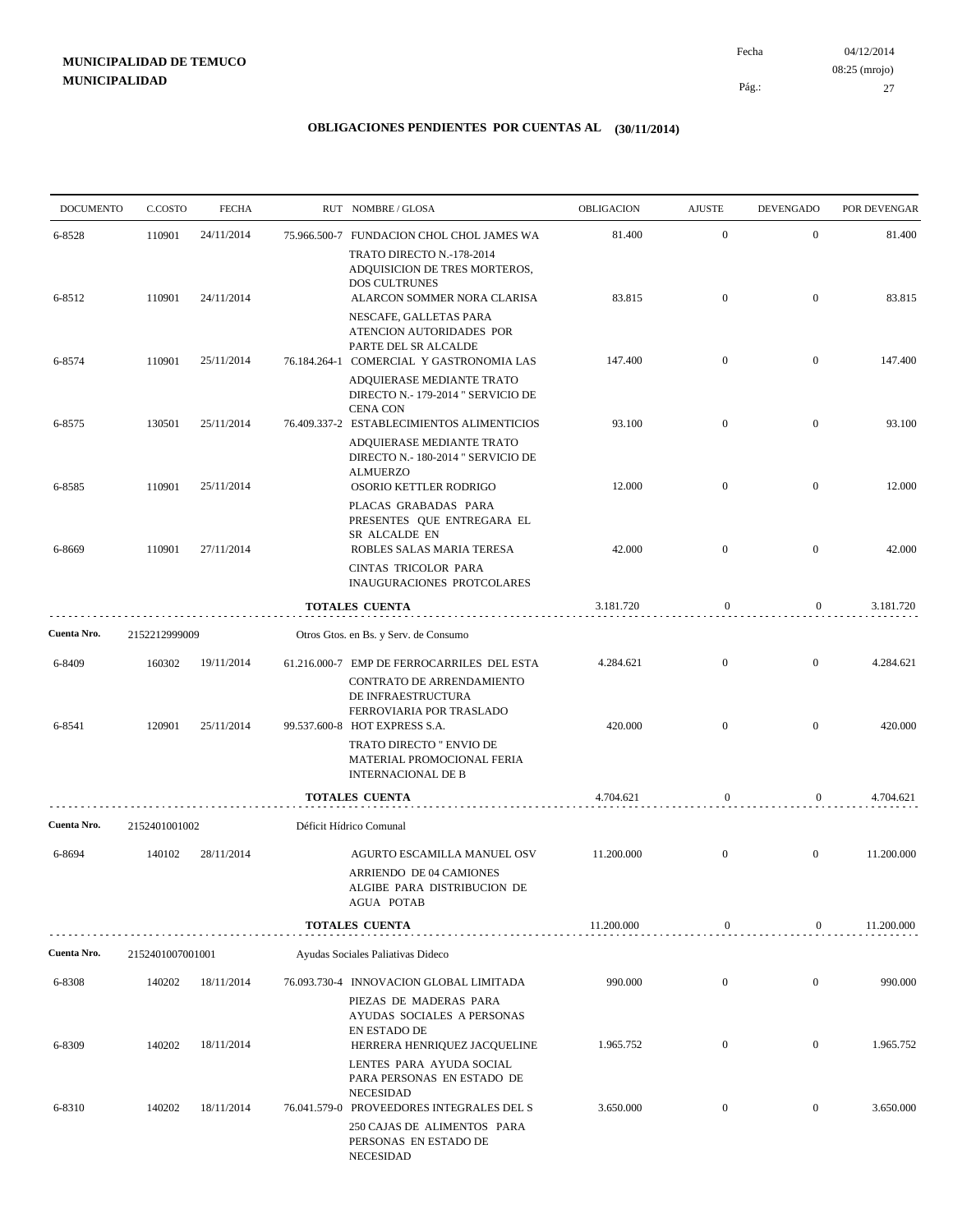04/12/2014 27 Pág.: Fecha 08:25 (mrojo)

| <b>DOCUMENTO</b> | C.COSTO          | <b>FECHA</b> | RUT NOMBRE/GLOSA                                                                                                                          | OBLIGACION | <b>AJUSTE</b>    | <b>DEVENGADO</b> | POR DEVENGAR |
|------------------|------------------|--------------|-------------------------------------------------------------------------------------------------------------------------------------------|------------|------------------|------------------|--------------|
| 6-8528           | 110901           | 24/11/2014   | 75.966.500-7 FUNDACION CHOL CHOL JAMES WA                                                                                                 | 81.400     | $\mathbf{0}$     | $\mathbf{0}$     | 81.400       |
|                  |                  |              | TRATO DIRECTO N.-178-2014<br>ADQUISICION DE TRES MORTEROS,<br><b>DOS CULTRUNES</b>                                                        |            |                  |                  |              |
| 6-8512           | 110901           | 24/11/2014   | ALARCON SOMMER NORA CLARISA<br>NESCAFE, GALLETAS PARA<br>ATENCION AUTORIDADES POR                                                         | 83.815     | $\mathbf{0}$     | $\mathbf{0}$     | 83.815       |
| 6-8574           | 110901           | 25/11/2014   | PARTE DEL SR ALCALDE<br>76.184.264-1 COMERCIAL Y GASTRONOMIA LAS<br>ADQUIERASE MEDIANTE TRATO                                             | 147.400    | $\mathbf{0}$     | $\boldsymbol{0}$ | 147.400      |
|                  |                  |              | DIRECTO N.- 179-2014 " SERVICIO DE<br><b>CENA CON</b>                                                                                     |            |                  |                  |              |
| 6-8575           | 130501           | 25/11/2014   | 76.409.337-2 ESTABLECIMIENTOS ALIMENTICIOS<br>ADQUIERASE MEDIANTE TRATO<br>DIRECTO N.- 180-2014 " SERVICIO DE<br><b>ALMUERZO</b>          | 93.100     | $\overline{0}$   | $\mathbf{0}$     | 93.100       |
| 6-8585           | 110901           | 25/11/2014   | OSORIO KETTLER RODRIGO<br>PLACAS GRABADAS PARA<br>PRESENTES OUE ENTREGARA EL                                                              | 12.000     | $\mathbf{0}$     | $\mathbf{0}$     | 12.000       |
| 6-8669           | 110901           | 27/11/2014   | SR ALCALDE EN<br>ROBLES SALAS MARIA TERESA<br>CINTAS TRICOLOR PARA                                                                        | 42.000     | $\mathbf{0}$     | $\boldsymbol{0}$ | 42.000       |
|                  |                  |              | INAUGURACIONES PROTCOLARES                                                                                                                |            |                  |                  |              |
|                  |                  |              | <b>TOTALES CUENTA</b>                                                                                                                     | 3.181.720  | $\boldsymbol{0}$ | $\overline{0}$   | 3.181.720    |
| Cuenta Nro.      | 2152212999009    |              | Otros Gtos. en Bs. y Serv. de Consumo                                                                                                     |            |                  |                  |              |
| 6-8409           | 160302           | 19/11/2014   | 61.216.000-7 EMP DE FERROCARRILES DEL ESTA<br>CONTRATO DE ARRENDAMIENTO                                                                   | 4.284.621  | $\mathbf{0}$     | $\mathbf{0}$     | 4.284.621    |
| 6-8541           | 120901           | 25/11/2014   | DE INFRAESTRUCTURA<br>FERROVIARIA POR TRASLADO<br>99.537.600-8 HOT EXPRESS S.A.                                                           | 420.000    | $\mathbf{0}$     | $\overline{0}$   | 420.000      |
|                  |                  |              | TRATO DIRECTO " ENVIO DE<br>MATERIAL PROMOCIONAL FERIA<br><b>INTERNACIONAL DE B</b>                                                       |            |                  |                  |              |
|                  |                  |              | <b>TOTALES CUENTA</b>                                                                                                                     | 4.704.621  | $\mathbf{0}$     | $\overline{0}$   | 4.704.621    |
| Cuenta Nro.      | 2152401001002    |              | Déficit Hídrico Comunal                                                                                                                   |            |                  |                  |              |
| 6-8694           | 140102           | 28/11/2014   | AGURTO ESCAMILLA MANUEL OSV<br>ARRIENDO DE 04 CAMIONES<br>ALGIBE PARA DISTRIBUCION DE<br><b>AGUA POTAB</b>                                | 11.200.000 | $\mathbf{0}$     | $\mathbf{0}$     | 11.200.000   |
|                  |                  |              | <b>TOTALES CUENTA</b>                                                                                                                     | 11.200.000 | $\boldsymbol{0}$ | 0                | 11.200.000   |
| Cuenta Nro.      | 2152401007001001 |              | Ayudas Sociales Paliativas Dideco                                                                                                         |            |                  |                  |              |
| 6-8308           | 140202           | 18/11/2014   | 76.093.730-4 INNOVACION GLOBAL LIMITADA                                                                                                   | 990.000    | $\boldsymbol{0}$ | $\boldsymbol{0}$ | 990.000      |
|                  |                  |              | PIEZAS DE MADERAS PARA<br>AYUDAS SOCIALES A PERSONAS<br>EN ESTADO DE                                                                      |            |                  |                  |              |
| 6-8309           | 140202           | 18/11/2014   | HERRERA HENRIQUEZ JACQUELINE<br>LENTES PARA AYUDA SOCIAL<br>PARA PERSONAS EN ESTADO DE                                                    | 1.965.752  | $\mathbf{0}$     | $\mathbf{0}$     | 1.965.752    |
| 6-8310           | 140202           | 18/11/2014   | <b>NECESIDAD</b><br>76.041.579-0 PROVEEDORES INTEGRALES DEL S<br>250 CAJAS DE ALIMENTOS PARA<br>PERSONAS EN ESTADO DE<br><b>NECESIDAD</b> | 3.650.000  | $\boldsymbol{0}$ | $\boldsymbol{0}$ | 3.650.000    |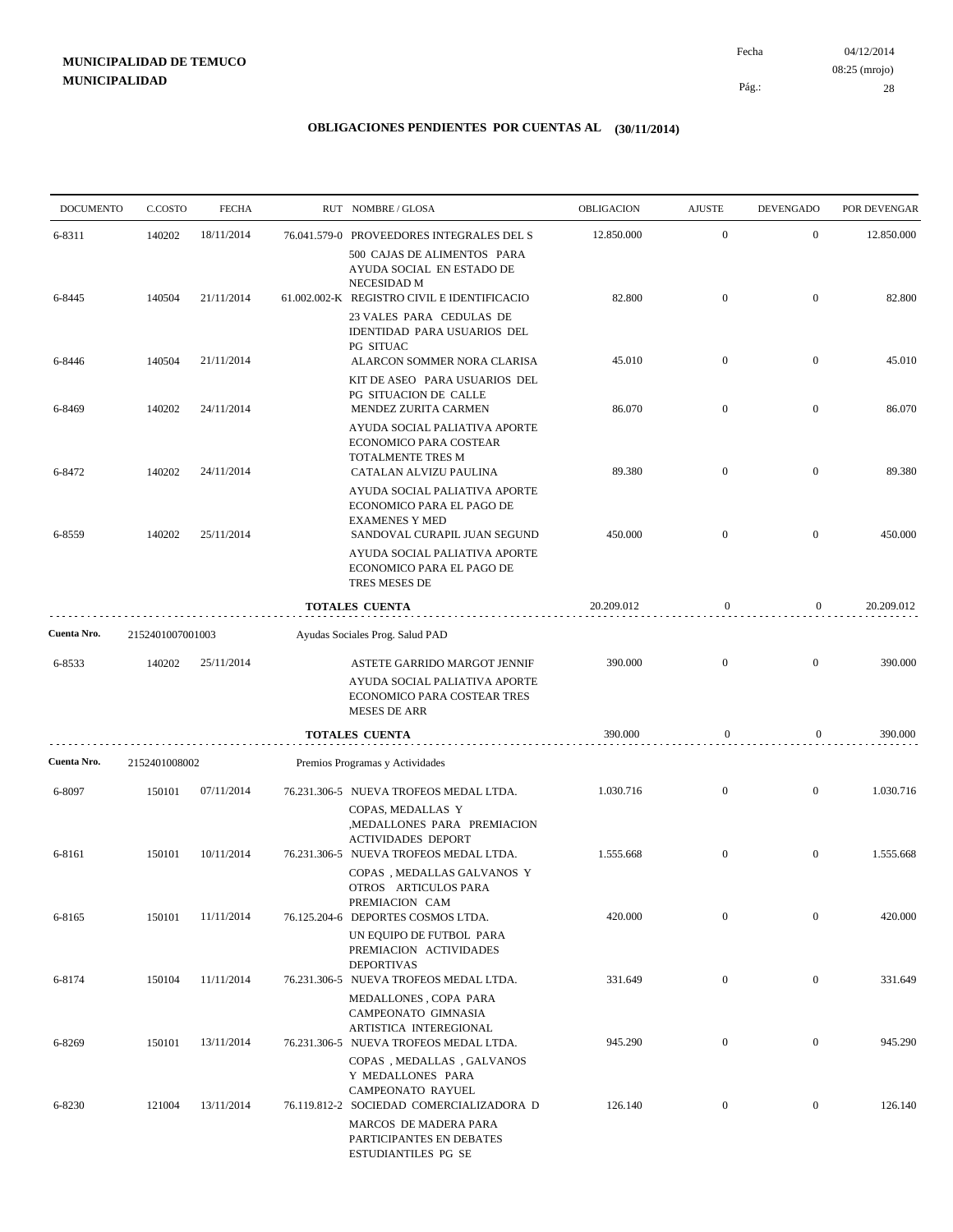04/12/2014 28 Pág.: Fecha 08:25 (mrojo)

| <b>DOCUMENTO</b> | C.COSTO          | <b>FECHA</b>                                     |  | RUT NOMBRE/GLOSA                                                                                                        | <b>OBLIGACION</b> | <b>AJUSTE</b>    | <b>DEVENGADO</b> | POR DEVENGAR |
|------------------|------------------|--------------------------------------------------|--|-------------------------------------------------------------------------------------------------------------------------|-------------------|------------------|------------------|--------------|
| 6-8311           | 140202           | 18/11/2014                                       |  | 76.041.579-0 PROVEEDORES INTEGRALES DEL S                                                                               | 12.850.000        | $\mathbf{0}$     | $\boldsymbol{0}$ | 12.850.000   |
|                  |                  |                                                  |  | 500 CAJAS DE ALIMENTOS PARA<br>AYUDA SOCIAL EN ESTADO DE<br>NECESIDAD M                                                 |                   |                  |                  |              |
| 6-8445           | 140504           | 21/11/2014                                       |  | 61.002.002-K REGISTRO CIVIL E IDENTIFICACIO<br>23 VALES PARA CEDULAS DE<br>IDENTIDAD PARA USUARIOS DEL                  | 82.800            | $\boldsymbol{0}$ | $\boldsymbol{0}$ | 82.800       |
| 6-8446           | 140504           | 21/11/2014                                       |  | PG SITUAC<br>ALARCON SOMMER NORA CLARISA<br>KIT DE ASEO PARA USUARIOS DEL                                               | 45.010            | $\boldsymbol{0}$ | $\boldsymbol{0}$ | 45.010       |
| 6-8469           | 140202           | 24/11/2014                                       |  | PG SITUACION DE CALLE<br>MENDEZ ZURITA CARMEN                                                                           | 86.070            | $\boldsymbol{0}$ | $\boldsymbol{0}$ | 86.070       |
| 6-8472           | 140202           | 24/11/2014                                       |  | AYUDA SOCIAL PALIATIVA APORTE<br>ECONOMICO PARA COSTEAR<br>TOTALMENTE TRES M<br>CATALAN ALVIZU PAULINA                  | 89.380            | $\mathbf{0}$     | $\mathbf{0}$     | 89.380       |
| 6-8559           | 140202           | 25/11/2014                                       |  | AYUDA SOCIAL PALIATIVA APORTE<br>ECONOMICO PARA EL PAGO DE<br><b>EXAMENES Y MED</b><br>SANDOVAL CURAPIL JUAN SEGUND     | 450.000           | $\mathbf{0}$     | $\mathbf{0}$     | 450.000      |
|                  |                  |                                                  |  | AYUDA SOCIAL PALIATIVA APORTE<br>ECONOMICO PARA EL PAGO DE<br>TRES MESES DE                                             |                   |                  |                  |              |
|                  |                  |                                                  |  | TOTALES CUENTA                                                                                                          | 20.209.012        | $\boldsymbol{0}$ | $\mathbf{0}$     | 20.209.012   |
| Cuenta Nro.      | 2152401007001003 |                                                  |  | Ayudas Sociales Prog. Salud PAD                                                                                         |                   |                  |                  |              |
| 6-8533           | 140202           | 25/11/2014                                       |  | ASTETE GARRIDO MARGOT JENNIF<br>AYUDA SOCIAL PALIATIVA APORTE<br>ECONOMICO PARA COSTEAR TRES<br><b>MESES DE ARR</b>     | 390.000           | $\boldsymbol{0}$ | $\boldsymbol{0}$ | 390.000      |
|                  |                  |                                                  |  | TOTALES CUENTA                                                                                                          | 390.000           | $\mathbf{0}$     | $\boldsymbol{0}$ | 390.000      |
| Cuenta Nro.      |                  | 2152401008002<br>Premios Programas y Actividades |  |                                                                                                                         |                   |                  |                  |              |
| 6-8097           | 150101           | 07/11/2014                                       |  | 76.231.306-5 NUEVA TROFEOS MEDAL LTDA.<br>COPAS, MEDALLAS Y<br>,MEDALLONES PARA PREMIACION<br><b>ACTIVIDADES DEPORT</b> | 1.030.716         | $\boldsymbol{0}$ | $\boldsymbol{0}$ | 1.030.716    |
| 6-8161           | 150101           | 10/11/2014                                       |  | 76.231.306-5 NUEVA TROFEOS MEDAL LTDA.<br>COPAS, MEDALLAS GALVANOS Y<br>OTROS ARTICULOS PARA                            | 1.555.668         | $\mathbf{0}$     | $\boldsymbol{0}$ | 1.555.668    |
| 6-8165           | 150101           | 11/11/2014                                       |  | PREMIACION CAM<br>76.125.204-6 DEPORTES COSMOS LTDA.<br>UN EQUIPO DE FUTBOL PARA<br>PREMIACION ACTIVIDADES              | 420.000           | $\mathbf{0}$     | $\overline{0}$   | 420.000      |
| 6-8174           | 150104           | 11/11/2014                                       |  | <b>DEPORTIVAS</b><br>76.231.306-5 NUEVA TROFEOS MEDAL LTDA.<br>MEDALLONES, COPA PARA                                    | 331.649           | $\boldsymbol{0}$ | $\mathbf{0}$     | 331.649      |
| 6-8269           | 150101           | 13/11/2014                                       |  | CAMPEONATO GIMNASIA<br>ARTISTICA INTEREGIONAL<br>76.231.306-5 NUEVA TROFEOS MEDAL LTDA.                                 | 945.290           | $\boldsymbol{0}$ | $\boldsymbol{0}$ | 945.290      |
| 6-8230           | 121004           | 13/11/2014                                       |  | COPAS, MEDALLAS, GALVANOS<br>Y MEDALLONES PARA<br>CAMPEONATO RAYUEL<br>76.119.812-2 SOCIEDAD COMERCIALIZADORA D         | 126.140           | $\boldsymbol{0}$ | $\boldsymbol{0}$ | 126.140      |
|                  |                  |                                                  |  | MARCOS DE MADERA PARA<br>PARTICIPANTES EN DEBATES<br>ESTUDIANTILES PG SE                                                |                   |                  |                  |              |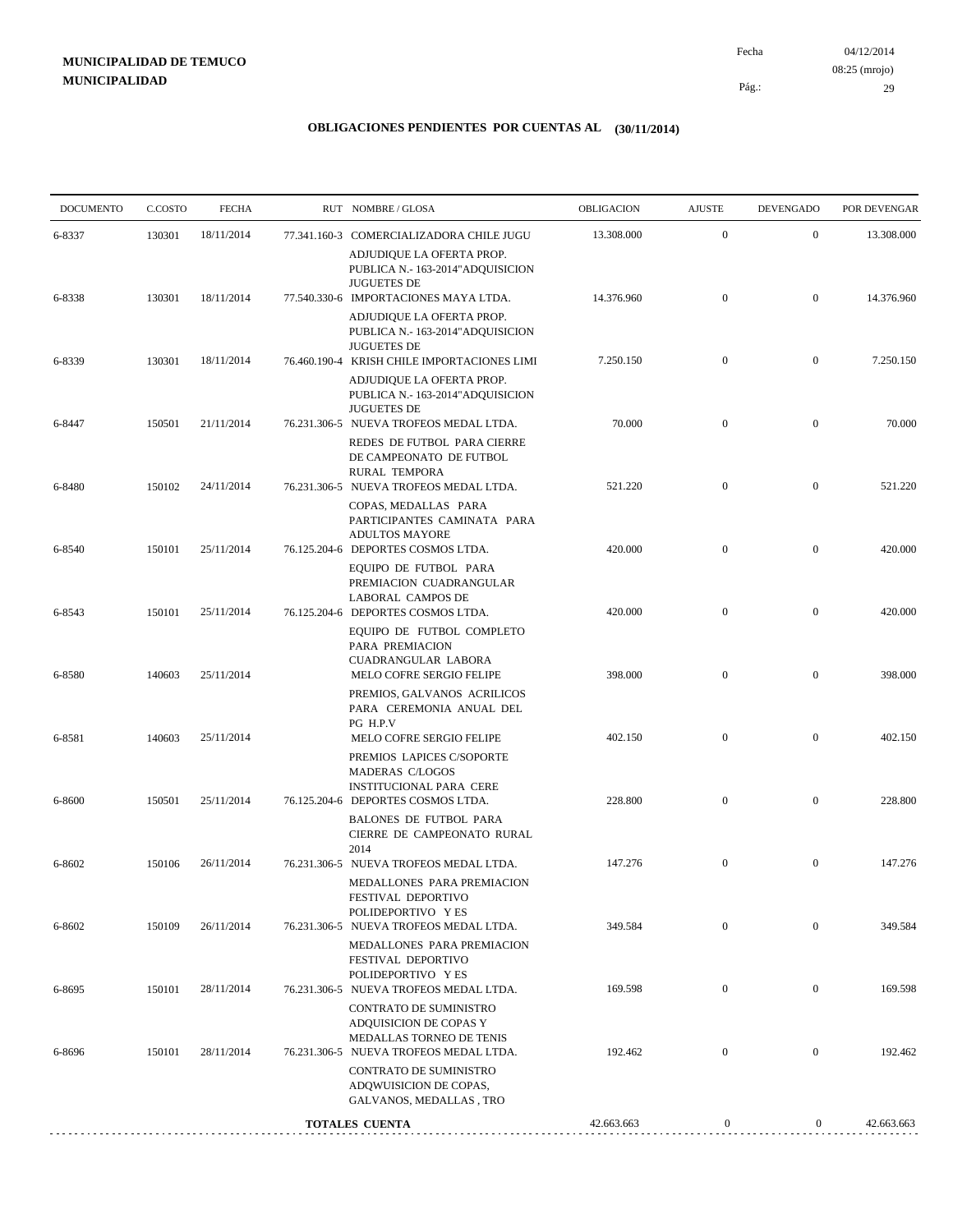04/12/2014 29 Pág.: Fecha 08:25 (mrojo)

| <b>DOCUMENTO</b> | C.COSTO | <b>FECHA</b> | RUT NOMBRE/GLOSA                                                                                                               | OBLIGACION | <b>AJUSTE</b>    | <b>DEVENGADO</b> | POR DEVENGAR |
|------------------|---------|--------------|--------------------------------------------------------------------------------------------------------------------------------|------------|------------------|------------------|--------------|
| 6-8337           | 130301  | 18/11/2014   | 77.341.160-3 COMERCIALIZADORA CHILE JUGU<br>ADJUDIQUE LA OFERTA PROP.                                                          | 13.308.000 | $\mathbf{0}$     | $\mathbf{0}$     | 13.308.000   |
| 6-8338           | 130301  | 18/11/2014   | PUBLICA N.- 163-2014" ADQUISICION<br><b>JUGUETES DE</b><br>77.540.330-6 IMPORTACIONES MAYA LTDA.                               | 14.376.960 | $\boldsymbol{0}$ | $\boldsymbol{0}$ | 14.376.960   |
|                  |         |              | ADJUDIQUE LA OFERTA PROP.<br>PUBLICA N.- 163-2014" ADQUISICION<br><b>JUGUETES DE</b>                                           |            |                  |                  |              |
| 6-8339           | 130301  | 18/11/2014   | 76.460.190-4 KRISH CHILE IMPORTACIONES LIMI                                                                                    | 7.250.150  | $\mathbf{0}$     | $\boldsymbol{0}$ | 7.250.150    |
| 6-8447           | 150501  | 21/11/2014   | ADJUDIQUE LA OFERTA PROP.<br>PUBLICA N.- 163-2014" ADQUISICION<br><b>JUGUETES DE</b><br>76.231.306-5 NUEVA TROFEOS MEDAL LTDA. | 70.000     | $\mathbf{0}$     | $\mathbf{0}$     | 70.000       |
|                  |         |              | REDES DE FUTBOL PARA CIERRE<br>DE CAMPEONATO DE FUTBOL<br>RURAL TEMPORA                                                        |            |                  |                  |              |
| 6-8480           | 150102  | 24/11/2014   | 76.231.306-5 NUEVA TROFEOS MEDAL LTDA.                                                                                         | 521.220    | $\mathbf{0}$     | $\mathbf{0}$     | 521.220      |
| 6-8540           | 150101  | 25/11/2014   | COPAS, MEDALLAS PARA<br>PARTICIPANTES CAMINATA PARA<br>ADULTOS MAYORE<br>76.125.204-6 DEPORTES COSMOS LTDA.                    | 420.000    | $\mathbf{0}$     | $\boldsymbol{0}$ | 420.000      |
|                  |         |              | EQUIPO DE FUTBOL PARA<br>PREMIACION CUADRANGULAR<br>LABORAL CAMPOS DE                                                          |            |                  |                  |              |
| 6-8543           | 150101  | 25/11/2014   | 76.125.204-6 DEPORTES COSMOS LTDA.<br>EQUIPO DE FUTBOL COMPLETO<br>PARA PREMIACION                                             | 420.000    | $\mathbf{0}$     | $\mathbf{0}$     | 420.000      |
| 6-8580           | 140603  | 25/11/2014   | CUADRANGULAR LABORA<br>MELO COFRE SERGIO FELIPE<br>PREMIOS, GALVANOS ACRILICOS                                                 | 398.000    | $\mathbf{0}$     | $\mathbf{0}$     | 398.000      |
| 6-8581           | 140603  | 25/11/2014   | PARA CEREMONIA ANUAL DEL<br>PG H.P.V<br>MELO COFRE SERGIO FELIPE                                                               | 402.150    | $\mathbf{0}$     | $\boldsymbol{0}$ | 402.150      |
|                  |         |              | PREMIOS LAPICES C/SOPORTE<br>MADERAS C/LOGOS<br><b>INSTITUCIONAL PARA CERE</b>                                                 |            |                  |                  |              |
| 6-8600           | 150501  | 25/11/2014   | 76.125.204-6 DEPORTES COSMOS LTDA.<br><b>BALONES DE FUTBOL PARA</b>                                                            | 228.800    | $\mathbf{0}$     | $\mathbf{0}$     | 228.800      |
|                  |         |              | CIERRE DE CAMPEONATO RURAL<br>2014                                                                                             |            |                  |                  |              |
| 6-8602           | 150106  | 26/11/2014   | 76.231.306-5 NUEVA TROFEOS MEDAL LTDA.<br>MEDALLONES PARA PREMIACION<br>FESTIVAL DEPORTIVO                                     | 147.276    | $\bf{0}$         | $\mathbf{0}$     | 147.276      |
| 6-8602           | 150109  | 26/11/2014   | POLIDEPORTIVO Y ES<br>76.231.306-5 NUEVA TROFEOS MEDAL LTDA.                                                                   | 349.584    | $\mathbf{0}$     | $\mathbf{0}$     | 349.584      |
|                  |         |              | MEDALLONES PARA PREMIACION<br>FESTIVAL DEPORTIVO<br>POLIDEPORTIVO Y ES                                                         |            |                  |                  |              |
| 6-8695           | 150101  | 28/11/2014   | 76.231.306-5 NUEVA TROFEOS MEDAL LTDA.<br><b>CONTRATO DE SUMINISTRO</b><br>ADQUISICION DE COPAS Y                              | 169.598    | $\mathbf{0}$     | $\boldsymbol{0}$ | 169.598      |
| 6-8696           | 150101  | 28/11/2014   | MEDALLAS TORNEO DE TENIS<br>76.231.306-5 NUEVA TROFEOS MEDAL LTDA.                                                             | 192.462    | $\boldsymbol{0}$ | $\boldsymbol{0}$ | 192.462      |
|                  |         |              | CONTRATO DE SUMINISTRO<br>ADQWUISICION DE COPAS,<br>GALVANOS, MEDALLAS, TRO                                                    |            |                  |                  |              |
|                  |         |              | <b>TOTALES CUENTA</b>                                                                                                          | 42.663.663 | $\boldsymbol{0}$ | $\overline{0}$   | 42.663.663   |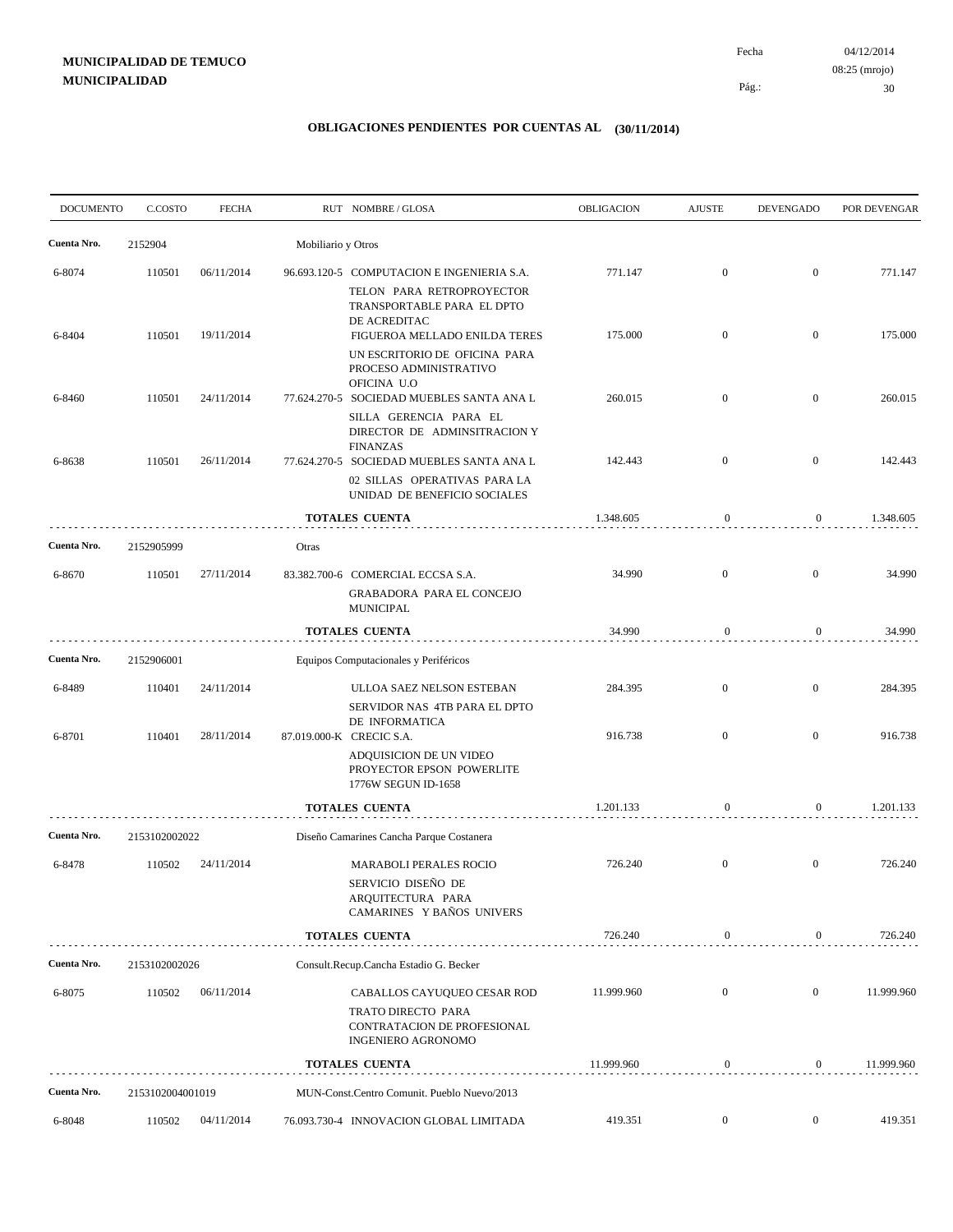04/12/2014 30 Pág.: Fecha 08:25 (mrojo)

| <b>DOCUMENTO</b> | C.COSTO          | <b>FECHA</b> |                    | RUT NOMBRE/GLOSA                                                                                                          | <b>OBLIGACION</b> | <b>AJUSTE</b>    | <b>DEVENGADO</b> | POR DEVENGAR |
|------------------|------------------|--------------|--------------------|---------------------------------------------------------------------------------------------------------------------------|-------------------|------------------|------------------|--------------|
| Cuenta Nro.      | 2152904          |              | Mobiliario y Otros |                                                                                                                           |                   |                  |                  |              |
| 6-8074           | 110501           | 06/11/2014   |                    | 96.693.120-5 COMPUTACION E INGENIERIA S.A.<br>TELON PARA RETROPROYECTOR<br>TRANSPORTABLE PARA EL DPTO                     | 771.147           | $\mathbf{0}$     | $\boldsymbol{0}$ | 771.147      |
| 6-8404           | 110501           | 19/11/2014   |                    | DE ACREDITAC<br>FIGUEROA MELLADO ENILDA TERES<br>UN ESCRITORIO DE OFICINA PARA                                            | 175.000           | $\mathbf{0}$     | $\overline{0}$   | 175.000      |
| 6-8460           | 110501           | 24/11/2014   |                    | PROCESO ADMINISTRATIVO<br>OFICINA U.O<br>77.624.270-5 SOCIEDAD MUEBLES SANTA ANA L                                        | 260.015           | $\mathbf{0}$     | $\boldsymbol{0}$ | 260.015      |
|                  |                  |              |                    | SILLA GERENCIA PARA EL<br>DIRECTOR DE ADMINSITRACION Y<br><b>FINANZAS</b>                                                 |                   |                  |                  |              |
| 6-8638           | 110501           | 26/11/2014   |                    | 77.624.270-5 SOCIEDAD MUEBLES SANTA ANA L<br>02 SILLAS OPERATIVAS PARA LA<br>UNIDAD DE BENEFICIO SOCIALES                 | 142.443           | $\mathbf{0}$     | $\overline{0}$   | 142.443      |
|                  |                  |              |                    | <b>TOTALES CUENTA</b>                                                                                                     | 1.348.605         | $\boldsymbol{0}$ | $\overline{0}$   | 1.348.605    |
| Cuenta Nro.      | 2152905999       |              | Otras              |                                                                                                                           |                   |                  |                  |              |
| 6-8670           | 110501           | 27/11/2014   |                    | 83.382.700-6 COMERCIAL ECCSA S.A.<br><b>GRABADORA PARA EL CONCEJO</b><br><b>MUNICIPAL</b>                                 | 34.990            | $\overline{0}$   | $\overline{0}$   | 34.990       |
|                  |                  |              |                    | <b>TOTALES CUENTA</b>                                                                                                     | 34.990            | $\mathbf{0}$     | $\overline{0}$   | 34.990       |
| Cuenta Nro.      | 2152906001       |              |                    | Equipos Computacionales y Periféricos                                                                                     |                   |                  |                  |              |
| 6-8489           | 110401           | 24/11/2014   |                    | ULLOA SAEZ NELSON ESTEBAN<br>SERVIDOR NAS 4TB PARA EL DPTO                                                                | 284.395           | $\overline{0}$   | $\overline{0}$   | 284.395      |
| 6-8701           | 110401           | 28/11/2014   |                    | DE INFORMATICA<br>87.019.000-K CRECIC S.A.<br>ADQUISICION DE UN VIDEO<br>PROYECTOR EPSON POWERLITE<br>1776W SEGUN ID-1658 | 916.738           | $\overline{0}$   | $\boldsymbol{0}$ | 916.738      |
|                  |                  |              |                    | <b>TOTALES CUENTA</b>                                                                                                     | 1.201.133         | $\bf{0}$         | $\overline{0}$   | 1.201.133    |
| Cuenta Nro.      | 2153102002022    |              |                    | Diseño Camarines Cancha Parque Costanera                                                                                  |                   |                  |                  |              |
| 6-8478           | 110502           | 24/11/2014   |                    | <b>MARABOLI PERALES ROCIO</b><br>SERVICIO DISEÑO DE<br>ARQUITECTURA PARA<br>CAMARINES Y BAÑOS UNIVERS                     | 726.240           | $\mathbf{0}$     | $\mathbf{0}$     | 726.240      |
|                  |                  |              |                    | <b>TOTALES CUENTA</b>                                                                                                     | 726.240           | $\boldsymbol{0}$ | $\overline{0}$   | 726.240      |
| Cuenta Nro.      | 2153102002026    |              |                    | Consult.Recup.Cancha Estadio G. Becker                                                                                    |                   |                  |                  |              |
| 6-8075           | 110502           | 06/11/2014   |                    | CABALLOS CAYUQUEO CESAR ROD<br>TRATO DIRECTO PARA<br>CONTRATACION DE PROFESIONAL<br><b>INGENIERO AGRONOMO</b>             | 11.999.960        | $\mathbf{0}$     | $\overline{0}$   | 11.999.960   |
|                  |                  |              |                    | <b>TOTALES CUENTA</b>                                                                                                     | 11.999.960        | $\bf{0}$         | $\mathbf{0}$     | 11.999.960   |
| Cuenta Nro.      | 2153102004001019 |              |                    | MUN-Const.Centro Comunit. Pueblo Nuevo/2013                                                                               |                   |                  |                  |              |
| 6-8048           | 110502           | 04/11/2014   |                    | 76.093.730-4 INNOVACION GLOBAL LIMITADA                                                                                   | 419.351           | $\overline{0}$   | $\overline{0}$   | 419.351      |